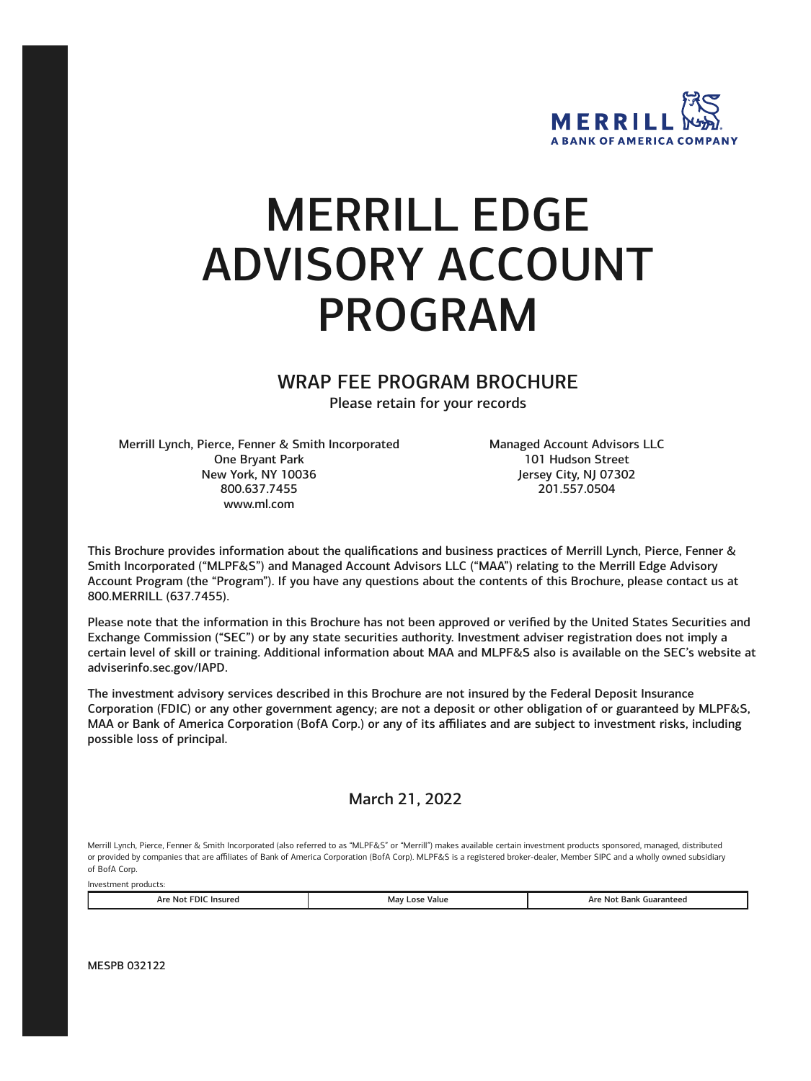

# MERRILL EDGE ADVISORY ACCOUNT PROGRAM

WRAP FEE PROGRAM BROCHURE

Please retain for your records

Merrill Lynch, Pierce, Fenner & Smith Incorporated Managed Account Advisors LLC One Bryant Park 101 Hudson Street New York, NY 10036 Jersey City, NJ 07302 800.637.7455 201.557.0504 [www.ml.com](https://www.ml.com) 

This Brochure provides information about the qualifications and business practices of Merrill Lynch, Pierce, Fenner & Smith Incorporated ("MLPF&S") and Managed Account Advisors LLC ("MAA") relating to the Merrill Edge Advisory Account Program (the "Program"). If you have any questions about the contents of this Brochure, please contact us at 800.MERRILL (637.7455).

Please note that the information in this Brochure has not been approved or verified by the United States Securities and Exchange Commission ("SEC") or by any state securities authority. Investment adviser registration does not imply a certain level of skill or training. Additional information about MAA and MLPF&S also is available on the SEC's website at [adviserinfo.sec.gov/IAPD.](https://adviserinfo.sec.gov)

The investment advisory services described in this Brochure are not insured by the Federal Deposit Insurance Corporation (FDIC) or any other government agency; are not a deposit or other obligation of or guaranteed by MLPF&S, MAA or Bank of America Corporation (BofA Corp.) or any of its affiliates and are subject to investment risks, including possible loss of principal.

March 21, 2022

Merrill Lynch, Pierce, Fenner & Smith Incorporated (also referred to as "MLPF&S" or "Merrill") makes available certain investment products sponsored, managed, distributed or provided by companies that are affiliates of Bank of America Corporation (BofA Corp). MLPF&S is a registered broker-dealer, Member SIPC and a wholly owned subsidiary of BofA Corp.

| Are<br><b>Insure</b> u<br><b>No</b><br>11) II<br>. | Value<br>Ma<br>ה>ח<br>. | Guaranteed<br>Δr<br>N01<br>nank<br>. |
|----------------------------------------------------|-------------------------|--------------------------------------|

MESPB 032122

Investment products: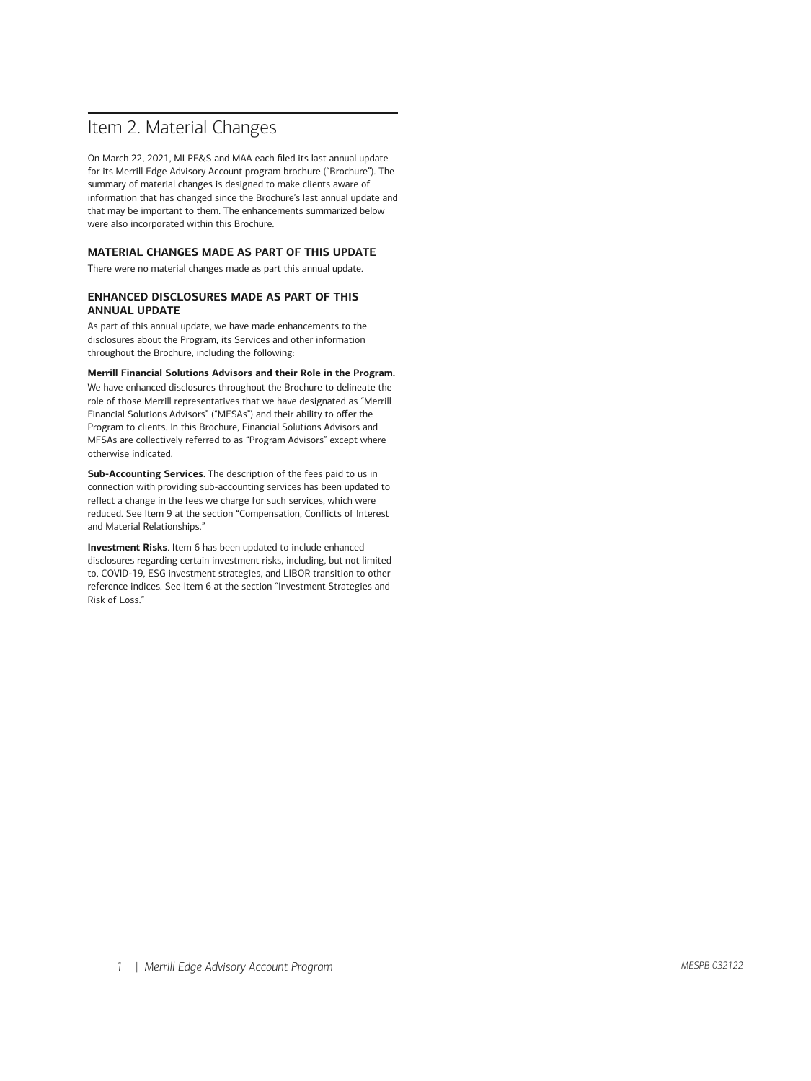# Item 2. Material Changes

On March 22, 2021, MLPF&S and MAA each filed its last annual update for its Merrill Edge Advisory Account program brochure ("Brochure"). The summary of material changes is designed to make clients aware of information that has changed since the Brochure's last annual update and that may be important to them. The enhancements summarized below were also incorporated within this Brochure.

# **MATERIAL CHANGES MADE AS PART OF THIS UPDATE**

There were no material changes made as part this annual update.

## **ENHANCED DISCLOSURES MADE AS PART OF THIS ANNUAL UPDATE**

As part of this annual update, we have made enhancements to the disclosures about the Program, its Services and other information throughout the Brochure, including the following:

**Merrill Financial Solutions Advisors and their Role in the Program.** 

We have enhanced disclosures throughout the Brochure to delineate the role of those Merrill representatives that we have designated as "Merrill Financial Solutions Advisors" ("MFSAs") and their ability to offer the Program to clients. In this Brochure, Financial Solutions Advisors and MFSAs are collectively referred to as "Program Advisors" except where otherwise indicated.

**Sub-Accounting Services**. The description of the fees paid to us in connection with providing sub-accounting services has been updated to reflect a change in the fees we charge for such services, which were reduced. See Item 9 at the section "Compensation, Conflicts of Interest and Material Relationships."

**Investment Risks**. Item 6 has been updated to include enhanced disclosures regarding certain investment risks, including, but not limited to, COVID-19, ESG investment strategies, and LIBOR transition to other reference indices. See Item 6 at the section "Investment Strategies and Risk of Loss."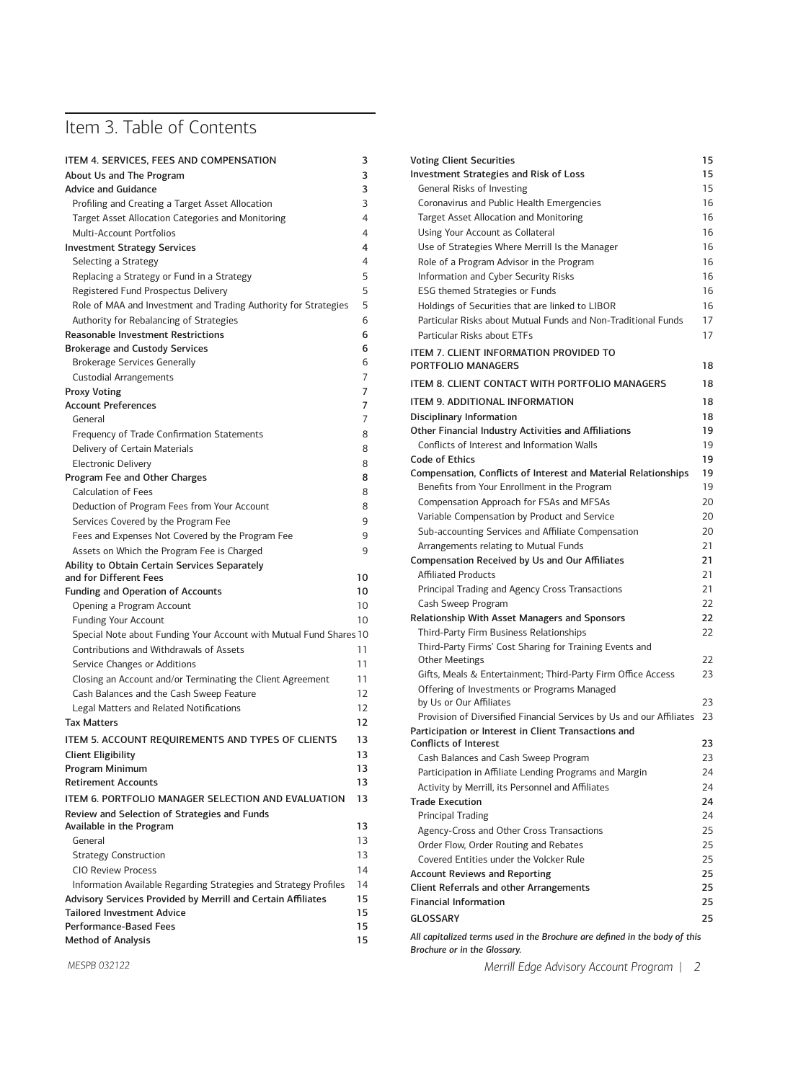# Item 3. Table of Contents

| ITEM 4. SERVICES, FEES AND COMPENSATION                            | 3  |
|--------------------------------------------------------------------|----|
| About Us and The Program                                           | 3  |
| <b>Advice and Guidance</b>                                         | 3  |
| Profiling and Creating a Target Asset Allocation                   | 3  |
| Target Asset Allocation Categories and Monitoring                  | 4  |
| Multi-Account Portfolios                                           | 4  |
| <b>Investment Strategy Services</b>                                | 4  |
| Selecting a Strategy                                               | 4  |
| Replacing a Strategy or Fund in a Strategy                         | 5  |
| Registered Fund Prospectus Delivery                                | 5  |
| Role of MAA and Investment and Trading Authority for Strategies    | 5  |
| Authority for Rebalancing of Strategies                            | 6  |
| <b>Reasonable Investment Restrictions</b>                          | 6  |
| <b>Brokerage and Custody Services</b>                              | 6  |
| <b>Brokerage Services Generally</b>                                | 6  |
| Custodial Arrangements                                             | 7  |
| <b>Proxy Voting</b>                                                | 7  |
| <b>Account Preferences</b>                                         | 7  |
| General                                                            | 7  |
| Frequency of Trade Confirmation Statements                         | 8  |
| Delivery of Certain Materials                                      | 8  |
| <b>Electronic Delivery</b>                                         | 8  |
| Program Fee and Other Charges                                      | 8  |
| Calculation of Fees                                                | 8  |
| Deduction of Program Fees from Your Account                        | 8  |
| Services Covered by the Program Fee                                | 9  |
| Fees and Expenses Not Covered by the Program Fee                   | 9  |
| Assets on Which the Program Fee is Charged                         | 9  |
| Ability to Obtain Certain Services Separately                      |    |
| and for Different Fees                                             | 10 |
| <b>Funding and Operation of Accounts</b>                           | 10 |
| Opening a Program Account                                          | 10 |
| <b>Funding Your Account</b>                                        | 10 |
| Special Note about Funding Your Account with Mutual Fund Shares 10 |    |
| Contributions and Withdrawals of Assets                            | 11 |
| Service Changes or Additions                                       | 11 |
| Closing an Account and/or Terminating the Client Agreement         | 11 |
| Cash Balances and the Cash Sweep Feature                           | 12 |
| Legal Matters and Related Notifications                            | 12 |
| Tax Matters                                                        | 12 |
| ITEM 5. ACCOUNT REQUIREMENTS AND TYPES OF CLIENTS                  | 13 |
| <b>Client Eligibility</b>                                          | 13 |
| Program Minimum                                                    | 13 |
| <b>Retirement Accounts</b>                                         | 13 |
| ITEM 6. PORTFOLIO MANAGER SELECTION AND EVALUATION                 | 13 |
| Review and Selection of Strategies and Funds                       |    |
| Available in the Program                                           | 13 |
| General                                                            | 13 |
| <b>Strategy Construction</b>                                       | 13 |
| <b>CIO Review Process</b>                                          | 14 |
| Information Available Regarding Strategies and Strategy Profiles   | 14 |
| Advisory Services Provided by Merrill and Certain Affiliates       | 15 |
| <b>Tailored Investment Advice</b>                                  | 15 |
| <b>Performance-Based Fees</b>                                      | 15 |
| <b>Method of Analysis</b>                                          | 15 |
|                                                                    |    |

| <b>Voting Client Securities</b>                                         | 15 |
|-------------------------------------------------------------------------|----|
| Investment Strategies and Risk of Loss                                  | 15 |
| General Risks of Investing                                              | 15 |
| Coronavirus and Public Health Emergencies                               | 16 |
| Target Asset Allocation and Monitoring                                  | 16 |
| Using Your Account as Collateral                                        | 16 |
| Use of Strategies Where Merrill Is the Manager                          | 16 |
| Role of a Program Advisor in the Program                                | 16 |
| Information and Cyber Security Risks                                    | 16 |
| ESG themed Strategies or Funds                                          | 16 |
| Holdings of Securities that are linked to LIBOR                         | 16 |
| Particular Risks about Mutual Funds and Non-Traditional Funds           | 17 |
| Particular Risks about FTFs                                             | 17 |
| ITEM 7. CLIENT INFORMATION PROVIDED TO                                  |    |
| PORTFOLIO MANAGERS                                                      | 18 |
| ITEM 8. CLIENT CONTACT WITH PORTFOLIO MANAGERS                          |    |
|                                                                         | 18 |
| <b>ITEM 9. ADDITIONAL INFORMATION</b>                                   | 18 |
| <b>Disciplinary Information</b>                                         | 18 |
| Other Financial Industry Activities and Affiliations                    | 19 |
| Conflicts of Interest and Information Walls                             | 19 |
| <b>Code of Ethics</b>                                                   | 19 |
| Compensation, Conflicts of Interest and Material Relationships          | 19 |
| Benefits from Your Enrollment in the Program                            | 19 |
| Compensation Approach for FSAs and MFSAs                                | 20 |
| Variable Compensation by Product and Service                            | 20 |
| Sub-accounting Services and Affiliate Compensation                      | 20 |
|                                                                         |    |
| Arrangements relating to Mutual Funds                                   | 21 |
| <b>Compensation Received by Us and Our Affiliates</b>                   | 21 |
| <b>Affiliated Products</b>                                              | 21 |
| Principal Trading and Agency Cross Transactions                         | 21 |
| Cash Sweep Program                                                      | 22 |
| Relationship With Asset Managers and Sponsors                           | 22 |
| Third-Party Firm Business Relationships                                 | 22 |
| Third-Party Firms' Cost Sharing for Training Events and                 |    |
| Other Meetings                                                          | 22 |
| Gifts, Meals & Entertainment; Third-Party Firm Office Access            | 23 |
| Offering of Investments or Programs Managed<br>by Us or Our Affiliates  | 23 |
| Provision of Diversified Financial Services by Us and our Affiliates 23 |    |
| Participation or Interest in Client Transactions and                    |    |
| <b>Conflicts of Interest</b>                                            | 23 |
| Cash Balances and Cash Sweep Program                                    | 23 |
| Participation in Affiliate Lending Programs and Margin                  | 24 |
| Activity by Merrill, its Personnel and Affiliates                       | 24 |
| <b>Trade Execution</b>                                                  | 24 |
| <b>Principal Trading</b>                                                | 24 |
| Agency-Cross and Other Cross Transactions                               | 25 |
| Order Flow, Order Routing and Rebates                                   | 25 |
| Covered Entities under the Volcker Rule                                 | 25 |
| <b>Account Reviews and Reporting</b>                                    | 25 |
| <b>Client Referrals and other Arrangements</b>                          | 25 |
| <b>Financial Information</b>                                            | 25 |
| <b>GLOSSARY</b>                                                         | 25 |

*Brochure or in the Glossary.* 

*Merrill Edge Advisory Account Program | 2*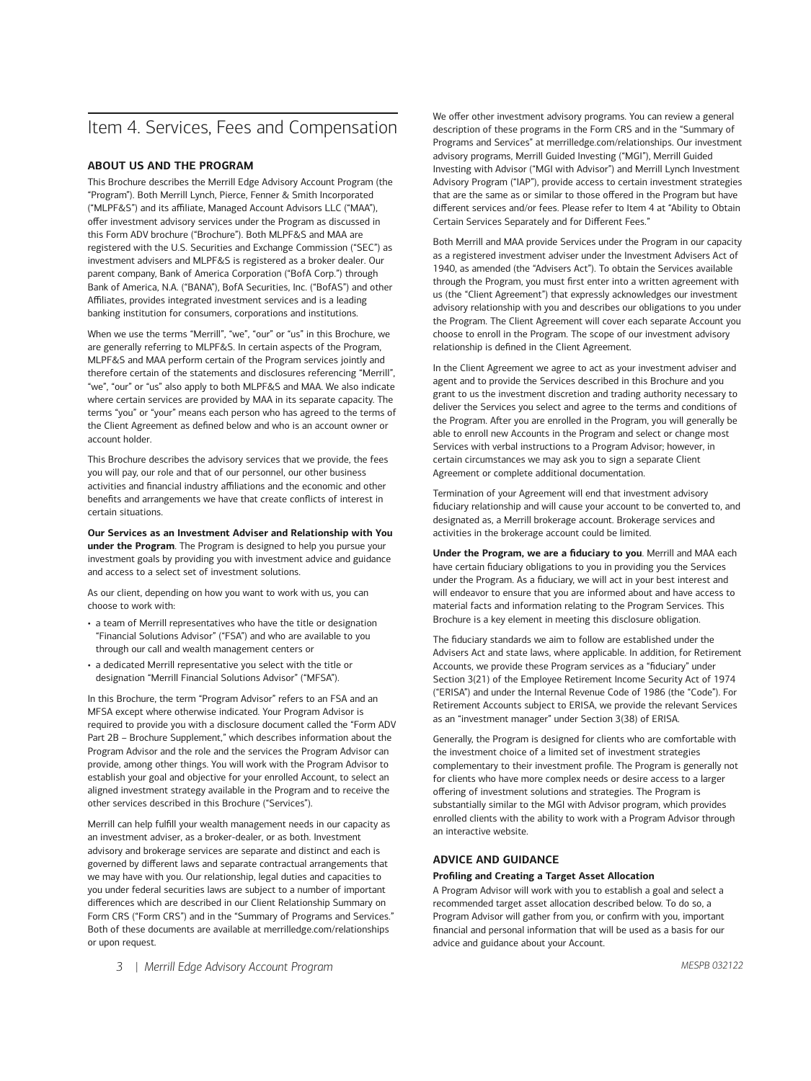# Item 4. Services, Fees and Compensation

# **ABOUT US AND THE PROGRAM**

This Brochure describes the Merrill Edge Advisory Account Program (the "Program"). Both Merrill Lynch, Pierce, Fenner & Smith Incorporated ("MLPF&S") and its affiliate, Managed Account Advisors LLC ("MAA"), offer investment advisory services under the Program as discussed in this Form ADV brochure ("Brochure"). Both MLPF&S and MAA are registered with the U.S. Securities and Exchange Commission ("SEC") as investment advisers and MLPF&S is registered as a broker dealer. Our parent company, Bank of America Corporation ("BofA Corp.") through Bank of America, N.A. ("BANA"), BofA Securities, Inc. ("BofAS") and other Affiliates, provides integrated investment services and is a leading banking institution for consumers, corporations and institutions.

When we use the terms "Merrill", "we", "our" or "us" in this Brochure, we are generally referring to MLPF&S. In certain aspects of the Program, MLPF&S and MAA perform certain of the Program services jointly and therefore certain of the statements and disclosures referencing "Merrill", "we", "our" or "us" also apply to both MLPF&S and MAA. We also indicate where certain services are provided by MAA in its separate capacity. The terms "you" or "your" means each person who has agreed to the terms of the Client Agreement as defined below and who is an account owner or account holder.

This Brochure describes the advisory services that we provide, the fees you will pay, our role and that of our personnel, our other business activities and financial industry affiliations and the economic and other benefits and arrangements we have that create conflicts of interest in certain situations.

**Our Services as an Investment Adviser and Relationship with You under the Program**. The Program is designed to help you pursue your investment goals by providing you with investment advice and guidance and access to a select set of investment solutions.

As our client, depending on how you want to work with us, you can choose to work with:

- a team of Merrill representatives who have the title or designation "Financial Solutions Advisor" ("FSA") and who are available to you through our call and wealth management centers or
- a dedicated Merrill representative you select with the title or designation "Merrill Financial Solutions Advisor" ("MFSA").

In this Brochure, the term "Program Advisor" refers to an FSA and an MFSA except where otherwise indicated. Your Program Advisor is required to provide you with a disclosure document called the "Form ADV Part 2B – Brochure Supplement," which describes information about the Program Advisor and the role and the services the Program Advisor can provide, among other things. You will work with the Program Advisor to establish your goal and objective for your enrolled Account, to select an aligned investment strategy available in the Program and to receive the other services described in this Brochure ("Services").

Merrill can help fulfill your wealth management needs in our capacity as an investment adviser, as a broker-dealer, or as both. Investment advisory and brokerage services are separate and distinct and each is governed by different laws and separate contractual arrangements that we may have with you. Our relationship, legal duties and capacities to you under federal securities laws are subject to a number of important differences which are described in our Client Relationship Summary on Form CRS ("Form CRS") and in the "Summary of Programs and Services." Both of these documents are available at [merrilledge.com/relationships](https://merrilledge.com/relationships)  or upon request.

We offer other investment advisory programs. You can review a general description of these programs in the Form CRS and in the "Summary of Programs and Services" at [merrilledge.com/relationships.](https://merrilledge.com/relationships) Our investment advisory programs, Merrill Guided Investing ("MGI"), Merrill Guided Investing with Advisor ("MGI with Advisor") and Merrill Lynch Investment Advisory Program ("IAP"), provide access to certain investment strategies that are the same as or similar to those offered in the Program but have different services and/or fees. Please refer to Item 4 at "Ability to Obtain Certain Services Separately and for Different Fees."

Both Merrill and MAA provide Services under the Program in our capacity as a registered investment adviser under the Investment Advisers Act of 1940, as amended (the "Advisers Act"). To obtain the Services available through the Program, you must first enter into a written agreement with us (the "Client Agreement") that expressly acknowledges our investment advisory relationship with you and describes our obligations to you under the Program. The Client Agreement will cover each separate Account you choose to enroll in the Program. The scope of our investment advisory relationship is defined in the Client Agreement.

In the Client Agreement we agree to act as your investment adviser and agent and to provide the Services described in this Brochure and you grant to us the investment discretion and trading authority necessary to deliver the Services you select and agree to the terms and conditions of the Program. After you are enrolled in the Program, you will generally be able to enroll new Accounts in the Program and select or change most Services with verbal instructions to a Program Advisor; however, in certain circumstances we may ask you to sign a separate Client Agreement or complete additional documentation.

Termination of your Agreement will end that investment advisory fiduciary relationship and will cause your account to be converted to, and designated as, a Merrill brokerage account. Brokerage services and activities in the brokerage account could be limited.

**Under the Program, we are a fiduciary to you**. Merrill and MAA each have certain fiduciary obligations to you in providing you the Services under the Program. As a fiduciary, we will act in your best interest and will endeavor to ensure that you are informed about and have access to material facts and information relating to the Program Services. This Brochure is a key element in meeting this disclosure obligation.

The fiduciary standards we aim to follow are established under the Advisers Act and state laws, where applicable. In addition, for Retirement Accounts, we provide these Program services as a "fiduciary" under Section 3(21) of the Employee Retirement Income Security Act of 1974 ("ERISA") and under the Internal Revenue Code of 1986 (the "Code"). For Retirement Accounts subject to ERISA, we provide the relevant Services as an "investment manager" under Section 3(38) of ERISA.

Generally, the Program is designed for clients who are comfortable with the investment choice of a limited set of investment strategies complementary to their investment profile. The Program is generally not for clients who have more complex needs or desire access to a larger offering of investment solutions and strategies. The Program is substantially similar to the MGI with Advisor program, which provides enrolled clients with the ability to work with a Program Advisor through an interactive website.

## **ADVICE AND GUIDANCE**

#### **Profiling and Creating a Target Asset Allocation**

A Program Advisor will work with you to establish a goal and select a recommended target asset allocation described below. To do so, a Program Advisor will gather from you, or confirm with you, important financial and personal information that will be used as a basis for our advice and guidance about your Account.

*3 | Merrill Edge Advisory Account Program*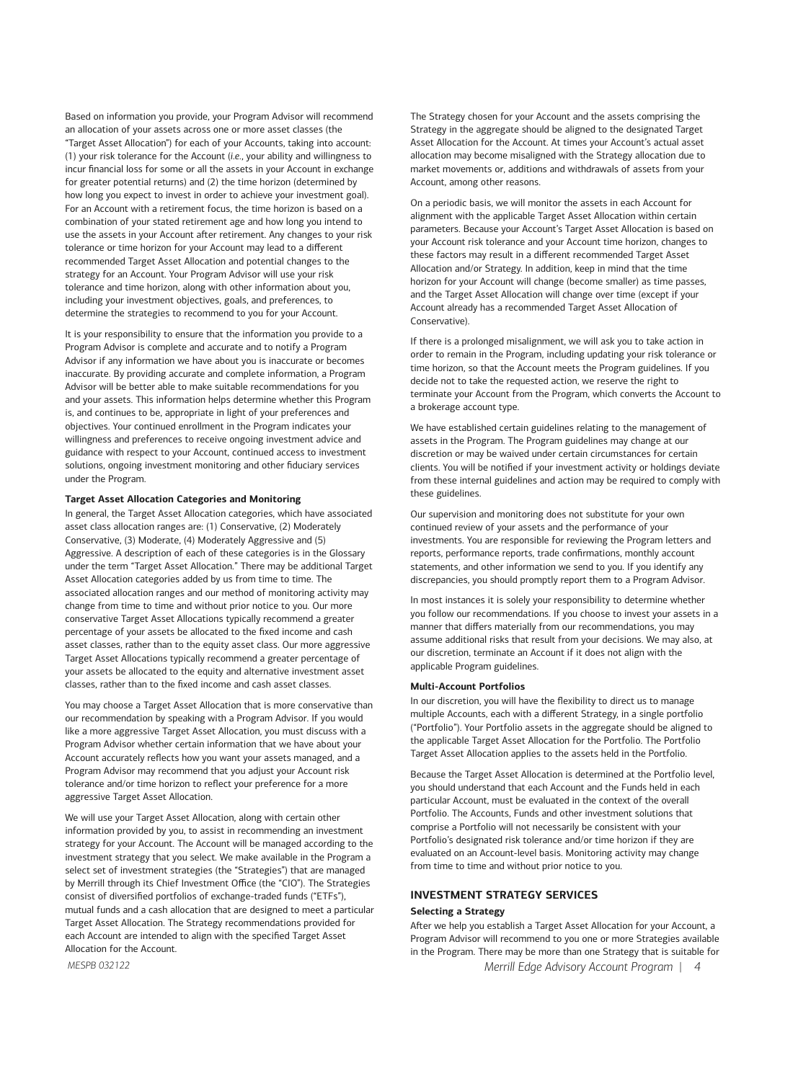Based on information you provide, your Program Advisor will recommend an allocation of your assets across one or more asset classes (the "Target Asset Allocation") for each of your Accounts, taking into account: (1) your risk tolerance for the Account (*i.e.*, your ability and willingness to incur financial loss for some or all the assets in your Account in exchange for greater potential returns) and (2) the time horizon (determined by how long you expect to invest in order to achieve your investment goal). For an Account with a retirement focus, the time horizon is based on a combination of your stated retirement age and how long you intend to use the assets in your Account after retirement. Any changes to your risk tolerance or time horizon for your Account may lead to a different recommended Target Asset Allocation and potential changes to the strategy for an Account. Your Program Advisor will use your risk tolerance and time horizon, along with other information about you, including your investment objectives, goals, and preferences, to determine the strategies to recommend to you for your Account.

It is your responsibility to ensure that the information you provide to a Program Advisor is complete and accurate and to notify a Program Advisor if any information we have about you is inaccurate or becomes inaccurate. By providing accurate and complete information, a Program Advisor will be better able to make suitable recommendations for you and your assets. This information helps determine whether this Program is, and continues to be, appropriate in light of your preferences and objectives. Your continued enrollment in the Program indicates your willingness and preferences to receive ongoing investment advice and guidance with respect to your Account, continued access to investment solutions, ongoing investment monitoring and other fiduciary services under the Program.

#### **Target Asset Allocation Categories and Monitoring**

In general, the Target Asset Allocation categories, which have associated asset class allocation ranges are: (1) Conservative, (2) Moderately Conservative, (3) Moderate, (4) Moderately Aggressive and (5) Aggressive. A description of each of these categories is in the Glossary under the term "Target Asset Allocation." There may be additional Target Asset Allocation categories added by us from time to time. The associated allocation ranges and our method of monitoring activity may change from time to time and without prior notice to you. Our more conservative Target Asset Allocations typically recommend a greater percentage of your assets be allocated to the fixed income and cash asset classes, rather than to the equity asset class. Our more aggressive Target Asset Allocations typically recommend a greater percentage of your assets be allocated to the equity and alternative investment asset classes, rather than to the fixed income and cash asset classes.

You may choose a Target Asset Allocation that is more conservative than our recommendation by speaking with a Program Advisor. If you would like a more aggressive Target Asset Allocation, you must discuss with a Program Advisor whether certain information that we have about your Account accurately reflects how you want your assets managed, and a Program Advisor may recommend that you adjust your Account risk tolerance and/or time horizon to reflect your preference for a more aggressive Target Asset Allocation.

We will use your Target Asset Allocation, along with certain other information provided by you, to assist in recommending an investment strategy for your Account. The Account will be managed according to the investment strategy that you select. We make available in the Program a select set of investment strategies (the "Strategies") that are managed by Merrill through its Chief Investment Office (the "CIO"). The Strategies consist of diversified portfolios of exchange-traded funds ("ETFs"), mutual funds and a cash allocation that are designed to meet a particular Target Asset Allocation. The Strategy recommendations provided for each Account are intended to align with the specified Target Asset Allocation for the Account.

*MESPB 032122* 

The Strategy chosen for your Account and the assets comprising the Strategy in the aggregate should be aligned to the designated Target Asset Allocation for the Account. At times your Account's actual asset allocation may become misaligned with the Strategy allocation due to market movements or, additions and withdrawals of assets from your Account, among other reasons.

On a periodic basis, we will monitor the assets in each Account for alignment with the applicable Target Asset Allocation within certain parameters. Because your Account's Target Asset Allocation is based on your Account risk tolerance and your Account time horizon, changes to these factors may result in a different recommended Target Asset Allocation and/or Strategy. In addition, keep in mind that the time horizon for your Account will change (become smaller) as time passes, and the Target Asset Allocation will change over time (except if your Account already has a recommended Target Asset Allocation of Conservative).

If there is a prolonged misalignment, we will ask you to take action in order to remain in the Program, including updating your risk tolerance or time horizon, so that the Account meets the Program guidelines. If you decide not to take the requested action, we reserve the right to terminate your Account from the Program, which converts the Account to a brokerage account type.

We have established certain guidelines relating to the management of assets in the Program. The Program guidelines may change at our discretion or may be waived under certain circumstances for certain clients. You will be notified if your investment activity or holdings deviate from these internal guidelines and action may be required to comply with these guidelines.

Our supervision and monitoring does not substitute for your own continued review of your assets and the performance of your investments. You are responsible for reviewing the Program letters and reports, performance reports, trade confirmations, monthly account statements, and other information we send to you. If you identify any discrepancies, you should promptly report them to a Program Advisor.

In most instances it is solely your responsibility to determine whether you follow our recommendations. If you choose to invest your assets in a manner that differs materially from our recommendations, you may assume additional risks that result from your decisions. We may also, at our discretion, terminate an Account if it does not align with the applicable Program guidelines.

#### **Multi-Account Portfolios**

In our discretion, you will have the flexibility to direct us to manage multiple Accounts, each with a different Strategy, in a single portfolio ("Portfolio"). Your Portfolio assets in the aggregate should be aligned to the applicable Target Asset Allocation for the Portfolio. The Portfolio Target Asset Allocation applies to the assets held in the Portfolio.

Because the Target Asset Allocation is determined at the Portfolio level, you should understand that each Account and the Funds held in each particular Account, must be evaluated in the context of the overall Portfolio. The Accounts, Funds and other investment solutions that comprise a Portfolio will not necessarily be consistent with your Portfolio's designated risk tolerance and/or time horizon if they are evaluated on an Account-level basis. Monitoring activity may change from time to time and without prior notice to you.

# **INVESTMENT STRATEGY SERVICES**

#### **Selecting a Strategy**

After we help you establish a Target Asset Allocation for your Account, a Program Advisor will recommend to you one or more Strategies available in the Program. There may be more than one Strategy that is suitable for *Merrill Edge Advisory Account Program | 4*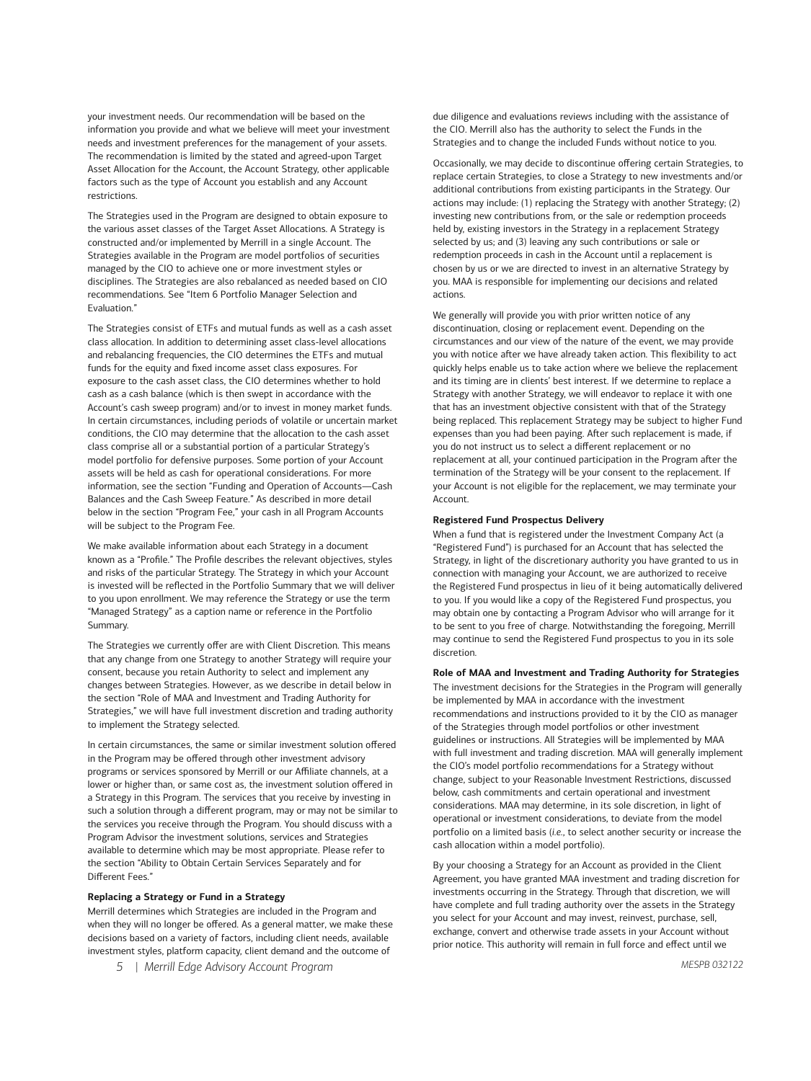your investment needs. Our recommendation will be based on the information you provide and what we believe will meet your investment needs and investment preferences for the management of your assets. The recommendation is limited by the stated and agreed-upon Target Asset Allocation for the Account, the Account Strategy, other applicable factors such as the type of Account you establish and any Account restrictions.

The Strategies used in the Program are designed to obtain exposure to the various asset classes of the Target Asset Allocations. A Strategy is constructed and/or implemented by Merrill in a single Account. The Strategies available in the Program are model portfolios of securities managed by the CIO to achieve one or more investment styles or disciplines. The Strategies are also rebalanced as needed based on CIO recommendations. See "Item 6 Portfolio Manager Selection and Evaluation."

The Strategies consist of ETFs and mutual funds as well as a cash asset class allocation. In addition to determining asset class-level allocations and rebalancing frequencies, the CIO determines the ETFs and mutual funds for the equity and fixed income asset class exposures. For exposure to the cash asset class, the CIO determines whether to hold cash as a cash balance (which is then swept in accordance with the Account's cash sweep program) and/or to invest in money market funds. In certain circumstances, including periods of volatile or uncertain market conditions, the CIO may determine that the allocation to the cash asset class comprise all or a substantial portion of a particular Strategy's model portfolio for defensive purposes. Some portion of your Account assets will be held as cash for operational considerations. For more information, see the section "Funding and Operation of Accounts—Cash Balances and the Cash Sweep Feature." As described in more detail below in the section "Program Fee," your cash in all Program Accounts will be subject to the Program Fee.

We make available information about each Strategy in a document known as a "Profile." The Profile describes the relevant objectives, styles and risks of the particular Strategy. The Strategy in which your Account is invested will be reflected in the Portfolio Summary that we will deliver to you upon enrollment. We may reference the Strategy or use the term "Managed Strategy" as a caption name or reference in the Portfolio Summary.

The Strategies we currently offer are with Client Discretion. This means that any change from one Strategy to another Strategy will require your consent, because you retain Authority to select and implement any changes between Strategies. However, as we describe in detail below in the section "Role of MAA and Investment and Trading Authority for Strategies," we will have full investment discretion and trading authority to implement the Strategy selected.

In certain circumstances, the same or similar investment solution offered in the Program may be offered through other investment advisory programs or services sponsored by Merrill or our Affiliate channels, at a lower or higher than, or same cost as, the investment solution offered in a Strategy in this Program. The services that you receive by investing in such a solution through a different program, may or may not be similar to the services you receive through the Program. You should discuss with a Program Advisor the investment solutions, services and Strategies available to determine which may be most appropriate. Please refer to the section "Ability to Obtain Certain Services Separately and for Different Fees."

#### **Replacing a Strategy or Fund in a Strategy**

Merrill determines which Strategies are included in the Program and when they will no longer be offered. As a general matter, we make these decisions based on a variety of factors, including client needs, available investment styles, platform capacity, client demand and the outcome of

*5 | Merrill Edge Advisory Account Program* 

due diligence and evaluations reviews including with the assistance of the CIO. Merrill also has the authority to select the Funds in the Strategies and to change the included Funds without notice to you.

Occasionally, we may decide to discontinue offering certain Strategies, to replace certain Strategies, to close a Strategy to new investments and/or additional contributions from existing participants in the Strategy. Our actions may include: (1) replacing the Strategy with another Strategy; (2) investing new contributions from, or the sale or redemption proceeds held by, existing investors in the Strategy in a replacement Strategy selected by us; and (3) leaving any such contributions or sale or redemption proceeds in cash in the Account until a replacement is chosen by us or we are directed to invest in an alternative Strategy by you. MAA is responsible for implementing our decisions and related actions.

We generally will provide you with prior written notice of any discontinuation, closing or replacement event. Depending on the circumstances and our view of the nature of the event, we may provide you with notice after we have already taken action. This flexibility to act quickly helps enable us to take action where we believe the replacement and its timing are in clients' best interest. If we determine to replace a Strategy with another Strategy, we will endeavor to replace it with one that has an investment objective consistent with that of the Strategy being replaced. This replacement Strategy may be subject to higher Fund expenses than you had been paying. After such replacement is made, if you do not instruct us to select a different replacement or no replacement at all, your continued participation in the Program after the termination of the Strategy will be your consent to the replacement. If your Account is not eligible for the replacement, we may terminate your Account.

#### **Registered Fund Prospectus Delivery**

When a fund that is registered under the Investment Company Act (a "Registered Fund") is purchased for an Account that has selected the Strategy, in light of the discretionary authority you have granted to us in connection with managing your Account, we are authorized to receive the Registered Fund prospectus in lieu of it being automatically delivered to you. If you would like a copy of the Registered Fund prospectus, you may obtain one by contacting a Program Advisor who will arrange for it to be sent to you free of charge. Notwithstanding the foregoing, Merrill may continue to send the Registered Fund prospectus to you in its sole discretion.

#### **Role of MAA and Investment and Trading Authority for Strategies**

The investment decisions for the Strategies in the Program will generally be implemented by MAA in accordance with the investment recommendations and instructions provided to it by the CIO as manager of the Strategies through model portfolios or other investment guidelines or instructions. All Strategies will be implemented by MAA with full investment and trading discretion. MAA will generally implement the CIO's model portfolio recommendations for a Strategy without change, subject to your Reasonable Investment Restrictions, discussed below, cash commitments and certain operational and investment considerations. MAA may determine, in its sole discretion, in light of operational or investment considerations, to deviate from the model portfolio on a limited basis (*i.e.*, to select another security or increase the cash allocation within a model portfolio).

By your choosing a Strategy for an Account as provided in the Client Agreement, you have granted MAA investment and trading discretion for investments occurring in the Strategy. Through that discretion, we will have complete and full trading authority over the assets in the Strategy you select for your Account and may invest, reinvest, purchase, sell, exchange, convert and otherwise trade assets in your Account without prior notice. This authority will remain in full force and effect until we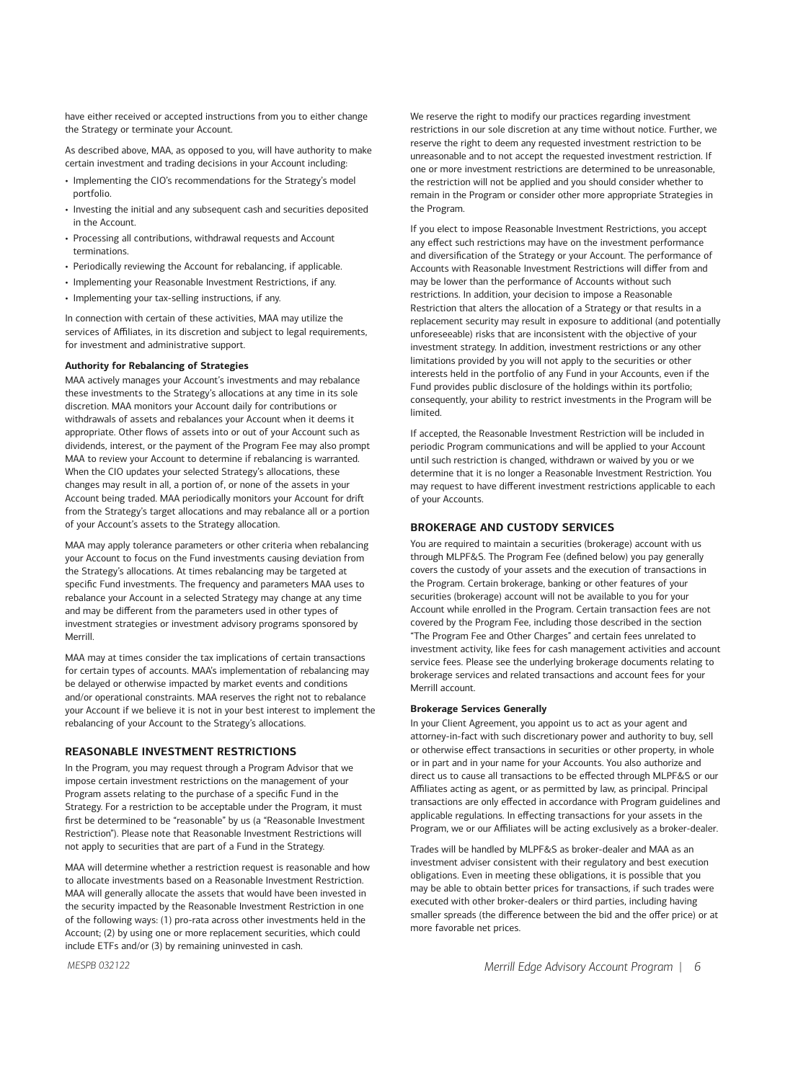have either received or accepted instructions from you to either change the Strategy or terminate your Account.

As described above, MAA, as opposed to you, will have authority to make certain investment and trading decisions in your Account including:

- Implementing the CIO's recommendations for the Strategy's model portfolio.
- Investing the initial and any subsequent cash and securities deposited in the Account.
- Processing all contributions, withdrawal requests and Account terminations.
- Periodically reviewing the Account for rebalancing, if applicable.
- Implementing your Reasonable Investment Restrictions, if any.
- Implementing your tax-selling instructions, if any.

In connection with certain of these activities, MAA may utilize the services of Affiliates, in its discretion and subject to legal requirements, for investment and administrative support.

# **Authority for Rebalancing of Strategies**

MAA actively manages your Account's investments and may rebalance these investments to the Strategy's allocations at any time in its sole discretion. MAA monitors your Account daily for contributions or withdrawals of assets and rebalances your Account when it deems it appropriate. Other flows of assets into or out of your Account such as dividends, interest, or the payment of the Program Fee may also prompt MAA to review your Account to determine if rebalancing is warranted. When the CIO updates your selected Strategy's allocations, these changes may result in all, a portion of, or none of the assets in your Account being traded. MAA periodically monitors your Account for drift from the Strategy's target allocations and may rebalance all or a portion of your Account's assets to the Strategy allocation.

MAA may apply tolerance parameters or other criteria when rebalancing your Account to focus on the Fund investments causing deviation from the Strategy's allocations. At times rebalancing may be targeted at specific Fund investments. The frequency and parameters MAA uses to rebalance your Account in a selected Strategy may change at any time and may be different from the parameters used in other types of investment strategies or investment advisory programs sponsored by Merrill.

MAA may at times consider the tax implications of certain transactions for certain types of accounts. MAA's implementation of rebalancing may be delayed or otherwise impacted by market events and conditions and/or operational constraints. MAA reserves the right not to rebalance your Account if we believe it is not in your best interest to implement the rebalancing of your Account to the Strategy's allocations.

## **REASONABLE INVESTMENT RESTRICTIONS**

In the Program, you may request through a Program Advisor that we impose certain investment restrictions on the management of your Program assets relating to the purchase of a specific Fund in the Strategy. For a restriction to be acceptable under the Program, it must first be determined to be "reasonable" by us (a "Reasonable Investment Restriction"). Please note that Reasonable Investment Restrictions will not apply to securities that are part of a Fund in the Strategy.

MAA will determine whether a restriction request is reasonable and how to allocate investments based on a Reasonable Investment Restriction. MAA will generally allocate the assets that would have been invested in the security impacted by the Reasonable Investment Restriction in one of the following ways: (1) pro-rata across other investments held in the Account; (2) by using one or more replacement securities, which could include ETFs and/or (3) by remaining uninvested in cash.

We reserve the right to modify our practices regarding investment restrictions in our sole discretion at any time without notice. Further, we reserve the right to deem any requested investment restriction to be unreasonable and to not accept the requested investment restriction. If one or more investment restrictions are determined to be unreasonable, the restriction will not be applied and you should consider whether to remain in the Program or consider other more appropriate Strategies in the Program.

If you elect to impose Reasonable Investment Restrictions, you accept any effect such restrictions may have on the investment performance and diversification of the Strategy or your Account. The performance of Accounts with Reasonable Investment Restrictions will differ from and may be lower than the performance of Accounts without such restrictions. In addition, your decision to impose a Reasonable Restriction that alters the allocation of a Strategy or that results in a replacement security may result in exposure to additional (and potentially unforeseeable) risks that are inconsistent with the objective of your investment strategy. In addition, investment restrictions or any other limitations provided by you will not apply to the securities or other interests held in the portfolio of any Fund in your Accounts, even if the Fund provides public disclosure of the holdings within its portfolio; consequently, your ability to restrict investments in the Program will be limited.

If accepted, the Reasonable Investment Restriction will be included in periodic Program communications and will be applied to your Account until such restriction is changed, withdrawn or waived by you or we determine that it is no longer a Reasonable Investment Restriction. You may request to have different investment restrictions applicable to each of your Accounts.

# **BROKERAGE AND CUSTODY SERVICES**

You are required to maintain a securities (brokerage) account with us through MLPF&S. The Program Fee (defined below) you pay generally covers the custody of your assets and the execution of transactions in the Program. Certain brokerage, banking or other features of your securities (brokerage) account will not be available to you for your Account while enrolled in the Program. Certain transaction fees are not covered by the Program Fee, including those described in the section "The Program Fee and Other Charges" and certain fees unrelated to investment activity, like fees for cash management activities and account service fees. Please see the underlying brokerage documents relating to brokerage services and related transactions and account fees for your Merrill account.

#### **Brokerage Services Generally**

In your Client Agreement, you appoint us to act as your agent and attorney-in-fact with such discretionary power and authority to buy, sell or otherwise effect transactions in securities or other property, in whole or in part and in your name for your Accounts. You also authorize and direct us to cause all transactions to be effected through MLPF&S or our Affiliates acting as agent, or as permitted by law, as principal. Principal transactions are only effected in accordance with Program guidelines and applicable regulations. In effecting transactions for your assets in the Program, we or our Affiliates will be acting exclusively as a broker-dealer.

Trades will be handled by MLPF&S as broker-dealer and MAA as an investment adviser consistent with their regulatory and best execution obligations. Even in meeting these obligations, it is possible that you may be able to obtain better prices for transactions, if such trades were executed with other broker-dealers or third parties, including having smaller spreads (the difference between the bid and the offer price) or at more favorable net prices.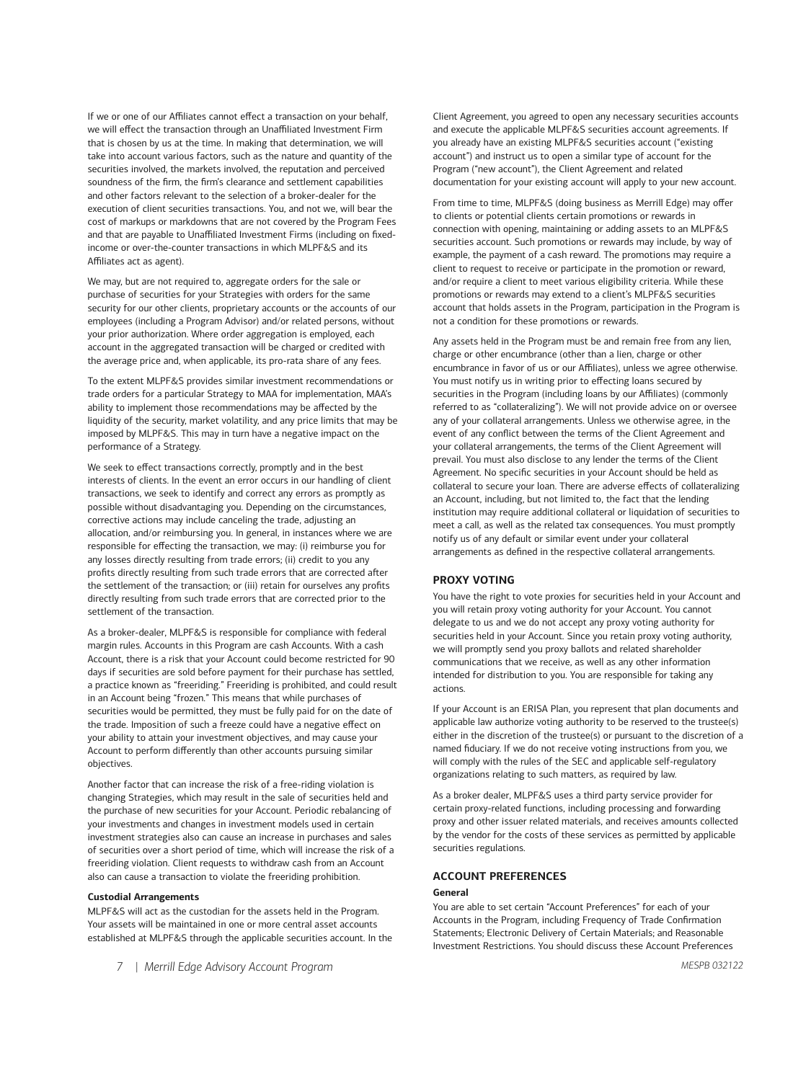If we or one of our Affiliates cannot effect a transaction on your behalf, we will effect the transaction through an Unaffiliated Investment Firm that is chosen by us at the time. In making that determination, we will take into account various factors, such as the nature and quantity of the securities involved, the markets involved, the reputation and perceived soundness of the firm, the firm's clearance and settlement capabilities and other factors relevant to the selection of a broker-dealer for the execution of client securities transactions. You, and not we, will bear the cost of markups or markdowns that are not covered by the Program Fees and that are payable to Unaffiliated Investment Firms (including on fixedincome or over-the-counter transactions in which MLPF&S and its Affiliates act as agent).

We may, but are not required to, aggregate orders for the sale or purchase of securities for your Strategies with orders for the same security for our other clients, proprietary accounts or the accounts of our employees (including a Program Advisor) and/or related persons, without your prior authorization. Where order aggregation is employed, each account in the aggregated transaction will be charged or credited with the average price and, when applicable, its pro-rata share of any fees.

To the extent MLPF&S provides similar investment recommendations or trade orders for a particular Strategy to MAA for implementation, MAA's ability to implement those recommendations may be affected by the liquidity of the security, market volatility, and any price limits that may be imposed by MLPF&S. This may in turn have a negative impact on the performance of a Strategy.

We seek to effect transactions correctly, promptly and in the best interests of clients. In the event an error occurs in our handling of client transactions, we seek to identify and correct any errors as promptly as possible without disadvantaging you. Depending on the circumstances, corrective actions may include canceling the trade, adjusting an allocation, and/or reimbursing you. In general, in instances where we are responsible for effecting the transaction, we may: (i) reimburse you for any losses directly resulting from trade errors; (ii) credit to you any profits directly resulting from such trade errors that are corrected after the settlement of the transaction; or (iii) retain for ourselves any profits directly resulting from such trade errors that are corrected prior to the settlement of the transaction.

As a broker-dealer, MLPF&S is responsible for compliance with federal margin rules. Accounts in this Program are cash Accounts. With a cash Account, there is a risk that your Account could become restricted for 90 days if securities are sold before payment for their purchase has settled, a practice known as "freeriding." Freeriding is prohibited, and could result in an Account being "frozen." This means that while purchases of securities would be permitted, they must be fully paid for on the date of the trade. Imposition of such a freeze could have a negative effect on your ability to attain your investment objectives, and may cause your Account to perform differently than other accounts pursuing similar objectives.

Another factor that can increase the risk of a free-riding violation is changing Strategies, which may result in the sale of securities held and the purchase of new securities for your Account. Periodic rebalancing of your investments and changes in investment models used in certain investment strategies also can cause an increase in purchases and sales of securities over a short period of time, which will increase the risk of a freeriding violation. Client requests to withdraw cash from an Account also can cause a transaction to violate the freeriding prohibition.

#### **Custodial Arrangements**

MLPF&S will act as the custodian for the assets held in the Program. Your assets will be maintained in one or more central asset accounts established at MLPF&S through the applicable securities account. In the

Client Agreement, you agreed to open any necessary securities accounts and execute the applicable MLPF&S securities account agreements. If you already have an existing MLPF&S securities account ("existing account") and instruct us to open a similar type of account for the Program ("new account"), the Client Agreement and related documentation for your existing account will apply to your new account.

From time to time, MLPF&S (doing business as Merrill Edge) may offer to clients or potential clients certain promotions or rewards in connection with opening, maintaining or adding assets to an MLPF&S securities account. Such promotions or rewards may include, by way of example, the payment of a cash reward. The promotions may require a client to request to receive or participate in the promotion or reward, and/or require a client to meet various eligibility criteria. While these promotions or rewards may extend to a client's MLPF&S securities account that holds assets in the Program, participation in the Program is not a condition for these promotions or rewards.

Any assets held in the Program must be and remain free from any lien, charge or other encumbrance (other than a lien, charge or other encumbrance in favor of us or our Affiliates), unless we agree otherwise. You must notify us in writing prior to effecting loans secured by securities in the Program (including loans by our Affiliates) (commonly referred to as "collateralizing"). We will not provide advice on or oversee any of your collateral arrangements. Unless we otherwise agree, in the event of any conflict between the terms of the Client Agreement and your collateral arrangements, the terms of the Client Agreement will prevail. You must also disclose to any lender the terms of the Client Agreement. No specific securities in your Account should be held as collateral to secure your loan. There are adverse effects of collateralizing an Account, including, but not limited to, the fact that the lending institution may require additional collateral or liquidation of securities to meet a call, as well as the related tax consequences. You must promptly notify us of any default or similar event under your collateral arrangements as defined in the respective collateral arrangements.

#### **PROXY VOTING**

You have the right to vote proxies for securities held in your Account and you will retain proxy voting authority for your Account. You cannot delegate to us and we do not accept any proxy voting authority for securities held in your Account. Since you retain proxy voting authority, we will promptly send you proxy ballots and related shareholder communications that we receive, as well as any other information intended for distribution to you. You are responsible for taking any actions.

If your Account is an ERISA Plan, you represent that plan documents and applicable law authorize voting authority to be reserved to the trustee(s) either in the discretion of the trustee(s) or pursuant to the discretion of a named fiduciary. If we do not receive voting instructions from you, we will comply with the rules of the SEC and applicable self-regulatory organizations relating to such matters, as required by law.

As a broker dealer, MLPF&S uses a third party service provider for certain proxy-related functions, including processing and forwarding proxy and other issuer related materials, and receives amounts collected by the vendor for the costs of these services as permitted by applicable securities regulations.

# **ACCOUNT PREFERENCES**

#### **General**

You are able to set certain "Account Preferences" for each of your Accounts in the Program, including Frequency of Trade Confirmation Statements; Electronic Delivery of Certain Materials; and Reasonable Investment Restrictions. You should discuss these Account Preferences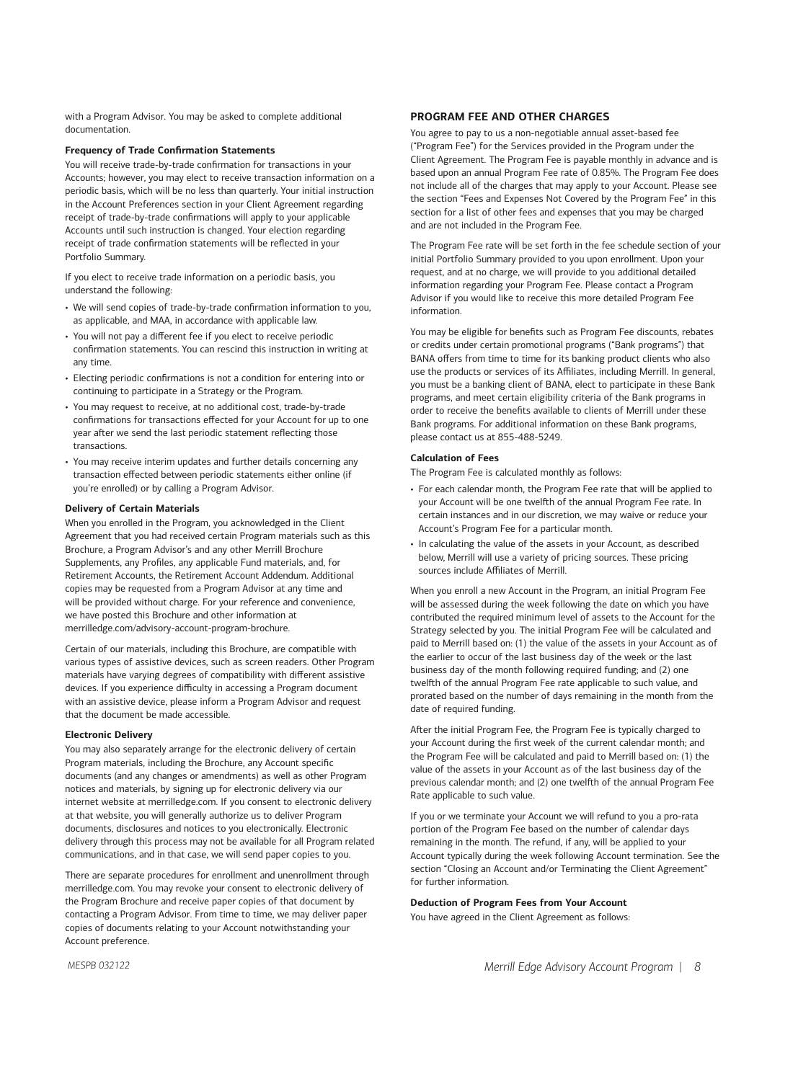with a Program Advisor. You may be asked to complete additional documentation.

## **Frequency of Trade Confirmation Statements**

You will receive trade-by-trade confirmation for transactions in your Accounts; however, you may elect to receive transaction information on a periodic basis, which will be no less than quarterly. Your initial instruction in the Account Preferences section in your Client Agreement regarding receipt of trade-by-trade confirmations will apply to your applicable Accounts until such instruction is changed. Your election regarding receipt of trade confirmation statements will be reflected in your Portfolio Summary.

If you elect to receive trade information on a periodic basis, you understand the following:

- We will send copies of trade-by-trade confirmation information to you, as applicable, and MAA, in accordance with applicable law.
- You will not pay a different fee if you elect to receive periodic confirmation statements. You can rescind this instruction in writing at any time.
- Electing periodic confirmations is not a condition for entering into or continuing to participate in a Strategy or the Program.
- You may request to receive, at no additional cost, trade-by-trade confirmations for transactions effected for your Account for up to one year after we send the last periodic statement reflecting those transactions.
- You may receive interim updates and further details concerning any transaction effected between periodic statements either online (if you're enrolled) or by calling a Program Advisor.

#### **Delivery of Certain Materials**

When you enrolled in the Program, you acknowledged in the Client Agreement that you had received certain Program materials such as this Brochure, a Program Advisor's and any other Merrill Brochure Supplements, any Profiles, any applicable Fund materials, and, for Retirement Accounts, the Retirement Account Addendum. Additional copies may be requested from a Program Advisor at any time and will be provided without charge. For your reference and convenience, we have posted this Brochure and other information at [merrilledge.com/advisory-account-program-brochure.](https://merrilledge.com/advisory-account-program-brochure)

Certain of our materials, including this Brochure, are compatible with various types of assistive devices, such as screen readers. Other Program materials have varying degrees of compatibility with different assistive devices. If you experience difficulty in accessing a Program document with an assistive device, please inform a Program Advisor and request that the document be made accessible.

#### **Electronic Delivery**

You may also separately arrange for the electronic delivery of certain Program materials, including the Brochure, any Account specific documents (and any changes or amendments) as well as other Program notices and materials, by signing up for electronic delivery via our internet website at [merrilledge.com.](https://www.merrilledge.com) If you consent to electronic delivery at that website, you will generally authorize us to deliver Program documents, disclosures and notices to you electronically. Electronic delivery through this process may not be available for all Program related communications, and in that case, we will send paper copies to you.

There are separate procedures for enrollment and unenrollment through [merrilledge.com.](https://www.merrilledge.com) You may revoke your consent to electronic delivery of the Program Brochure and receive paper copies of that document by contacting a Program Advisor. From time to time, we may deliver paper copies of documents relating to your Account notwithstanding your Account preference.

# **PROGRAM FEE AND OTHER CHARGES**

You agree to pay to us a non-negotiable annual asset-based fee ("Program Fee") for the Services provided in the Program under the Client Agreement. The Program Fee is payable monthly in advance and is based upon an annual Program Fee rate of 0.85%. The Program Fee does not include all of the charges that may apply to your Account. Please see the section "Fees and Expenses Not Covered by the Program Fee" in this section for a list of other fees and expenses that you may be charged and are not included in the Program Fee.

The Program Fee rate will be set forth in the fee schedule section of your initial Portfolio Summary provided to you upon enrollment. Upon your request, and at no charge, we will provide to you additional detailed information regarding your Program Fee. Please contact a Program Advisor if you would like to receive this more detailed Program Fee information.

You may be eligible for benefits such as Program Fee discounts, rebates or credits under certain promotional programs ("Bank programs") that BANA offers from time to time for its banking product clients who also use the products or services of its Affiliates, including Merrill. In general, you must be a banking client of BANA, elect to participate in these Bank programs, and meet certain eligibility criteria of the Bank programs in order to receive the benefits available to clients of Merrill under these Bank programs. For additional information on these Bank programs, please contact us at 855-488-5249.

#### **Calculation of Fees**

The Program Fee is calculated monthly as follows:

- For each calendar month, the Program Fee rate that will be applied to your Account will be one twelfth of the annual Program Fee rate. In certain instances and in our discretion, we may waive or reduce your Account's Program Fee for a particular month.
- In calculating the value of the assets in your Account, as described below, Merrill will use a variety of pricing sources. These pricing sources include Affiliates of Merrill.

When you enroll a new Account in the Program, an initial Program Fee will be assessed during the week following the date on which you have contributed the required minimum level of assets to the Account for the Strategy selected by you. The initial Program Fee will be calculated and paid to Merrill based on: (1) the value of the assets in your Account as of the earlier to occur of the last business day of the week or the last business day of the month following required funding; and (2) one twelfth of the annual Program Fee rate applicable to such value, and prorated based on the number of days remaining in the month from the date of required funding.

After the initial Program Fee, the Program Fee is typically charged to your Account during the first week of the current calendar month; and the Program Fee will be calculated and paid to Merrill based on: (1) the value of the assets in your Account as of the last business day of the previous calendar month; and (2) one twelfth of the annual Program Fee Rate applicable to such value.

If you or we terminate your Account we will refund to you a pro-rata portion of the Program Fee based on the number of calendar days remaining in the month. The refund, if any, will be applied to your Account typically during the week following Account termination. See the section "Closing an Account and/or Terminating the Client Agreement" for further information.

#### **Deduction of Program Fees from Your Account**

You have agreed in the Client Agreement as follows: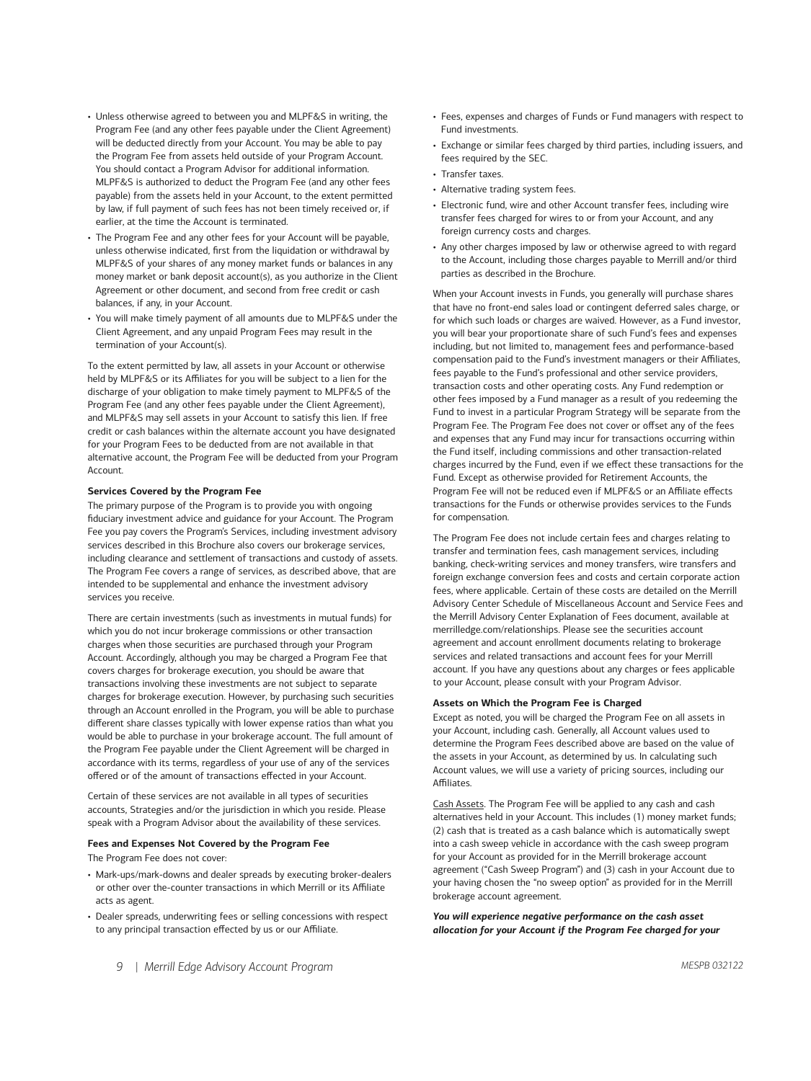- Unless otherwise agreed to between you and MLPF&S in writing, the Program Fee (and any other fees payable under the Client Agreement) will be deducted directly from your Account. You may be able to pay the Program Fee from assets held outside of your Program Account. You should contact a Program Advisor for additional information. MLPF&S is authorized to deduct the Program Fee (and any other fees payable) from the assets held in your Account, to the extent permitted by law, if full payment of such fees has not been timely received or, if earlier, at the time the Account is terminated.
- The Program Fee and any other fees for your Account will be payable, unless otherwise indicated, first from the liquidation or withdrawal by MLPF&S of your shares of any money market funds or balances in any money market or bank deposit account(s), as you authorize in the Client Agreement or other document, and second from free credit or cash balances, if any, in your Account.
- You will make timely payment of all amounts due to MLPF&S under the Client Agreement, and any unpaid Program Fees may result in the termination of your Account(s).

To the extent permitted by law, all assets in your Account or otherwise held by MLPF&S or its Affiliates for you will be subject to a lien for the discharge of your obligation to make timely payment to MLPF&S of the Program Fee (and any other fees payable under the Client Agreement), and MLPF&S may sell assets in your Account to satisfy this lien. If free credit or cash balances within the alternate account you have designated for your Program Fees to be deducted from are not available in that alternative account, the Program Fee will be deducted from your Program Account.

#### **Services Covered by the Program Fee**

The primary purpose of the Program is to provide you with ongoing fiduciary investment advice and guidance for your Account. The Program Fee you pay covers the Program's Services, including investment advisory services described in this Brochure also covers our brokerage services, including clearance and settlement of transactions and custody of assets. The Program Fee covers a range of services, as described above, that are intended to be supplemental and enhance the investment advisory services you receive.

There are certain investments (such as investments in mutual funds) for which you do not incur brokerage commissions or other transaction charges when those securities are purchased through your Program Account. Accordingly, although you may be charged a Program Fee that covers charges for brokerage execution, you should be aware that transactions involving these investments are not subject to separate charges for brokerage execution. However, by purchasing such securities through an Account enrolled in the Program, you will be able to purchase different share classes typically with lower expense ratios than what you would be able to purchase in your brokerage account. The full amount of the Program Fee payable under the Client Agreement will be charged in accordance with its terms, regardless of your use of any of the services offered or of the amount of transactions effected in your Account.

Certain of these services are not available in all types of securities accounts, Strategies and/or the jurisdiction in which you reside. Please speak with a Program Advisor about the availability of these services.

#### **Fees and Expenses Not Covered by the Program Fee**

The Program Fee does not cover:

- Mark-ups/mark-downs and dealer spreads by executing broker-dealers or other over the-counter transactions in which Merrill or its Affiliate acts as agent.
- Dealer spreads, underwriting fees or selling concessions with respect to any principal transaction effected by us or our Affiliate.
- Fees, expenses and charges of Funds or Fund managers with respect to Fund investments.
- Exchange or similar fees charged by third parties, including issuers, and fees required by the SEC.
- Transfer taxes.
- Alternative trading system fees.
- Electronic fund, wire and other Account transfer fees, including wire transfer fees charged for wires to or from your Account, and any foreign currency costs and charges.
- Any other charges imposed by law or otherwise agreed to with regard to the Account, including those charges payable to Merrill and/or third parties as described in the Brochure.

When your Account invests in Funds, you generally will purchase shares that have no front-end sales load or contingent deferred sales charge, or for which such loads or charges are waived. However, as a Fund investor, you will bear your proportionate share of such Fund's fees and expenses including, but not limited to, management fees and performance-based compensation paid to the Fund's investment managers or their Affiliates, fees payable to the Fund's professional and other service providers, transaction costs and other operating costs. Any Fund redemption or other fees imposed by a Fund manager as a result of you redeeming the Fund to invest in a particular Program Strategy will be separate from the Program Fee. The Program Fee does not cover or offset any of the fees and expenses that any Fund may incur for transactions occurring within the Fund itself, including commissions and other transaction-related charges incurred by the Fund, even if we effect these transactions for the Fund. Except as otherwise provided for Retirement Accounts, the Program Fee will not be reduced even if MLPF&S or an Affiliate effects transactions for the Funds or otherwise provides services to the Funds for compensation.

The Program Fee does not include certain fees and charges relating to transfer and termination fees, cash management services, including banking, check-writing services and money transfers, wire transfers and foreign exchange conversion fees and costs and certain corporate action fees, where applicable. Certain of these costs are detailed on the [Merrill](https://mlaem.fs.ml.com/content/dam/ML/pdfs/me-advised-investing-fees.pdf)  [Advisory Center Schedule of Miscellaneous Account and Service Fees](https://mlaem.fs.ml.com/content/dam/ML/pdfs/me-advised-investing-fees.pdf) and the [Merrill Advisory Center Explanation of Fees](https://olui2.fs.ml.com/Publish/Content/application/pdf/GWMOL/ME-merrill-advisory-center-trading-fees.pdf) document, available at [merrilledge.com/relationships.](https://www.merrilledge.com/investing/making-informed-decisions) Please see the securities account agreement and account enrollment documents relating to brokerage services and related transactions and account fees for your Merrill account. If you have any questions about any charges or fees applicable to your Account, please consult with your Program Advisor.

#### **Assets on Which the Program Fee is Charged**

Except as noted, you will be charged the Program Fee on all assets in your Account, including cash. Generally, all Account values used to determine the Program Fees described above are based on the value of the assets in your Account, as determined by us. In calculating such Account values, we will use a variety of pricing sources, including our Affiliates.

Cash Assets. The Program Fee will be applied to any cash and cash alternatives held in your Account. This includes (1) money market funds; (2) cash that is treated as a cash balance which is automatically swept into a cash sweep vehicle in accordance with the cash sweep program for your Account as provided for in the Merrill brokerage account agreement ("Cash Sweep Program") and (3) cash in your Account due to your having chosen the "no sweep option" as provided for in the Merrill brokerage account agreement.

*You will experience negative performance on the cash asset allocation for your Account if the Program Fee charged for your*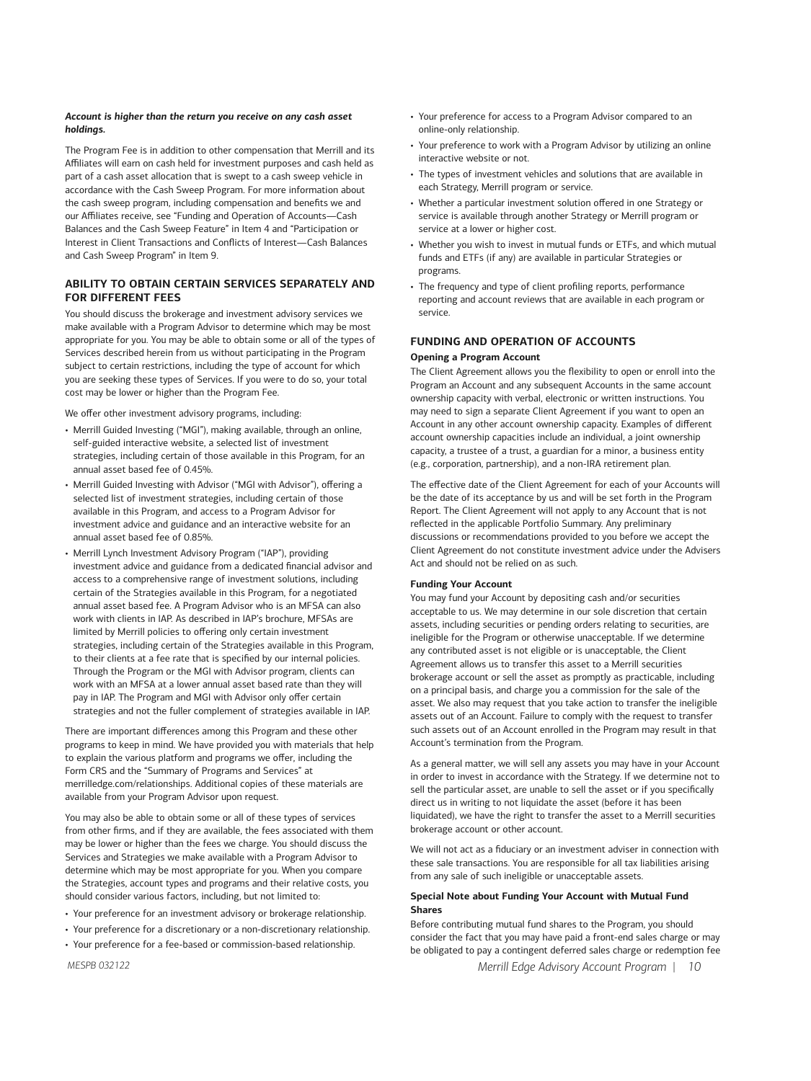#### *Account is higher than the return you receive on any cash asset holdings.*

The Program Fee is in addition to other compensation that Merrill and its Affiliates will earn on cash held for investment purposes and cash held as part of a cash asset allocation that is swept to a cash sweep vehicle in accordance with the Cash Sweep Program. For more information about the cash sweep program, including compensation and benefits we and our Affiliates receive, see "Funding and Operation of Accounts—Cash Balances and the Cash Sweep Feature" in Item 4 and "Participation or Interest in Client Transactions and Conflicts of Interest—Cash Balances and Cash Sweep Program" in Item 9.

# **ABILITY TO OBTAIN CERTAIN SERVICES SEPARATELY AND FOR DIFFERENT FEES**

You should discuss the brokerage and investment advisory services we make available with a Program Advisor to determine which may be most appropriate for you. You may be able to obtain some or all of the types of Services described herein from us without participating in the Program subject to certain restrictions, including the type of account for which you are seeking these types of Services. If you were to do so, your total cost may be lower or higher than the Program Fee.

We offer other investment advisory programs, including:

- Merrill Guided Investing ("MGI"), making available, through an online, self-guided interactive website, a selected list of investment strategies, including certain of those available in this Program, for an annual asset based fee of 0.45%.
- Merrill Guided Investing with Advisor ("MGI with Advisor"), offering a selected list of investment strategies, including certain of those available in this Program, and access to a Program Advisor for investment advice and guidance and an interactive website for an annual asset based fee of 0.85%.
- Merrill Lynch Investment Advisory Program ("IAP"), providing investment advice and guidance from a dedicated financial advisor and access to a comprehensive range of investment solutions, including certain of the Strategies available in this Program, for a negotiated annual asset based fee. A Program Advisor who is an MFSA can also work with clients in IAP. As described in IAP's brochure, MFSAs are limited by Merrill policies to offering only certain investment strategies, including certain of the Strategies available in this Program, to their clients at a fee rate that is specified by our internal policies. Through the Program or the MGI with Advisor program, clients can work with an MFSA at a lower annual asset based rate than they will pay in IAP. The Program and MGI with Advisor only offer certain strategies and not the fuller complement of strategies available in IAP.

There are important differences among this Program and these other programs to keep in mind. We have provided you with materials that help to explain the various platform and programs we offer, including the Form CRS and the "Summary of Programs and Services" at [merrilledge.com/relationships.](https://merrilledge.com/relationships) Additional copies of these materials are available from your Program Advisor upon request.

You may also be able to obtain some or all of these types of services from other firms, and if they are available, the fees associated with them may be lower or higher than the fees we charge. You should discuss the Services and Strategies we make available with a Program Advisor to determine which may be most appropriate for you. When you compare the Strategies, account types and programs and their relative costs, you should consider various factors, including, but not limited to:

- Your preference for an investment advisory or brokerage relationship.
- Your preference for a discretionary or a non-discretionary relationship.
- Your preference for a fee-based or commission-based relationship.
- *MESPB 032122*
- Your preference for access to a Program Advisor compared to an online-only relationship.
- Your preference to work with a Program Advisor by utilizing an online interactive website or not.
- The types of investment vehicles and solutions that are available in each Strategy, Merrill program or service.
- Whether a particular investment solution offered in one Strategy or service is available through another Strategy or Merrill program or service at a lower or higher cost.
- Whether you wish to invest in mutual funds or ETFs, and which mutual funds and ETFs (if any) are available in particular Strategies or programs.
- The frequency and type of client profiling reports, performance reporting and account reviews that are available in each program or service.

# **FUNDING AND OPERATION OF ACCOUNTS**

#### **Opening a Program Account**

The Client Agreement allows you the flexibility to open or enroll into the Program an Account and any subsequent Accounts in the same account ownership capacity with verbal, electronic or written instructions. You may need to sign a separate Client Agreement if you want to open an Account in any other account ownership capacity. Examples of different account ownership capacities include an individual, a joint ownership capacity, a trustee of a trust, a guardian for a minor, a business entity (e.g., corporation, partnership), and a non-IRA retirement plan.

The effective date of the Client Agreement for each of your Accounts will be the date of its acceptance by us and will be set forth in the Program Report. The Client Agreement will not apply to any Account that is not reflected in the applicable Portfolio Summary. Any preliminary discussions or recommendations provided to you before we accept the Client Agreement do not constitute investment advice under the Advisers Act and should not be relied on as such.

#### **Funding Your Account**

You may fund your Account by depositing cash and/or securities acceptable to us. We may determine in our sole discretion that certain assets, including securities or pending orders relating to securities, are ineligible for the Program or otherwise unacceptable. If we determine any contributed asset is not eligible or is unacceptable, the Client Agreement allows us to transfer this asset to a Merrill securities brokerage account or sell the asset as promptly as practicable, including on a principal basis, and charge you a commission for the sale of the asset. We also may request that you take action to transfer the ineligible assets out of an Account. Failure to comply with the request to transfer such assets out of an Account enrolled in the Program may result in that Account's termination from the Program.

As a general matter, we will sell any assets you may have in your Account in order to invest in accordance with the Strategy. If we determine not to sell the particular asset, are unable to sell the asset or if you specifically direct us in writing to not liquidate the asset (before it has been liquidated), we have the right to transfer the asset to a Merrill securities brokerage account or other account.

We will not act as a fiduciary or an investment adviser in connection with these sale transactions. You are responsible for all tax liabilities arising from any sale of such ineligible or unacceptable assets.

#### **Special Note about Funding Your Account with Mutual Fund Shares**

Before contributing mutual fund shares to the Program, you should consider the fact that you may have paid a front-end sales charge or may be obligated to pay a contingent deferred sales charge or redemption fee

*Merrill Edge Advisory Account Program | 10*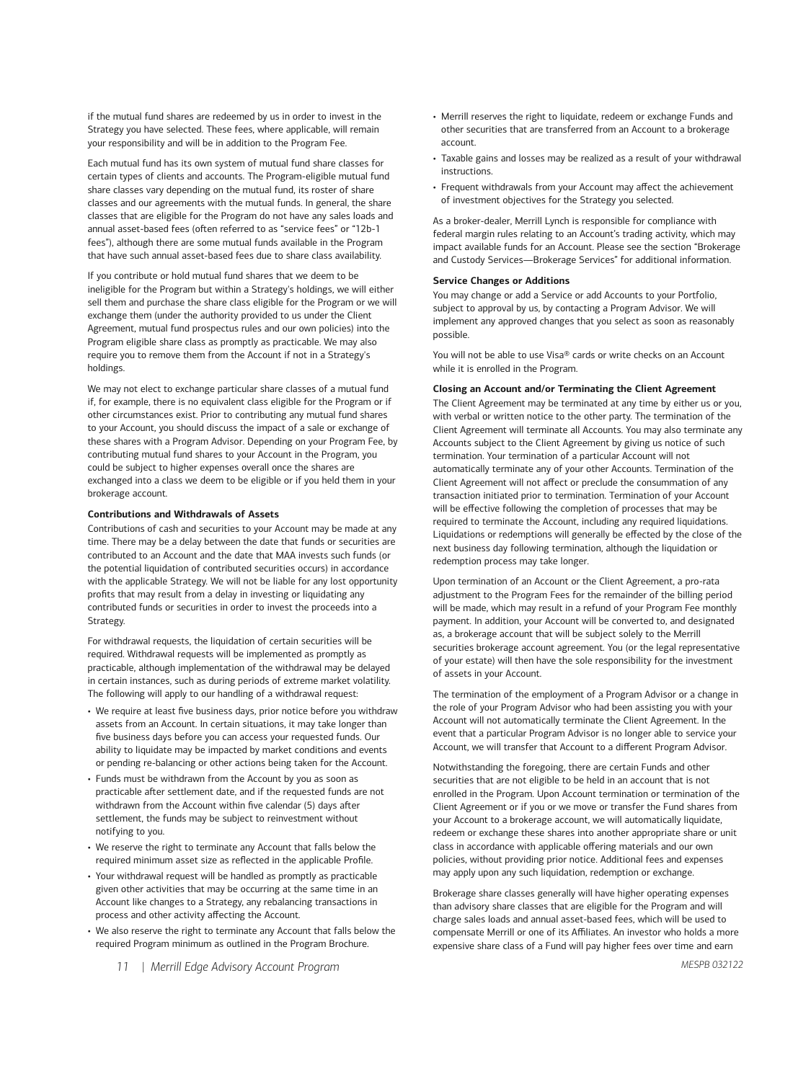if the mutual fund shares are redeemed by us in order to invest in the Strategy you have selected. These fees, where applicable, will remain your responsibility and will be in addition to the Program Fee.

Each mutual fund has its own system of mutual fund share classes for certain types of clients and accounts. The Program-eligible mutual fund share classes vary depending on the mutual fund, its roster of share classes and our agreements with the mutual funds. In general, the share classes that are eligible for the Program do not have any sales loads and annual asset-based fees (often referred to as "service fees" or "12b-1 fees"), although there are some mutual funds available in the Program that have such annual asset-based fees due to share class availability.

If you contribute or hold mutual fund shares that we deem to be ineligible for the Program but within a Strategy's holdings, we will either sell them and purchase the share class eligible for the Program or we will exchange them (under the authority provided to us under the Client Agreement, mutual fund prospectus rules and our own policies) into the Program eligible share class as promptly as practicable. We may also require you to remove them from the Account if not in a Strategy's holdings.

We may not elect to exchange particular share classes of a mutual fund if, for example, there is no equivalent class eligible for the Program or if other circumstances exist. Prior to contributing any mutual fund shares to your Account, you should discuss the impact of a sale or exchange of these shares with a Program Advisor. Depending on your Program Fee, by contributing mutual fund shares to your Account in the Program, you could be subject to higher expenses overall once the shares are exchanged into a class we deem to be eligible or if you held them in your brokerage account.

#### **Contributions and Withdrawals of Assets**

Contributions of cash and securities to your Account may be made at any time. There may be a delay between the date that funds or securities are contributed to an Account and the date that MAA invests such funds (or the potential liquidation of contributed securities occurs) in accordance with the applicable Strategy. We will not be liable for any lost opportunity profits that may result from a delay in investing or liquidating any contributed funds or securities in order to invest the proceeds into a Strategy.

For withdrawal requests, the liquidation of certain securities will be required. Withdrawal requests will be implemented as promptly as practicable, although implementation of the withdrawal may be delayed in certain instances, such as during periods of extreme market volatility. The following will apply to our handling of a withdrawal request:

- We require at least five business days, prior notice before you withdraw assets from an Account. In certain situations, it may take longer than five business days before you can access your requested funds. Our ability to liquidate may be impacted by market conditions and events or pending re-balancing or other actions being taken for the Account.
- Funds must be withdrawn from the Account by you as soon as practicable after settlement date, and if the requested funds are not withdrawn from the Account within five calendar (5) days after settlement, the funds may be subject to reinvestment without notifying to you.
- We reserve the right to terminate any Account that falls below the required minimum asset size as reflected in the applicable Profile.
- Your withdrawal request will be handled as promptly as practicable given other activities that may be occurring at the same time in an Account like changes to a Strategy, any rebalancing transactions in process and other activity affecting the Account.
- We also reserve the right to terminate any Account that falls below the required Program minimum as outlined in the Program Brochure.
- Merrill reserves the right to liquidate, redeem or exchange Funds and other securities that are transferred from an Account to a brokerage account.
- Taxable gains and losses may be realized as a result of your withdrawal instructions.
- Frequent withdrawals from your Account may affect the achievement of investment objectives for the Strategy you selected.

As a broker-dealer, Merrill Lynch is responsible for compliance with federal margin rules relating to an Account's trading activity, which may impact available funds for an Account. Please see the section "Brokerage and Custody Services—Brokerage Services" for additional information.

#### **Service Changes or Additions**

You may change or add a Service or add Accounts to your Portfolio, subject to approval by us, by contacting a Program Advisor. We will implement any approved changes that you select as soon as reasonably possible.

You will not be able to use Visa® cards or write checks on an Account while it is enrolled in the Program.

#### **Closing an Account and/or Terminating the Client Agreement**

The Client Agreement may be terminated at any time by either us or you, with verbal or written notice to the other party. The termination of the Client Agreement will terminate all Accounts. You may also terminate any Accounts subject to the Client Agreement by giving us notice of such termination. Your termination of a particular Account will not automatically terminate any of your other Accounts. Termination of the Client Agreement will not affect or preclude the consummation of any transaction initiated prior to termination. Termination of your Account will be effective following the completion of processes that may be required to terminate the Account, including any required liquidations. Liquidations or redemptions will generally be effected by the close of the next business day following termination, although the liquidation or redemption process may take longer.

Upon termination of an Account or the Client Agreement, a pro-rata adjustment to the Program Fees for the remainder of the billing period will be made, which may result in a refund of your Program Fee monthly payment. In addition, your Account will be converted to, and designated as, a brokerage account that will be subject solely to the Merrill securities brokerage account agreement. You (or the legal representative of your estate) will then have the sole responsibility for the investment of assets in your Account.

The termination of the employment of a Program Advisor or a change in the role of your Program Advisor who had been assisting you with your Account will not automatically terminate the Client Agreement. In the event that a particular Program Advisor is no longer able to service your Account, we will transfer that Account to a different Program Advisor.

Notwithstanding the foregoing, there are certain Funds and other securities that are not eligible to be held in an account that is not enrolled in the Program. Upon Account termination or termination of the Client Agreement or if you or we move or transfer the Fund shares from your Account to a brokerage account, we will automatically liquidate, redeem or exchange these shares into another appropriate share or unit class in accordance with applicable offering materials and our own policies, without providing prior notice. Additional fees and expenses may apply upon any such liquidation, redemption or exchange.

Brokerage share classes generally will have higher operating expenses than advisory share classes that are eligible for the Program and will charge sales loads and annual asset-based fees, which will be used to compensate Merrill or one of its Affiliates. An investor who holds a more expensive share class of a Fund will pay higher fees over time and earn

*11 | Merrill Edge Advisory Account Program*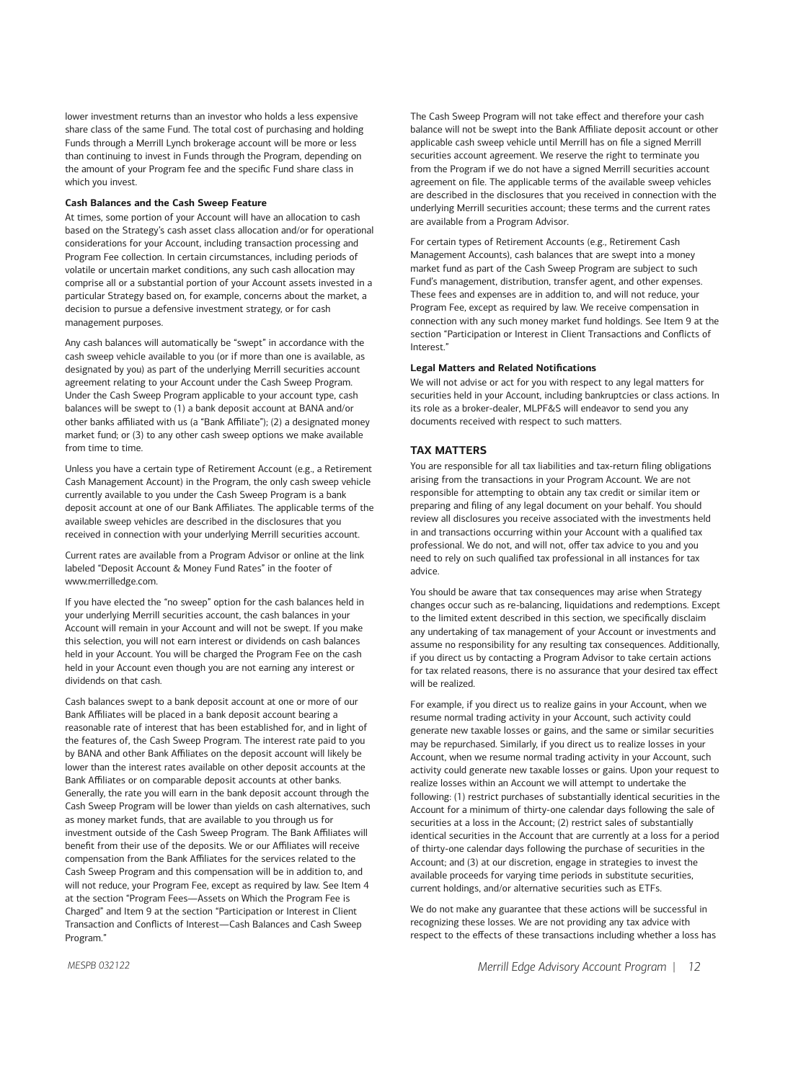lower investment returns than an investor who holds a less expensive share class of the same Fund. The total cost of purchasing and holding Funds through a Merrill Lynch brokerage account will be more or less than continuing to invest in Funds through the Program, depending on the amount of your Program fee and the specific Fund share class in which you invest.

# **Cash Balances and the Cash Sweep Feature**

At times, some portion of your Account will have an allocation to cash based on the Strategy's cash asset class allocation and/or for operational considerations for your Account, including transaction processing and Program Fee collection. In certain circumstances, including periods of volatile or uncertain market conditions, any such cash allocation may comprise all or a substantial portion of your Account assets invested in a particular Strategy based on, for example, concerns about the market, a decision to pursue a defensive investment strategy, or for cash management purposes.

Any cash balances will automatically be "swept" in accordance with the cash sweep vehicle available to you (or if more than one is available, as designated by you) as part of the underlying Merrill securities account agreement relating to your Account under the Cash Sweep Program. Under the Cash Sweep Program applicable to your account type, cash balances will be swept to (1) a bank deposit account at BANA and/or other banks affiliated with us (a "Bank Affiliate"); (2) a designated money market fund; or (3) to any other cash sweep options we make available from time to time.

Unless you have a certain type of Retirement Account (e.g., a Retirement Cash Management Account) in the Program, the only cash sweep vehicle currently available to you under the Cash Sweep Program is a bank deposit account at one of our Bank Affiliates. The applicable terms of the available sweep vehicles are described in the disclosures that you received in connection with your underlying Merrill securities account.

Current rates are available from a Program Advisor or online at the link labeled "Deposit Account & Money Fund Rates" in the footer of [www.merrilledge.com.](https://www.merrilledge.com)

If you have elected the "no sweep" option for the cash balances held in your underlying Merrill securities account, the cash balances in your Account will remain in your Account and will not be swept. If you make this selection, you will not earn interest or dividends on cash balances held in your Account. You will be charged the Program Fee on the cash held in your Account even though you are not earning any interest or dividends on that cash.

Cash balances swept to a bank deposit account at one or more of our Bank Affiliates will be placed in a bank deposit account bearing a reasonable rate of interest that has been established for, and in light of the features of, the Cash Sweep Program. The interest rate paid to you by BANA and other Bank Affiliates on the deposit account will likely be lower than the interest rates available on other deposit accounts at the Bank Affiliates or on comparable deposit accounts at other banks. Generally, the rate you will earn in the bank deposit account through the Cash Sweep Program will be lower than yields on cash alternatives, such as money market funds, that are available to you through us for investment outside of the Cash Sweep Program. The Bank Affiliates will benefit from their use of the deposits. We or our Affiliates will receive compensation from the Bank Affiliates for the services related to the Cash Sweep Program and this compensation will be in addition to, and will not reduce, your Program Fee, except as required by law. See Item 4 at the section "Program Fees—Assets on Which the Program Fee is Charged" and Item 9 at the section "Participation or Interest in Client Transaction and Conflicts of Interest—Cash Balances and Cash Sweep Program."

The Cash Sweep Program will not take effect and therefore your cash balance will not be swept into the Bank Affiliate deposit account or other applicable cash sweep vehicle until Merrill has on file a signed Merrill securities account agreement. We reserve the right to terminate you from the Program if we do not have a signed Merrill securities account agreement on file. The applicable terms of the available sweep vehicles are described in the disclosures that you received in connection with the underlying Merrill securities account; these terms and the current rates are available from a Program Advisor.

For certain types of Retirement Accounts (e.g., Retirement Cash Management Accounts), cash balances that are swept into a money market fund as part of the Cash Sweep Program are subject to such Fund's management, distribution, transfer agent, and other expenses. These fees and expenses are in addition to, and will not reduce, your Program Fee, except as required by law. We receive compensation in connection with any such money market fund holdings. See Item 9 at the section "Participation or Interest in Client Transactions and Conflicts of Interest."

# **Legal Matters and Related Notifications**

We will not advise or act for you with respect to any legal matters for securities held in your Account, including bankruptcies or class actions. In its role as a broker-dealer, MLPF&S will endeavor to send you any documents received with respect to such matters.

#### **TAX MATTERS**

You are responsible for all tax liabilities and tax-return filing obligations arising from the transactions in your Program Account. We are not responsible for attempting to obtain any tax credit or similar item or preparing and filing of any legal document on your behalf. You should review all disclosures you receive associated with the investments held in and transactions occurring within your Account with a qualified tax professional. We do not, and will not, offer tax advice to you and you need to rely on such qualified tax professional in all instances for tax advice.

You should be aware that tax consequences may arise when Strategy changes occur such as re-balancing, liquidations and redemptions. Except to the limited extent described in this section, we specifically disclaim any undertaking of tax management of your Account or investments and assume no responsibility for any resulting tax consequences. Additionally, if you direct us by contacting a Program Advisor to take certain actions for tax related reasons, there is no assurance that your desired tax effect will be realized.

For example, if you direct us to realize gains in your Account, when we resume normal trading activity in your Account, such activity could generate new taxable losses or gains, and the same or similar securities may be repurchased. Similarly, if you direct us to realize losses in your Account, when we resume normal trading activity in your Account, such activity could generate new taxable losses or gains. Upon your request to realize losses within an Account we will attempt to undertake the following: (1) restrict purchases of substantially identical securities in the Account for a minimum of thirty-one calendar days following the sale of securities at a loss in the Account; (2) restrict sales of substantially identical securities in the Account that are currently at a loss for a period of thirty-one calendar days following the purchase of securities in the Account; and (3) at our discretion, engage in strategies to invest the available proceeds for varying time periods in substitute securities, current holdings, and/or alternative securities such as ETFs.

We do not make any guarantee that these actions will be successful in recognizing these losses. We are not providing any tax advice with respect to the effects of these transactions including whether a loss has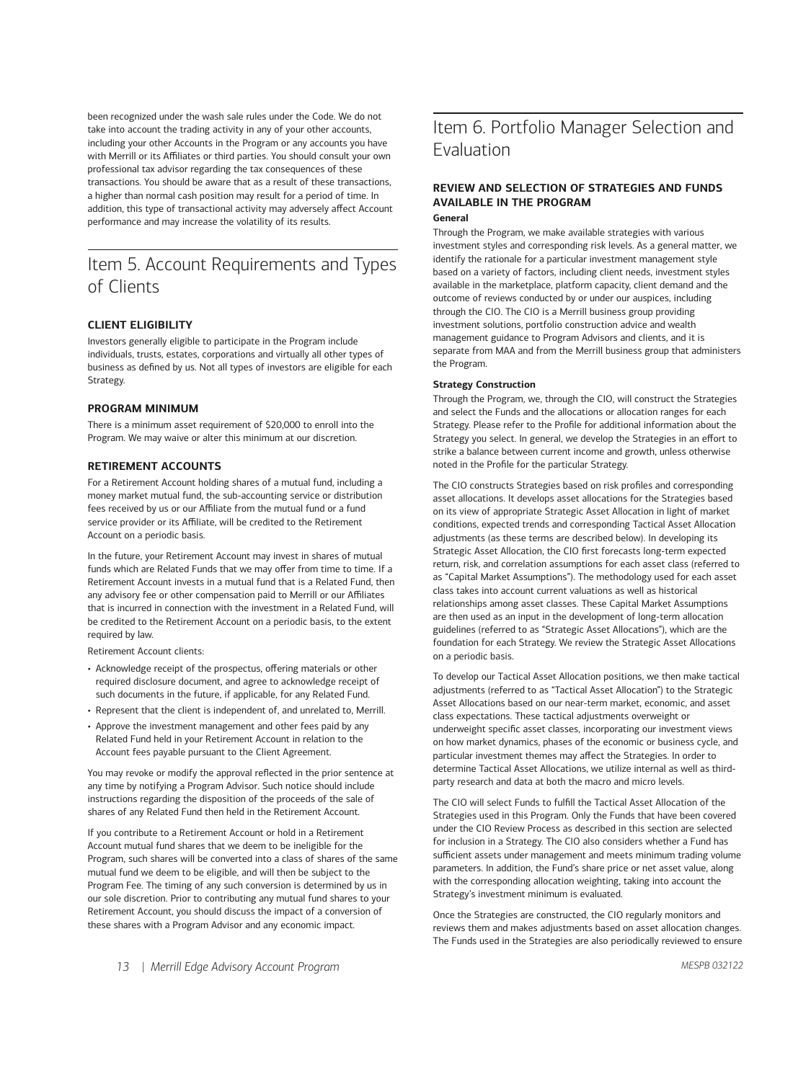been recognized under the wash sale rules under the Code. We do not take into account the trading activity in any of your other accounts, including your other Accounts in the Program or any accounts you have with Merrill or its Affiliates or third parties. You should consult your own professional tax advisor regarding the tax consequences of these transactions. You should be aware that as a result of these transactions, a higher than normal cash position may result for a period of time. In addition, this type of transactional activity may adversely affect Account performance and may increase the volatility of its results.

# Item 5. Account Requirements and Types of Clients

# **CLIENT ELIGIBILITY**

Investors generally eligible to participate in the Program include individuals, trusts, estates, corporations and virtually all other types of business as defined by us. Not all types of investors are eligible for each Strategy.

#### **PROGRAM MINIMUM**

There is a minimum asset requirement of \$20,000 to enroll into the Program. We may waive or alter this minimum at our discretion.

#### **RETIREMENT ACCOUNTS**

For a Retirement Account holding shares of a mutual fund, including a money market mutual fund, the sub-accounting service or distribution fees received by us or our Affiliate from the mutual fund or a fund service provider or its Affiliate, will be credited to the Retirement Account on a periodic basis.

In the future, your Retirement Account may invest in shares of mutual funds which are Related Funds that we may offer from time to time. If a Retirement Account invests in a mutual fund that is a Related Fund, then any advisory fee or other compensation paid to Merrill or our Affiliates that is incurred in connection with the investment in a Related Fund, will be credited to the Retirement Account on a periodic basis, to the extent required by law.

Retirement Account clients:

- Acknowledge receipt of the prospectus, offering materials or other required disclosure document, and agree to acknowledge receipt of such documents in the future, if applicable, for any Related Fund.
- Represent that the client is independent of, and unrelated to, Merrill.
- Approve the investment management and other fees paid by any Related Fund held in your Retirement Account in relation to the Account fees payable pursuant to the Client Agreement.

You may revoke or modify the approval reflected in the prior sentence at any time by notifying a Program Advisor. Such notice should include instructions regarding the disposition of the proceeds of the sale of shares of any Related Fund then held in the Retirement Account.

If you contribute to a Retirement Account or hold in a Retirement Account mutual fund shares that we deem to be ineligible for the Program, such shares will be converted into a class of shares of the same mutual fund we deem to be eligible, and will then be subject to the Program Fee. The timing of any such conversion is determined by us in our sole discretion. Prior to contributing any mutual fund shares to your Retirement Account, you should discuss the impact of a conversion of these shares with a Program Advisor and any economic impact.

# Item 6. Portfolio Manager Selection and Evaluation

#### **REVIEW AND SELECTION OF STRATEGIES AND FUNDS AVAILABLE IN THE PROGRAM General**

Through the Program, we make available strategies with various investment styles and corresponding risk levels. As a general matter, we identify the rationale for a particular investment management style based on a variety of factors, including client needs, investment styles available in the marketplace, platform capacity, client demand and the outcome of reviews conducted by or under our auspices, including through the CIO. The CIO is a Merrill business group providing investment solutions, portfolio construction advice and wealth management guidance to Program Advisors and clients, and it is separate from MAA and from the Merrill business group that administers the Program.

#### **Strategy Construction**

Through the Program, we, through the CIO, will construct the Strategies and select the Funds and the allocations or allocation ranges for each Strategy. Please refer to the Profile for additional information about the Strategy you select. In general, we develop the Strategies in an effort to strike a balance between current income and growth, unless otherwise noted in the Profile for the particular Strategy.

The CIO constructs Strategies based on risk profiles and corresponding asset allocations. It develops asset allocations for the Strategies based on its view of appropriate Strategic Asset Allocation in light of market conditions, expected trends and corresponding Tactical Asset Allocation adjustments (as these terms are described below). In developing its Strategic Asset Allocation, the CIO first forecasts long-term expected return, risk, and correlation assumptions for each asset class (referred to as "Capital Market Assumptions"). The methodology used for each asset class takes into account current valuations as well as historical relationships among asset classes. These Capital Market Assumptions are then used as an input in the development of long-term allocation guidelines (referred to as "Strategic Asset Allocations"), which are the foundation for each Strategy. We review the Strategic Asset Allocations on a periodic basis.

To develop our Tactical Asset Allocation positions, we then make tactical adjustments (referred to as "Tactical Asset Allocation") to the Strategic Asset Allocations based on our near-term market, economic, and asset class expectations. These tactical adjustments overweight or underweight specific asset classes, incorporating our investment views on how market dynamics, phases of the economic or business cycle, and particular investment themes may affect the Strategies. In order to determine Tactical Asset Allocations, we utilize internal as well as thirdparty research and data at both the macro and micro levels.

The CIO will select Funds to fulfill the Tactical Asset Allocation of the Strategies used in this Program. Only the Funds that have been covered under the CIO Review Process as described in this section are selected for inclusion in a Strategy. The CIO also considers whether a Fund has sufficient assets under management and meets minimum trading volume parameters. In addition, the Fund's share price or net asset value, along with the corresponding allocation weighting, taking into account the Strategy's investment minimum is evaluated.

Once the Strategies are constructed, the CIO regularly monitors and reviews them and makes adjustments based on asset allocation changes. The Funds used in the Strategies are also periodically reviewed to ensure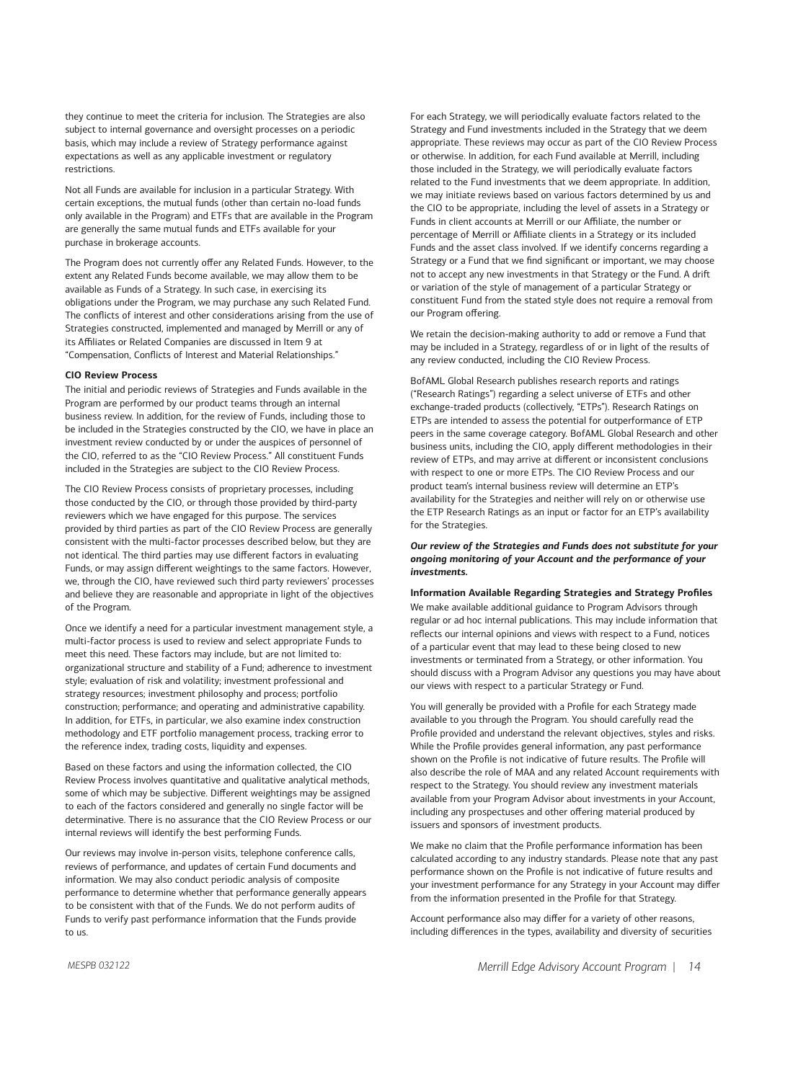they continue to meet the criteria for inclusion. The Strategies are also subject to internal governance and oversight processes on a periodic basis, which may include a review of Strategy performance against expectations as well as any applicable investment or regulatory restrictions.

Not all Funds are available for inclusion in a particular Strategy. With certain exceptions, the mutual funds (other than certain no-load funds only available in the Program) and ETFs that are available in the Program are generally the same mutual funds and ETFs available for your purchase in brokerage accounts.

The Program does not currently offer any Related Funds. However, to the extent any Related Funds become available, we may allow them to be available as Funds of a Strategy. In such case, in exercising its obligations under the Program, we may purchase any such Related Fund. The conflicts of interest and other considerations arising from the use of Strategies constructed, implemented and managed by Merrill or any of its Affiliates or Related Companies are discussed in Item 9 at "Compensation, Conflicts of Interest and Material Relationships."

#### **CIO Review Process**

The initial and periodic reviews of Strategies and Funds available in the Program are performed by our product teams through an internal business review. In addition, for the review of Funds, including those to be included in the Strategies constructed by the CIO, we have in place an investment review conducted by or under the auspices of personnel of the CIO, referred to as the "CIO Review Process." All constituent Funds included in the Strategies are subject to the CIO Review Process.

The CIO Review Process consists of proprietary processes, including those conducted by the CIO, or through those provided by third-party reviewers which we have engaged for this purpose. The services provided by third parties as part of the CIO Review Process are generally consistent with the multi-factor processes described below, but they are not identical. The third parties may use different factors in evaluating Funds, or may assign different weightings to the same factors. However, we, through the CIO, have reviewed such third party reviewers' processes and believe they are reasonable and appropriate in light of the objectives of the Program.

Once we identify a need for a particular investment management style, a multi-factor process is used to review and select appropriate Funds to meet this need. These factors may include, but are not limited to: organizational structure and stability of a Fund; adherence to investment style; evaluation of risk and volatility; investment professional and strategy resources; investment philosophy and process; portfolio construction; performance; and operating and administrative capability. In addition, for ETFs, in particular, we also examine index construction methodology and ETF portfolio management process, tracking error to the reference index, trading costs, liquidity and expenses.

Based on these factors and using the information collected, the CIO Review Process involves quantitative and qualitative analytical methods, some of which may be subjective. Different weightings may be assigned to each of the factors considered and generally no single factor will be determinative. There is no assurance that the CIO Review Process or our internal reviews will identify the best performing Funds.

Our reviews may involve in-person visits, telephone conference calls, reviews of performance, and updates of certain Fund documents and information. We may also conduct periodic analysis of composite performance to determine whether that performance generally appears to be consistent with that of the Funds. We do not perform audits of Funds to verify past performance information that the Funds provide to us.

For each Strategy, we will periodically evaluate factors related to the Strategy and Fund investments included in the Strategy that we deem appropriate. These reviews may occur as part of the CIO Review Process or otherwise. In addition, for each Fund available at Merrill, including those included in the Strategy, we will periodically evaluate factors related to the Fund investments that we deem appropriate. In addition, we may initiate reviews based on various factors determined by us and the CIO to be appropriate, including the level of assets in a Strategy or Funds in client accounts at Merrill or our Affiliate, the number or percentage of Merrill or Affiliate clients in a Strategy or its included Funds and the asset class involved. If we identify concerns regarding a Strategy or a Fund that we find significant or important, we may choose not to accept any new investments in that Strategy or the Fund. A drift or variation of the style of management of a particular Strategy or constituent Fund from the stated style does not require a removal from our Program offering.

We retain the decision-making authority to add or remove a Fund that may be included in a Strategy, regardless of or in light of the results of any review conducted, including the CIO Review Process.

BofAML Global Research publishes research reports and ratings ("Research Ratings") regarding a select universe of ETFs and other exchange-traded products (collectively, "ETPs"). Research Ratings on ETPs are intended to assess the potential for outperformance of ETP peers in the same coverage category. BofAML Global Research and other business units, including the CIO, apply different methodologies in their review of ETPs, and may arrive at different or inconsistent conclusions with respect to one or more ETPs. The CIO Review Process and our product team's internal business review will determine an ETP's availability for the Strategies and neither will rely on or otherwise use the ETP Research Ratings as an input or factor for an ETP's availability for the Strategies.

#### *Our review of the Strategies and Funds does not substitute for your ongoing monitoring of your Account and the performance of your investments.*

#### **Information Available Regarding Strategies and Strategy Profiles**

We make available additional guidance to Program Advisors through regular or ad hoc internal publications. This may include information that reflects our internal opinions and views with respect to a Fund, notices of a particular event that may lead to these being closed to new investments or terminated from a Strategy, or other information. You should discuss with a Program Advisor any questions you may have about our views with respect to a particular Strategy or Fund.

You will generally be provided with a Profile for each Strategy made available to you through the Program. You should carefully read the Profile provided and understand the relevant objectives, styles and risks. While the Profile provides general information, any past performance shown on the Profile is not indicative of future results. The Profile will also describe the role of MAA and any related Account requirements with respect to the Strategy. You should review any investment materials available from your Program Advisor about investments in your Account, including any prospectuses and other offering material produced by issuers and sponsors of investment products.

We make no claim that the Profile performance information has been calculated according to any industry standards. Please note that any past performance shown on the Profile is not indicative of future results and your investment performance for any Strategy in your Account may differ from the information presented in the Profile for that Strategy.

Account performance also may differ for a variety of other reasons, including differences in the types, availability and diversity of securities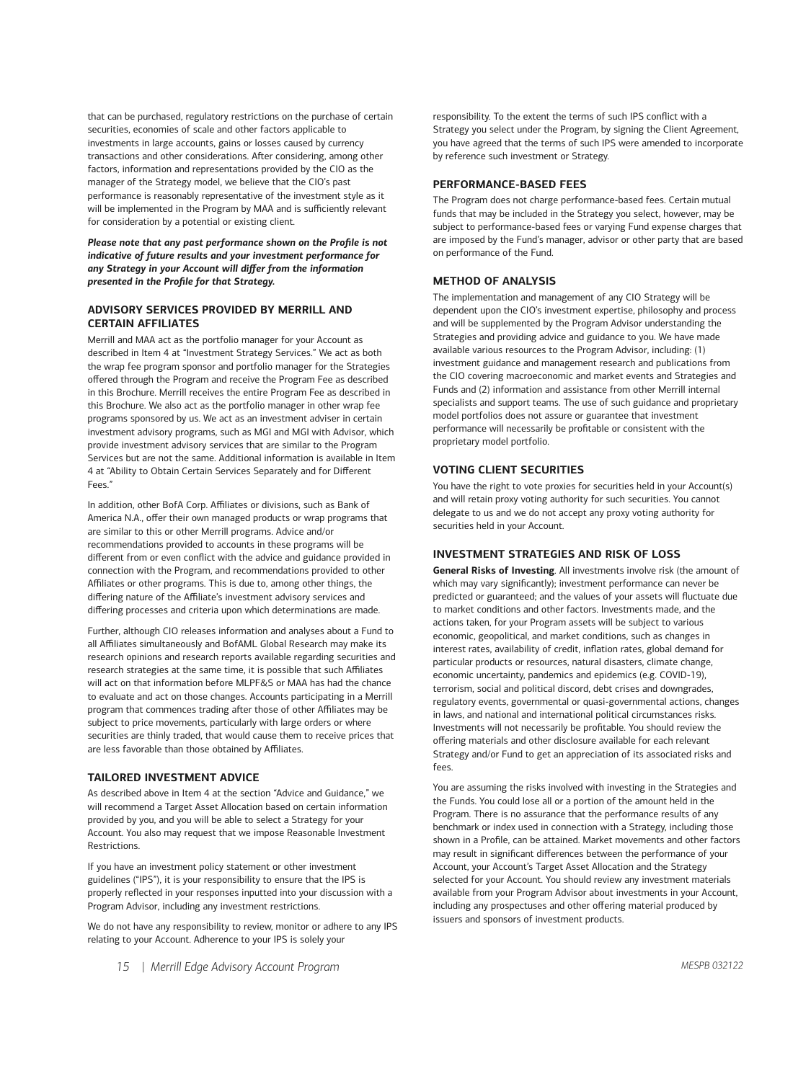that can be purchased, regulatory restrictions on the purchase of certain securities, economies of scale and other factors applicable to investments in large accounts, gains or losses caused by currency transactions and other considerations. After considering, among other factors, information and representations provided by the CIO as the manager of the Strategy model, we believe that the CIO's past performance is reasonably representative of the investment style as it will be implemented in the Program by MAA and is sufficiently relevant for consideration by a potential or existing client.

*Please note that any past performance shown on the Profile is not indicative of future results and your investment performance for any Strategy in your Account will differ from the information presented in the Profile for that Strategy.* 

# **ADVISORY SERVICES PROVIDED BY MERRILL AND CERTAIN AFFILIATES**

Merrill and MAA act as the portfolio manager for your Account as described in Item 4 at "Investment Strategy Services." We act as both the wrap fee program sponsor and portfolio manager for the Strategies offered through the Program and receive the Program Fee as described in this Brochure. Merrill receives the entire Program Fee as described in this Brochure. We also act as the portfolio manager in other wrap fee programs sponsored by us. We act as an investment adviser in certain investment advisory programs, such as MGI and MGI with Advisor, which provide investment advisory services that are similar to the Program Services but are not the same. Additional information is available in Item 4 at "Ability to Obtain Certain Services Separately and for Different Fees."

In addition, other BofA Corp. Affiliates or divisions, such as Bank of America N.A., offer their own managed products or wrap programs that are similar to this or other Merrill programs. Advice and/or recommendations provided to accounts in these programs will be different from or even conflict with the advice and guidance provided in connection with the Program, and recommendations provided to other Affiliates or other programs. This is due to, among other things, the differing nature of the Affiliate's investment advisory services and differing processes and criteria upon which determinations are made.

Further, although CIO releases information and analyses about a Fund to all Affiliates simultaneously and BofAML Global Research may make its research opinions and research reports available regarding securities and research strategies at the same time, it is possible that such Affiliates will act on that information before MLPF&S or MAA has had the chance to evaluate and act on those changes. Accounts participating in a Merrill program that commences trading after those of other Affiliates may be subject to price movements, particularly with large orders or where securities are thinly traded, that would cause them to receive prices that are less favorable than those obtained by Affiliates.

## **TAILORED INVESTMENT ADVICE**

As described above in Item 4 at the section "Advice and Guidance," we will recommend a Target Asset Allocation based on certain information provided by you, and you will be able to select a Strategy for your Account. You also may request that we impose Reasonable Investment **Restrictions** 

If you have an investment policy statement or other investment guidelines ("IPS"), it is your responsibility to ensure that the IPS is properly reflected in your responses inputted into your discussion with a Program Advisor, including any investment restrictions.

We do not have any responsibility to review, monitor or adhere to any IPS relating to your Account. Adherence to your IPS is solely your

responsibility. To the extent the terms of such IPS conflict with a Strategy you select under the Program, by signing the Client Agreement, you have agreed that the terms of such IPS were amended to incorporate by reference such investment or Strategy.

#### **PERFORMANCE-BASED FEES**

The Program does not charge performance-based fees. Certain mutual funds that may be included in the Strategy you select, however, may be subject to performance-based fees or varying Fund expense charges that are imposed by the Fund's manager, advisor or other party that are based on performance of the Fund.

# **METHOD OF ANALYSIS**

The implementation and management of any CIO Strategy will be dependent upon the CIO's investment expertise, philosophy and process and will be supplemented by the Program Advisor understanding the Strategies and providing advice and guidance to you. We have made available various resources to the Program Advisor, including: (1) investment guidance and management research and publications from the CIO covering macroeconomic and market events and Strategies and Funds and (2) information and assistance from other Merrill internal specialists and support teams. The use of such guidance and proprietary model portfolios does not assure or guarantee that investment performance will necessarily be profitable or consistent with the proprietary model portfolio.

## **VOTING CLIENT SECURITIES**

You have the right to vote proxies for securities held in your Account(s) and will retain proxy voting authority for such securities. You cannot delegate to us and we do not accept any proxy voting authority for securities held in your Account.

#### **INVESTMENT STRATEGIES AND RISK OF LOSS**

**General Risks of Investing**. All investments involve risk (the amount of which may vary significantly); investment performance can never be predicted or guaranteed; and the values of your assets will fluctuate due to market conditions and other factors. Investments made, and the actions taken, for your Program assets will be subject to various economic, geopolitical, and market conditions, such as changes in interest rates, availability of credit, inflation rates, global demand for particular products or resources, natural disasters, climate change, economic uncertainty, pandemics and epidemics (e.g. COVID-19), terrorism, social and political discord, debt crises and downgrades, regulatory events, governmental or quasi-governmental actions, changes in laws, and national and international political circumstances risks. Investments will not necessarily be profitable. You should review the offering materials and other disclosure available for each relevant Strategy and/or Fund to get an appreciation of its associated risks and fees.

You are assuming the risks involved with investing in the Strategies and the Funds. You could lose all or a portion of the amount held in the Program. There is no assurance that the performance results of any benchmark or index used in connection with a Strategy, including those shown in a Profile, can be attained. Market movements and other factors may result in significant differences between the performance of your Account, your Account's Target Asset Allocation and the Strategy selected for your Account. You should review any investment materials available from your Program Advisor about investments in your Account, including any prospectuses and other offering material produced by issuers and sponsors of investment products.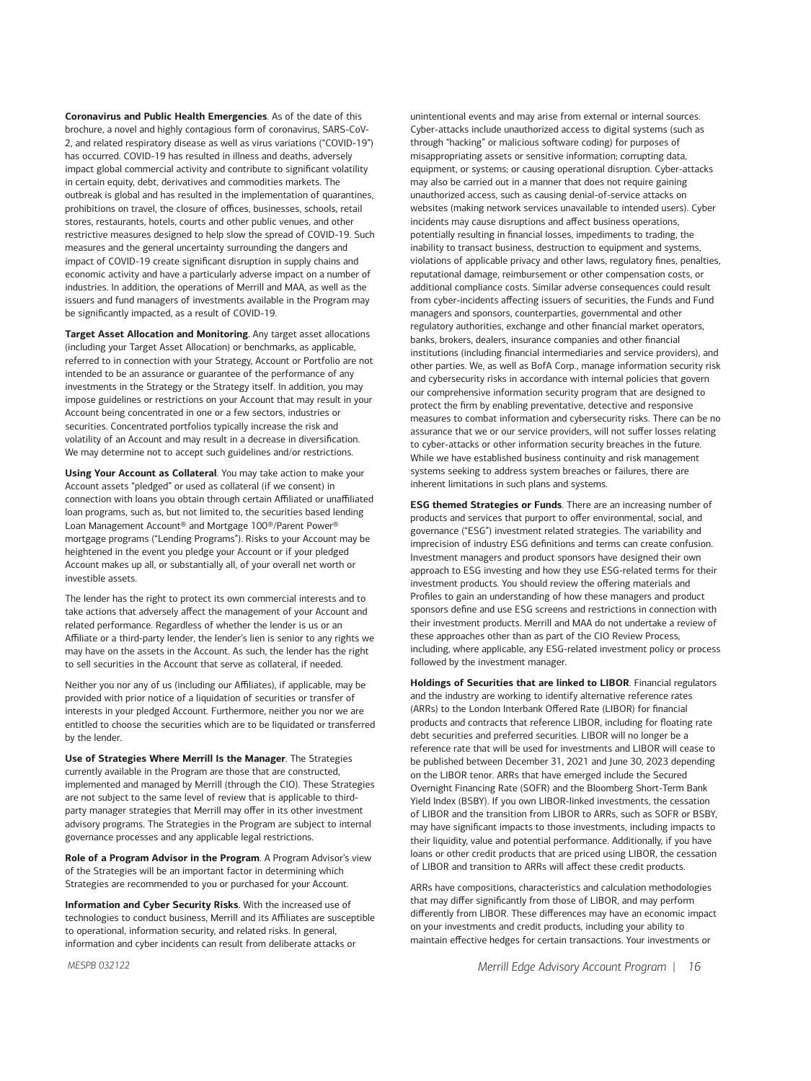**Coronavirus and Public Health Emergencies**. As of the date of this brochure, a novel and highly contagious form of coronavirus, SARS-CoV-2, and related respiratory disease as well as virus variations ("COVID-19") has occurred. COVID-19 has resulted in illness and deaths, adversely impact global commercial activity and contribute to significant volatility in certain equity, debt, derivatives and commodities markets. The outbreak is global and has resulted in the implementation of quarantines, prohibitions on travel, the closure of offices, businesses, schools, retail stores, restaurants, hotels, courts and other public venues, and other restrictive measures designed to help slow the spread of COVID-19. Such measures and the general uncertainty surrounding the dangers and impact of COVID-19 create significant disruption in supply chains and economic activity and have a particularly adverse impact on a number of industries. In addition, the operations of Merrill and MAA, as well as the issuers and fund managers of investments available in the Program may be significantly impacted, as a result of COVID-19.

**Target Asset Allocation and Monitoring**. Any target asset allocations (including your Target Asset Allocation) or benchmarks, as applicable, referred to in connection with your Strategy, Account or Portfolio are not intended to be an assurance or guarantee of the performance of any investments in the Strategy or the Strategy itself. In addition, you may impose guidelines or restrictions on your Account that may result in your Account being concentrated in one or a few sectors, industries or securities. Concentrated portfolios typically increase the risk and volatility of an Account and may result in a decrease in diversification. We may determine not to accept such guidelines and/or restrictions.

**Using Your Account as Collateral**. You may take action to make your Account assets "pledged" or used as collateral (if we consent) in connection with loans you obtain through certain Affiliated or unaffiliated loan programs, such as, but not limited to, the securities based lending Loan Management Account® and Mortgage 100®/Parent Power® mortgage programs ("Lending Programs"). Risks to your Account may be heightened in the event you pledge your Account or if your pledged Account makes up all, or substantially all, of your overall net worth or investible assets.

The lender has the right to protect its own commercial interests and to take actions that adversely affect the management of your Account and related performance. Regardless of whether the lender is us or an Affiliate or a third-party lender, the lender's lien is senior to any rights we may have on the assets in the Account. As such, the lender has the right to sell securities in the Account that serve as collateral, if needed.

Neither you nor any of us (including our Affiliates), if applicable, may be provided with prior notice of a liquidation of securities or transfer of interests in your pledged Account. Furthermore, neither you nor we are entitled to choose the securities which are to be liquidated or transferred by the lender.

**Use of Strategies Where Merrill Is the Manager**. The Strategies currently available in the Program are those that are constructed, implemented and managed by Merrill (through the CIO). These Strategies are not subject to the same level of review that is applicable to thirdparty manager strategies that Merrill may offer in its other investment advisory programs. The Strategies in the Program are subject to internal governance processes and any applicable legal restrictions.

**Role of a Program Advisor in the Program**. A Program Advisor's view of the Strategies will be an important factor in determining which Strategies are recommended to you or purchased for your Account.

**Information and Cyber Security Risks**. With the increased use of technologies to conduct business, Merrill and its Affiliates are susceptible to operational, information security, and related risks. In general, information and cyber incidents can result from deliberate attacks or

unintentional events and may arise from external or internal sources. Cyber-attacks include unauthorized access to digital systems (such as through "hacking" or malicious software coding) for purposes of misappropriating assets or sensitive information; corrupting data, equipment, or systems; or causing operational disruption. Cyber-attacks may also be carried out in a manner that does not require gaining unauthorized access, such as causing denial-of-service attacks on websites (making network services unavailable to intended users). Cyber incidents may cause disruptions and affect business operations, potentially resulting in financial losses, impediments to trading, the inability to transact business, destruction to equipment and systems, violations of applicable privacy and other laws, regulatory fines, penalties, reputational damage, reimbursement or other compensation costs, or additional compliance costs. Similar adverse consequences could result from cyber-incidents affecting issuers of securities, the Funds and Fund managers and sponsors, counterparties, governmental and other regulatory authorities, exchange and other financial market operators, banks, brokers, dealers, insurance companies and other financial institutions (including financial intermediaries and service providers), and other parties. We, as well as BofA Corp., manage information security risk and cybersecurity risks in accordance with internal policies that govern our comprehensive information security program that are designed to protect the firm by enabling preventative, detective and responsive measures to combat information and cybersecurity risks. There can be no assurance that we or our service providers, will not suffer losses relating to cyber-attacks or other information security breaches in the future. While we have established business continuity and risk management systems seeking to address system breaches or failures, there are inherent limitations in such plans and systems.

**ESG themed Strategies or Funds**. There are an increasing number of products and services that purport to offer environmental, social, and governance ("ESG") investment related strategies. The variability and imprecision of industry ESG definitions and terms can create confusion. Investment managers and product sponsors have designed their own approach to ESG investing and how they use ESG-related terms for their investment products. You should review the offering materials and Profiles to gain an understanding of how these managers and product sponsors define and use ESG screens and restrictions in connection with their investment products. Merrill and MAA do not undertake a review of these approaches other than as part of the CIO Review Process, including, where applicable, any ESG-related investment policy or process followed by the investment manager.

**Holdings of Securities that are linked to LIBOR**. Financial regulators and the industry are working to identify alternative reference rates (ARRs) to the London Interbank Offered Rate (LIBOR) for financial products and contracts that reference LIBOR, including for floating rate debt securities and preferred securities. LIBOR will no longer be a reference rate that will be used for investments and LIBOR will cease to be published between December 31, 2021 and June 30, 2023 depending on the LIBOR tenor. ARRs that have emerged include the Secured Overnight Financing Rate (SOFR) and the Bloomberg Short-Term Bank Yield Index (BSBY). If you own LIBOR-linked investments, the cessation of LIBOR and the transition from LIBOR to ARRs, such as SOFR or BSBY, may have significant impacts to those investments, including impacts to their liquidity, value and potential performance. Additionally, if you have loans or other credit products that are priced using LIBOR, the cessation of LIBOR and transition to ARRs will affect these credit products.

ARRs have compositions, characteristics and calculation methodologies that may differ significantly from those of LIBOR, and may perform differently from LIBOR. These differences may have an economic impact on your investments and credit products, including your ability to maintain effective hedges for certain transactions. Your investments or

*MESPB 032122*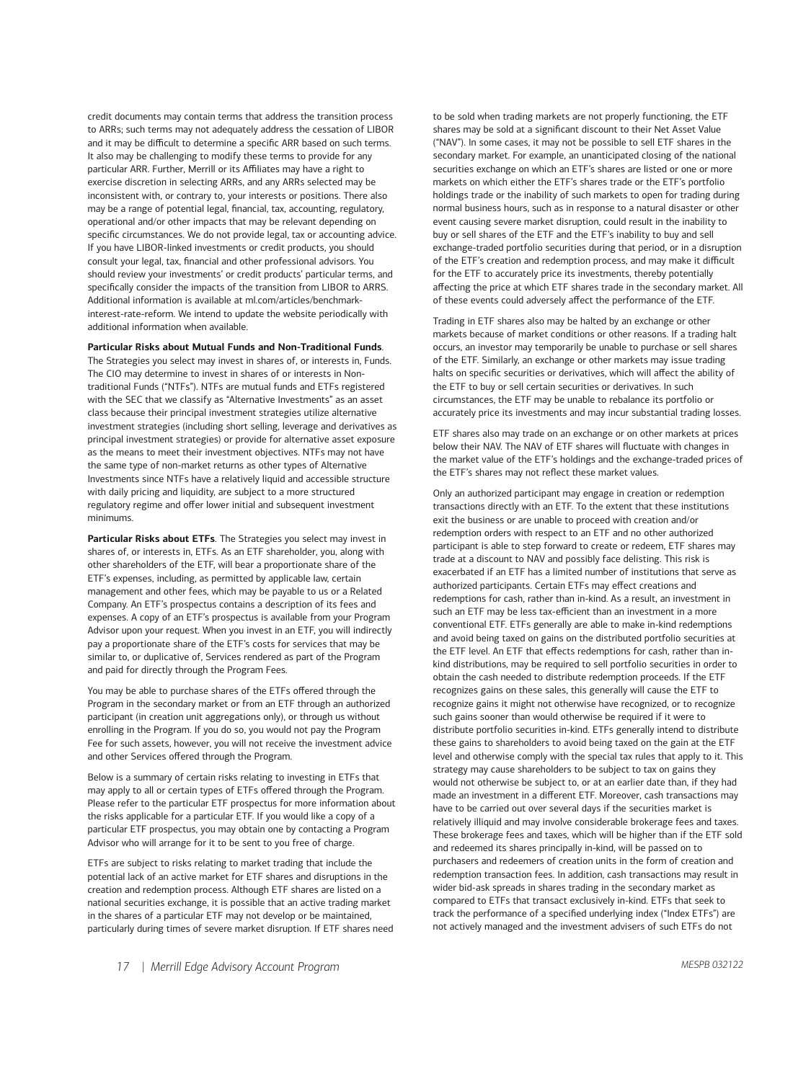credit documents may contain terms that address the transition process to ARRs; such terms may not adequately address the cessation of LIBOR and it may be difficult to determine a specific ARR based on such terms. It also may be challenging to modify these terms to provide for any particular ARR. Further, Merrill or its Affiliates may have a right to exercise discretion in selecting ARRs, and any ARRs selected may be inconsistent with, or contrary to, your interests or positions. There also may be a range of potential legal, financial, tax, accounting, regulatory, operational and/or other impacts that may be relevant depending on specific circumstances. We do not provide legal, tax or accounting advice. If you have LIBOR-linked investments or credit products, you should consult your legal, tax, financial and other professional advisors. You should review your investments' or credit products' particular terms, and specifically consider the impacts of the transition from LIBOR to ARRS. Additional information is available at ml com/articles/benchmark[interest-rate-reform.](https://www.ml.com/articles/benchmark-interest-rate-reform.html) We intend to update the website periodically with additional information when available.

#### **Particular Risks about Mutual Funds and Non-Traditional Funds**.

The Strategies you select may invest in shares of, or interests in, Funds. The CIO may determine to invest in shares of or interests in Nontraditional Funds ("NTFs"). NTFs are mutual funds and ETFs registered with the SEC that we classify as "Alternative Investments" as an asset class because their principal investment strategies utilize alternative investment strategies (including short selling, leverage and derivatives as principal investment strategies) or provide for alternative asset exposure as the means to meet their investment objectives. NTFs may not have the same type of non-market returns as other types of Alternative Investments since NTFs have a relatively liquid and accessible structure with daily pricing and liquidity, are subject to a more structured regulatory regime and offer lower initial and subsequent investment minimums.

**Particular Risks about ETFs**. The Strategies you select may invest in shares of, or interests in, ETFs. As an ETF shareholder, you, along with other shareholders of the ETF, will bear a proportionate share of the ETF's expenses, including, as permitted by applicable law, certain management and other fees, which may be payable to us or a Related Company. An ETF's prospectus contains a description of its fees and expenses. A copy of an ETF's prospectus is available from your Program Advisor upon your request. When you invest in an ETF, you will indirectly pay a proportionate share of the ETF's costs for services that may be similar to, or duplicative of, Services rendered as part of the Program and paid for directly through the Program Fees.

You may be able to purchase shares of the ETFs offered through the Program in the secondary market or from an ETF through an authorized participant (in creation unit aggregations only), or through us without enrolling in the Program. If you do so, you would not pay the Program Fee for such assets, however, you will not receive the investment advice and other Services offered through the Program.

Below is a summary of certain risks relating to investing in ETFs that may apply to all or certain types of ETFs offered through the Program. Please refer to the particular ETF prospectus for more information about the risks applicable for a particular ETF. If you would like a copy of a particular ETF prospectus, you may obtain one by contacting a Program Advisor who will arrange for it to be sent to you free of charge.

ETFs are subject to risks relating to market trading that include the potential lack of an active market for ETF shares and disruptions in the creation and redemption process. Although ETF shares are listed on a national securities exchange, it is possible that an active trading market in the shares of a particular ETF may not develop or be maintained, particularly during times of severe market disruption. If ETF shares need to be sold when trading markets are not properly functioning, the ETF shares may be sold at a significant discount to their Net Asset Value ("NAV"). In some cases, it may not be possible to sell ETF shares in the secondary market. For example, an unanticipated closing of the national securities exchange on which an ETF's shares are listed or one or more markets on which either the ETF's shares trade or the ETF's portfolio holdings trade or the inability of such markets to open for trading during normal business hours, such as in response to a natural disaster or other event causing severe market disruption, could result in the inability to buy or sell shares of the ETF and the ETF's inability to buy and sell exchange-traded portfolio securities during that period, or in a disruption of the ETF's creation and redemption process, and may make it difficult for the ETF to accurately price its investments, thereby potentially affecting the price at which ETF shares trade in the secondary market. All of these events could adversely affect the performance of the ETF.

Trading in ETF shares also may be halted by an exchange or other markets because of market conditions or other reasons. If a trading halt occurs, an investor may temporarily be unable to purchase or sell shares of the ETF. Similarly, an exchange or other markets may issue trading halts on specific securities or derivatives, which will affect the ability of the ETF to buy or sell certain securities or derivatives. In such circumstances, the ETF may be unable to rebalance its portfolio or accurately price its investments and may incur substantial trading losses.

ETF shares also may trade on an exchange or on other markets at prices below their NAV. The NAV of ETF shares will fluctuate with changes in the market value of the ETF's holdings and the exchange-traded prices of the ETF's shares may not reflect these market values.

Only an authorized participant may engage in creation or redemption transactions directly with an ETF. To the extent that these institutions exit the business or are unable to proceed with creation and/or redemption orders with respect to an ETF and no other authorized participant is able to step forward to create or redeem, ETF shares may trade at a discount to NAV and possibly face delisting. This risk is exacerbated if an ETF has a limited number of institutions that serve as authorized participants. Certain ETFs may effect creations and redemptions for cash, rather than in-kind. As a result, an investment in such an ETF may be less tax-efficient than an investment in a more conventional ETF. ETFs generally are able to make in-kind redemptions and avoid being taxed on gains on the distributed portfolio securities at the ETF level. An ETF that effects redemptions for cash, rather than inkind distributions, may be required to sell portfolio securities in order to obtain the cash needed to distribute redemption proceeds. If the ETF recognizes gains on these sales, this generally will cause the ETF to recognize gains it might not otherwise have recognized, or to recognize such gains sooner than would otherwise be required if it were to distribute portfolio securities in-kind. ETFs generally intend to distribute these gains to shareholders to avoid being taxed on the gain at the ETF level and otherwise comply with the special tax rules that apply to it. This strategy may cause shareholders to be subject to tax on gains they would not otherwise be subject to, or at an earlier date than, if they had made an investment in a different ETF. Moreover, cash transactions may have to be carried out over several days if the securities market is relatively illiquid and may involve considerable brokerage fees and taxes. These brokerage fees and taxes, which will be higher than if the ETF sold and redeemed its shares principally in-kind, will be passed on to purchasers and redeemers of creation units in the form of creation and redemption transaction fees. In addition, cash transactions may result in wider bid-ask spreads in shares trading in the secondary market as compared to ETFs that transact exclusively in-kind. ETFs that seek to track the performance of a specified underlying index ("Index ETFs") are not actively managed and the investment advisers of such ETFs do not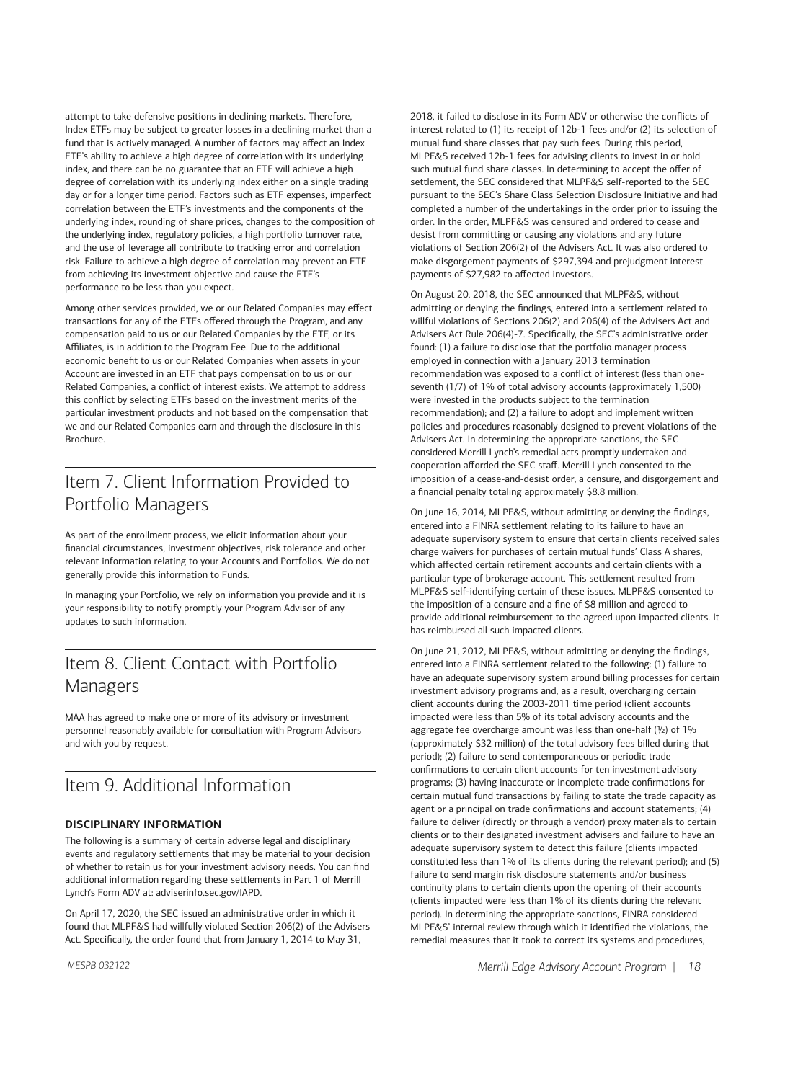attempt to take defensive positions in declining markets. Therefore, Index ETFs may be subject to greater losses in a declining market than a fund that is actively managed. A number of factors may affect an Index ETF's ability to achieve a high degree of correlation with its underlying index, and there can be no guarantee that an ETF will achieve a high degree of correlation with its underlying index either on a single trading day or for a longer time period. Factors such as ETF expenses, imperfect correlation between the ETF's investments and the components of the underlying index, rounding of share prices, changes to the composition of the underlying index, regulatory policies, a high portfolio turnover rate, and the use of leverage all contribute to tracking error and correlation risk. Failure to achieve a high degree of correlation may prevent an ETF from achieving its investment objective and cause the ETF's performance to be less than you expect.

Among other services provided, we or our Related Companies may effect transactions for any of the ETFs offered through the Program, and any compensation paid to us or our Related Companies by the ETF, or its Affiliates, is in addition to the Program Fee. Due to the additional economic benefit to us or our Related Companies when assets in your Account are invested in an ETF that pays compensation to us or our Related Companies, a conflict of interest exists. We attempt to address this conflict by selecting ETFs based on the investment merits of the particular investment products and not based on the compensation that we and our Related Companies earn and through the disclosure in this **Brochure** 

# Item 7. Client Information Provided to Portfolio Managers

As part of the enrollment process, we elicit information about your financial circumstances, investment objectives, risk tolerance and other relevant information relating to your Accounts and Portfolios. We do not generally provide this information to Funds.

In managing your Portfolio, we rely on information you provide and it is your responsibility to notify promptly your Program Advisor of any updates to such information.

# Item 8. Client Contact with Portfolio Managers

MAA has agreed to make one or more of its advisory or investment personnel reasonably available for consultation with Program Advisors and with you by request.

# Item 9. Additional Information

# **DISCIPLINARY INFORMATION**

The following is a summary of certain adverse legal and disciplinary events and regulatory settlements that may be material to your decision of whether to retain us for your investment advisory needs. You can find additional information regarding these settlements in Part 1 of Merrill Lynch's Form ADV at: [adviserinfo.sec.gov/IAPD.](https://adviserinfo.sec.gov)

On April 17, 2020, the SEC issued an administrative order in which it found that MLPF&S had willfully violated Section 206(2) of the Advisers Act. Specifically, the order found that from January 1, 2014 to May 31,

2018, it failed to disclose in its Form ADV or otherwise the conflicts of interest related to (1) its receipt of 12b-1 fees and/or (2) its selection of mutual fund share classes that pay such fees. During this period, MLPF&S received 12b-1 fees for advising clients to invest in or hold such mutual fund share classes. In determining to accept the offer of settlement, the SEC considered that MLPF&S self-reported to the SEC pursuant to the SEC's Share Class Selection Disclosure Initiative and had completed a number of the undertakings in the order prior to issuing the order. In the order, MLPF&S was censured and ordered to cease and desist from committing or causing any violations and any future violations of Section 206(2) of the Advisers Act. It was also ordered to make disgorgement payments of \$297,394 and prejudgment interest payments of \$27,982 to affected investors.

On August 20, 2018, the SEC announced that MLPF&S, without admitting or denying the findings, entered into a settlement related to willful violations of Sections 206(2) and 206(4) of the Advisers Act and Advisers Act Rule 206(4)-7. Specifically, the SEC's administrative order found: (1) a failure to disclose that the portfolio manager process employed in connection with a January 2013 termination recommendation was exposed to a conflict of interest (less than oneseventh (1/7) of 1% of total advisory accounts (approximately 1,500) were invested in the products subject to the termination recommendation); and (2) a failure to adopt and implement written policies and procedures reasonably designed to prevent violations of the Advisers Act. In determining the appropriate sanctions, the SEC considered Merrill Lynch's remedial acts promptly undertaken and cooperation afforded the SEC staff. Merrill Lynch consented to the imposition of a cease-and-desist order, a censure, and disgorgement and a financial penalty totaling approximately \$8.8 million.

On June 16, 2014, MLPF&S, without admitting or denying the findings, entered into a FINRA settlement relating to its failure to have an adequate supervisory system to ensure that certain clients received sales charge waivers for purchases of certain mutual funds' Class A shares, which affected certain retirement accounts and certain clients with a particular type of brokerage account. This settlement resulted from MLPF&S self-identifying certain of these issues. MLPF&S consented to the imposition of a censure and a fine of \$8 million and agreed to provide additional reimbursement to the agreed upon impacted clients. It has reimbursed all such impacted clients.

On June 21, 2012, MLPF&S, without admitting or denying the findings, entered into a FINRA settlement related to the following: (1) failure to have an adequate supervisory system around billing processes for certain investment advisory programs and, as a result, overcharging certain client accounts during the 2003-2011 time period (client accounts impacted were less than 5% of its total advisory accounts and the aggregate fee overcharge amount was less than one-half (½) of 1% (approximately \$32 million) of the total advisory fees billed during that period); (2) failure to send contemporaneous or periodic trade confirmations to certain client accounts for ten investment advisory programs; (3) having inaccurate or incomplete trade confirmations for certain mutual fund transactions by failing to state the trade capacity as agent or a principal on trade confirmations and account statements; (4) failure to deliver (directly or through a vendor) proxy materials to certain clients or to their designated investment advisers and failure to have an adequate supervisory system to detect this failure (clients impacted constituted less than 1% of its clients during the relevant period); and (5) failure to send margin risk disclosure statements and/or business continuity plans to certain clients upon the opening of their accounts (clients impacted were less than 1% of its clients during the relevant period). In determining the appropriate sanctions, FINRA considered MLPF&S' internal review through which it identified the violations, the remedial measures that it took to correct its systems and procedures,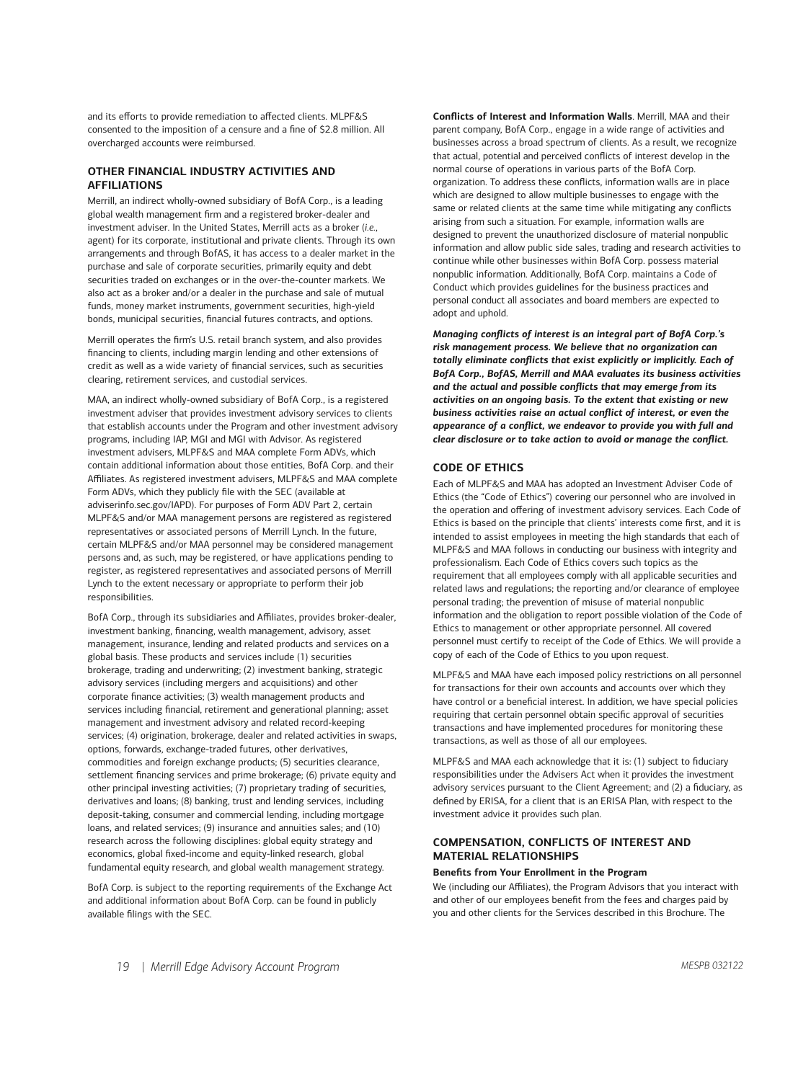and its efforts to provide remediation to affected clients. MLPF&S consented to the imposition of a censure and a fine of \$2.8 million. All overcharged accounts were reimbursed.

# **OTHER FINANCIAL INDUSTRY ACTIVITIES AND AFFILIATIONS**

Merrill, an indirect wholly-owned subsidiary of BofA Corp., is a leading global wealth management firm and a registered broker-dealer and investment adviser. In the United States, Merrill acts as a broker (*i.e.*, agent) for its corporate, institutional and private clients. Through its own arrangements and through BofAS, it has access to a dealer market in the purchase and sale of corporate securities, primarily equity and debt securities traded on exchanges or in the over-the-counter markets. We also act as a broker and/or a dealer in the purchase and sale of mutual funds, money market instruments, government securities, high-yield bonds, municipal securities, financial futures contracts, and options.

Merrill operates the firm's U.S. retail branch system, and also provides financing to clients, including margin lending and other extensions of credit as well as a wide variety of financial services, such as securities clearing, retirement services, and custodial services.

MAA, an indirect wholly-owned subsidiary of BofA Corp., is a registered investment adviser that provides investment advisory services to clients that establish accounts under the Program and other investment advisory programs, including IAP, MGI and MGI with Advisor. As registered investment advisers, MLPF&S and MAA complete Form ADVs, which contain additional information about those entities, BofA Corp. and their Affiliates. As registered investment advisers, MLPF&S and MAA complete Form ADVs, which they publicly file with the SEC (available at [adviserinfo.sec.gov/IAPD](https://adviserinfo.sec.gov)). For purposes of Form ADV Part 2, certain MLPF&S and/or MAA management persons are registered as registered representatives or associated persons of Merrill Lynch. In the future, certain MLPF&S and/or MAA personnel may be considered management persons and, as such, may be registered, or have applications pending to register, as registered representatives and associated persons of Merrill Lynch to the extent necessary or appropriate to perform their job responsibilities.

BofA Corp., through its subsidiaries and Affiliates, provides broker-dealer, investment banking, financing, wealth management, advisory, asset management, insurance, lending and related products and services on a global basis. These products and services include (1) securities brokerage, trading and underwriting; (2) investment banking, strategic advisory services (including mergers and acquisitions) and other corporate finance activities; (3) wealth management products and services including financial, retirement and generational planning; asset management and investment advisory and related record-keeping services; (4) origination, brokerage, dealer and related activities in swaps, options, forwards, exchange-traded futures, other derivatives, commodities and foreign exchange products; (5) securities clearance, settlement financing services and prime brokerage; (6) private equity and other principal investing activities; (7) proprietary trading of securities, derivatives and loans; (8) banking, trust and lending services, including deposit-taking, consumer and commercial lending, including mortgage loans, and related services; (9) insurance and annuities sales; and (10) research across the following disciplines: global equity strategy and economics, global fixed-income and equity-linked research, global fundamental equity research, and global wealth management strategy.

BofA Corp. is subject to the reporting requirements of the Exchange Act and additional information about BofA Corp. can be found in publicly available filings with the SEC.

**Conflicts of Interest and Information Walls**. Merrill, MAA and their parent company, BofA Corp., engage in a wide range of activities and businesses across a broad spectrum of clients. As a result, we recognize that actual, potential and perceived conflicts of interest develop in the normal course of operations in various parts of the BofA Corp. organization. To address these conflicts, information walls are in place which are designed to allow multiple businesses to engage with the same or related clients at the same time while mitigating any conflicts arising from such a situation. For example, information walls are designed to prevent the unauthorized disclosure of material nonpublic information and allow public side sales, trading and research activities to continue while other businesses within BofA Corp. possess material nonpublic information. Additionally, BofA Corp. maintains a Code of Conduct which provides guidelines for the business practices and personal conduct all associates and board members are expected to adopt and uphold.

*Managing conflicts of interest is an integral part of BofA Corp.'s risk management process. We believe that no organization can totally eliminate conflicts that exist explicitly or implicitly. Each of BofA Corp., BofAS, Merrill and MAA evaluates its business activities and the actual and possible conflicts that may emerge from its activities on an ongoing basis. To the extent that existing or new business activities raise an actual conflict of interest, or even the appearance of a conflict, we endeavor to provide you with full and clear disclosure or to take action to avoid or manage the conflict.* 

## **CODE OF ETHICS**

Each of MLPF&S and MAA has adopted an Investment Adviser Code of Ethics (the "Code of Ethics") covering our personnel who are involved in the operation and offering of investment advisory services. Each Code of Ethics is based on the principle that clients' interests come first, and it is intended to assist employees in meeting the high standards that each of MLPF&S and MAA follows in conducting our business with integrity and professionalism. Each Code of Ethics covers such topics as the requirement that all employees comply with all applicable securities and related laws and regulations; the reporting and/or clearance of employee personal trading; the prevention of misuse of material nonpublic information and the obligation to report possible violation of the Code of Ethics to management or other appropriate personnel. All covered personnel must certify to receipt of the Code of Ethics. We will provide a copy of each of the Code of Ethics to you upon request.

MLPF&S and MAA have each imposed policy restrictions on all personnel for transactions for their own accounts and accounts over which they have control or a beneficial interest. In addition, we have special policies requiring that certain personnel obtain specific approval of securities transactions and have implemented procedures for monitoring these transactions, as well as those of all our employees.

MLPF&S and MAA each acknowledge that it is: (1) subject to fiduciary responsibilities under the Advisers Act when it provides the investment advisory services pursuant to the Client Agreement; and (2) a fiduciary, as defined by ERISA, for a client that is an ERISA Plan, with respect to the investment advice it provides such plan.

# **COMPENSATION, CONFLICTS OF INTEREST AND MATERIAL RELATIONSHIPS**

#### **Benefits from Your Enrollment in the Program**

We (including our Affiliates), the Program Advisors that you interact with and other of our employees benefit from the fees and charges paid by you and other clients for the Services described in this Brochure. The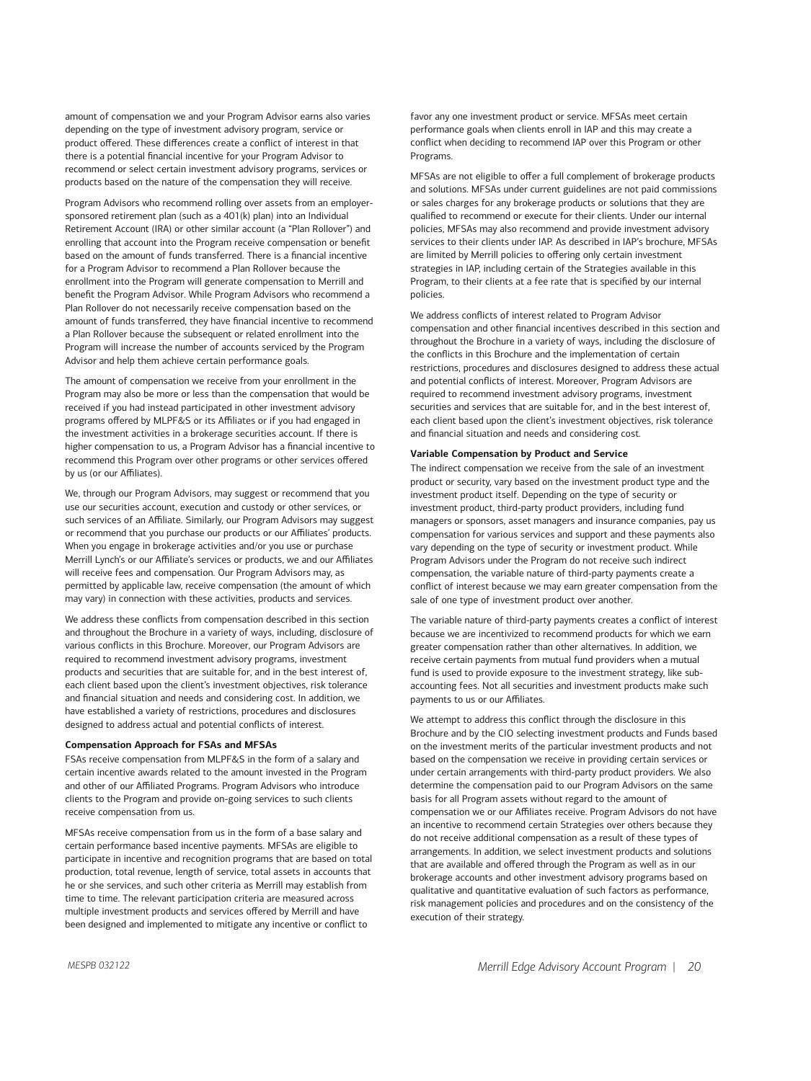amount of compensation we and your Program Advisor earns also varies depending on the type of investment advisory program, service or product offered. These differences create a conflict of interest in that there is a potential financial incentive for your Program Advisor to recommend or select certain investment advisory programs, services or products based on the nature of the compensation they will receive.

Program Advisors who recommend rolling over assets from an employersponsored retirement plan (such as a 401(k) plan) into an Individual Retirement Account (IRA) or other similar account (a "Plan Rollover") and enrolling that account into the Program receive compensation or benefit based on the amount of funds transferred. There is a financial incentive for a Program Advisor to recommend a Plan Rollover because the enrollment into the Program will generate compensation to Merrill and benefit the Program Advisor. While Program Advisors who recommend a Plan Rollover do not necessarily receive compensation based on the amount of funds transferred, they have financial incentive to recommend a Plan Rollover because the subsequent or related enrollment into the Program will increase the number of accounts serviced by the Program Advisor and help them achieve certain performance goals.

The amount of compensation we receive from your enrollment in the Program may also be more or less than the compensation that would be received if you had instead participated in other investment advisory programs offered by MLPF&S or its Affiliates or if you had engaged in the investment activities in a brokerage securities account. If there is higher compensation to us, a Program Advisor has a financial incentive to recommend this Program over other programs or other services offered by us (or our Affiliates).

We, through our Program Advisors, may suggest or recommend that you use our securities account, execution and custody or other services, or such services of an Affiliate. Similarly, our Program Advisors may suggest or recommend that you purchase our products or our Affiliates' products. When you engage in brokerage activities and/or you use or purchase Merrill Lynch's or our Affiliate's services or products, we and our Affiliates will receive fees and compensation. Our Program Advisors may, as permitted by applicable law, receive compensation (the amount of which may vary) in connection with these activities, products and services.

We address these conflicts from compensation described in this section and throughout the Brochure in a variety of ways, including, disclosure of various conflicts in this Brochure. Moreover, our Program Advisors are required to recommend investment advisory programs, investment products and securities that are suitable for, and in the best interest of, each client based upon the client's investment objectives, risk tolerance and financial situation and needs and considering cost. In addition, we have established a variety of restrictions, procedures and disclosures designed to address actual and potential conflicts of interest.

#### **Compensation Approach for FSAs and MFSAs**

FSAs receive compensation from MLPF&S in the form of a salary and certain incentive awards related to the amount invested in the Program and other of our Affiliated Programs. Program Advisors who introduce clients to the Program and provide on-going services to such clients receive compensation from us.

MFSAs receive compensation from us in the form of a base salary and certain performance based incentive payments. MFSAs are eligible to participate in incentive and recognition programs that are based on total production, total revenue, length of service, total assets in accounts that he or she services, and such other criteria as Merrill may establish from time to time. The relevant participation criteria are measured across multiple investment products and services offered by Merrill and have been designed and implemented to mitigate any incentive or conflict to

favor any one investment product or service. MFSAs meet certain performance goals when clients enroll in IAP and this may create a conflict when deciding to recommend IAP over this Program or other Programs.

MFSAs are not eligible to offer a full complement of brokerage products and solutions. MFSAs under current guidelines are not paid commissions or sales charges for any brokerage products or solutions that they are qualified to recommend or execute for their clients. Under our internal policies, MFSAs may also recommend and provide investment advisory services to their clients under IAP. As described in IAP's brochure, MFSAs are limited by Merrill policies to offering only certain investment strategies in IAP, including certain of the Strategies available in this Program, to their clients at a fee rate that is specified by our internal policies.

We address conflicts of interest related to Program Advisor compensation and other financial incentives described in this section and throughout the Brochure in a variety of ways, including the disclosure of the conflicts in this Brochure and the implementation of certain restrictions, procedures and disclosures designed to address these actual and potential conflicts of interest. Moreover, Program Advisors are required to recommend investment advisory programs, investment securities and services that are suitable for, and in the best interest of, each client based upon the client's investment objectives, risk tolerance and financial situation and needs and considering cost.

#### **Variable Compensation by Product and Service**

The indirect compensation we receive from the sale of an investment product or security, vary based on the investment product type and the investment product itself. Depending on the type of security or investment product, third-party product providers, including fund managers or sponsors, asset managers and insurance companies, pay us compensation for various services and support and these payments also vary depending on the type of security or investment product. While Program Advisors under the Program do not receive such indirect compensation, the variable nature of third-party payments create a conflict of interest because we may earn greater compensation from the sale of one type of investment product over another.

The variable nature of third-party payments creates a conflict of interest because we are incentivized to recommend products for which we earn greater compensation rather than other alternatives. In addition, we receive certain payments from mutual fund providers when a mutual fund is used to provide exposure to the investment strategy, like subaccounting fees. Not all securities and investment products make such payments to us or our Affiliates.

We attempt to address this conflict through the disclosure in this Brochure and by the CIO selecting investment products and Funds based on the investment merits of the particular investment products and not based on the compensation we receive in providing certain services or under certain arrangements with third-party product providers. We also determine the compensation paid to our Program Advisors on the same basis for all Program assets without regard to the amount of compensation we or our Affiliates receive. Program Advisors do not have an incentive to recommend certain Strategies over others because they do not receive additional compensation as a result of these types of arrangements. In addition, we select investment products and solutions that are available and offered through the Program as well as in our brokerage accounts and other investment advisory programs based on qualitative and quantitative evaluation of such factors as performance, risk management policies and procedures and on the consistency of the execution of their strategy.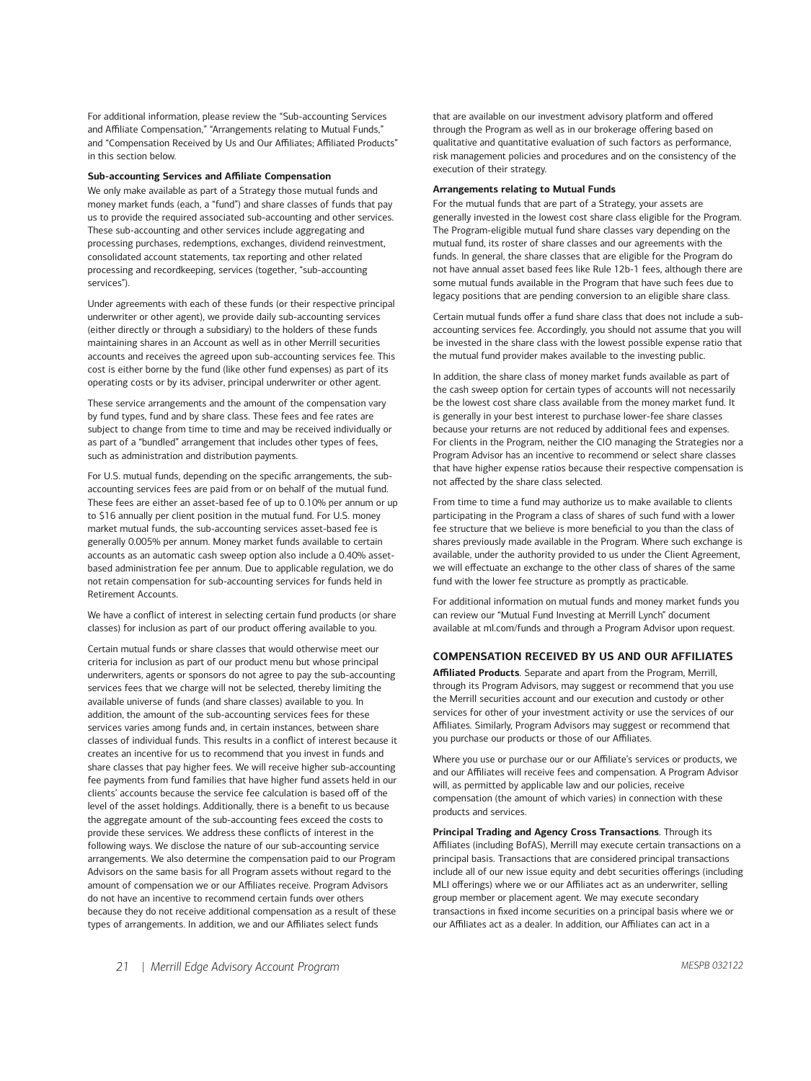For additional information, please review the "Sub-accounting Services and Affiliate Compensation," "Arrangements relating to Mutual Funds," and "Compensation Received by Us and Our Affiliates; Affiliated Products" in this section below.

#### **Sub-accounting Services and Affiliate Compensation**

We only make available as part of a Strategy those mutual funds and money market funds (each, a "fund") and share classes of funds that pay us to provide the required associated sub-accounting and other services. These sub-accounting and other services include aggregating and processing purchases, redemptions, exchanges, dividend reinvestment, consolidated account statements, tax reporting and other related processing and recordkeeping, services (together, "sub-accounting services").

Under agreements with each of these funds (or their respective principal underwriter or other agent), we provide daily sub-accounting services (either directly or through a subsidiary) to the holders of these funds maintaining shares in an Account as well as in other Merrill securities accounts and receives the agreed upon sub-accounting services fee. This cost is either borne by the fund (like other fund expenses) as part of its operating costs or by its adviser, principal underwriter or other agent.

These service arrangements and the amount of the compensation vary by fund types, fund and by share class. These fees and fee rates are subject to change from time to time and may be received individually or as part of a "bundled" arrangement that includes other types of fees, such as administration and distribution payments.

For U.S. mutual funds, depending on the specific arrangements, the subaccounting services fees are paid from or on behalf of the mutual fund. These fees are either an asset-based fee of up to 0.10% per annum or up to \$16 annually per client position in the mutual fund. For U.S. money market mutual funds, the sub-accounting services asset-based fee is generally 0.005% per annum. Money market funds available to certain accounts as an automatic cash sweep option also include a 0.40% assetbased administration fee per annum. Due to applicable regulation, we do not retain compensation for sub-accounting services for funds held in Retirement Accounts.

We have a conflict of interest in selecting certain fund products (or share classes) for inclusion as part of our product offering available to you.

Certain mutual funds or share classes that would otherwise meet our criteria for inclusion as part of our product menu but whose principal underwriters, agents or sponsors do not agree to pay the sub-accounting services fees that we charge will not be selected, thereby limiting the available universe of funds (and share classes) available to you. In addition, the amount of the sub-accounting services fees for these services varies among funds and, in certain instances, between share classes of individual funds. This results in a conflict of interest because it creates an incentive for us to recommend that you invest in funds and share classes that pay higher fees. We will receive higher sub-accounting fee payments from fund families that have higher fund assets held in our clients' accounts because the service fee calculation is based off of the level of the asset holdings. Additionally, there is a benefit to us because the aggregate amount of the sub-accounting fees exceed the costs to provide these services. We address these conflicts of interest in the following ways. We disclose the nature of our sub-accounting service arrangements. We also determine the compensation paid to our Program Advisors on the same basis for all Program assets without regard to the amount of compensation we or our Affiliates receive. Program Advisors do not have an incentive to recommend certain funds over others because they do not receive additional compensation as a result of these types of arrangements. In addition, we and our Affiliates select funds

that are available on our investment advisory platform and offered through the Program as well as in our brokerage offering based on qualitative and quantitative evaluation of such factors as performance, risk management policies and procedures and on the consistency of the execution of their strategy.

#### **Arrangements relating to Mutual Funds**

For the mutual funds that are part of a Strategy, your assets are generally invested in the lowest cost share class eligible for the Program. The Program-eligible mutual fund share classes vary depending on the mutual fund, its roster of share classes and our agreements with the funds. In general, the share classes that are eligible for the Program do not have annual asset based fees like Rule 12b-1 fees, although there are some mutual funds available in the Program that have such fees due to legacy positions that are pending conversion to an eligible share class.

Certain mutual funds offer a fund share class that does not include a subaccounting services fee. Accordingly, you should not assume that you will be invested in the share class with the lowest possible expense ratio that the mutual fund provider makes available to the investing public.

In addition, the share class of money market funds available as part of the cash sweep option for certain types of accounts will not necessarily be the lowest cost share class available from the money market fund. It is generally in your best interest to purchase lower-fee share classes because your returns are not reduced by additional fees and expenses. For clients in the Program, neither the CIO managing the Strategies nor a Program Advisor has an incentive to recommend or select share classes that have higher expense ratios because their respective compensation is not affected by the share class selected.

From time to time a fund may authorize us to make available to clients participating in the Program a class of shares of such fund with a lower fee structure that we believe is more beneficial to you than the class of shares previously made available in the Program. Where such exchange is available, under the authority provided to us under the Client Agreement, we will effectuate an exchange to the other class of shares of the same fund with the lower fee structure as promptly as practicable.

For additional information on mutual funds and money market funds you can review our "Mutual Fund Investing at Merrill Lynch" document available at [ml.com/funds](https://www.ml.com) and through a Program Advisor upon request.

#### **COMPENSATION RECEIVED BY US AND OUR AFFILIATES**

**Affiliated Products**. Separate and apart from the Program, Merrill, through its Program Advisors, may suggest or recommend that you use the Merrill securities account and our execution and custody or other services for other of your investment activity or use the services of our Affiliates. Similarly, Program Advisors may suggest or recommend that you purchase our products or those of our Affiliates.

Where you use or purchase our or our Affiliate's services or products, we and our Affiliates will receive fees and compensation. A Program Advisor will, as permitted by applicable law and our policies, receive compensation (the amount of which varies) in connection with these products and services.

**Principal Trading and Agency Cross Transactions**. Through its Affiliates (including BofAS), Merrill may execute certain transactions on a principal basis. Transactions that are considered principal transactions include all of our new issue equity and debt securities offerings (including MLI offerings) where we or our Affiliates act as an underwriter, selling group member or placement agent. We may execute secondary transactions in fixed income securities on a principal basis where we or our Affiliates act as a dealer. In addition, our Affiliates can act in a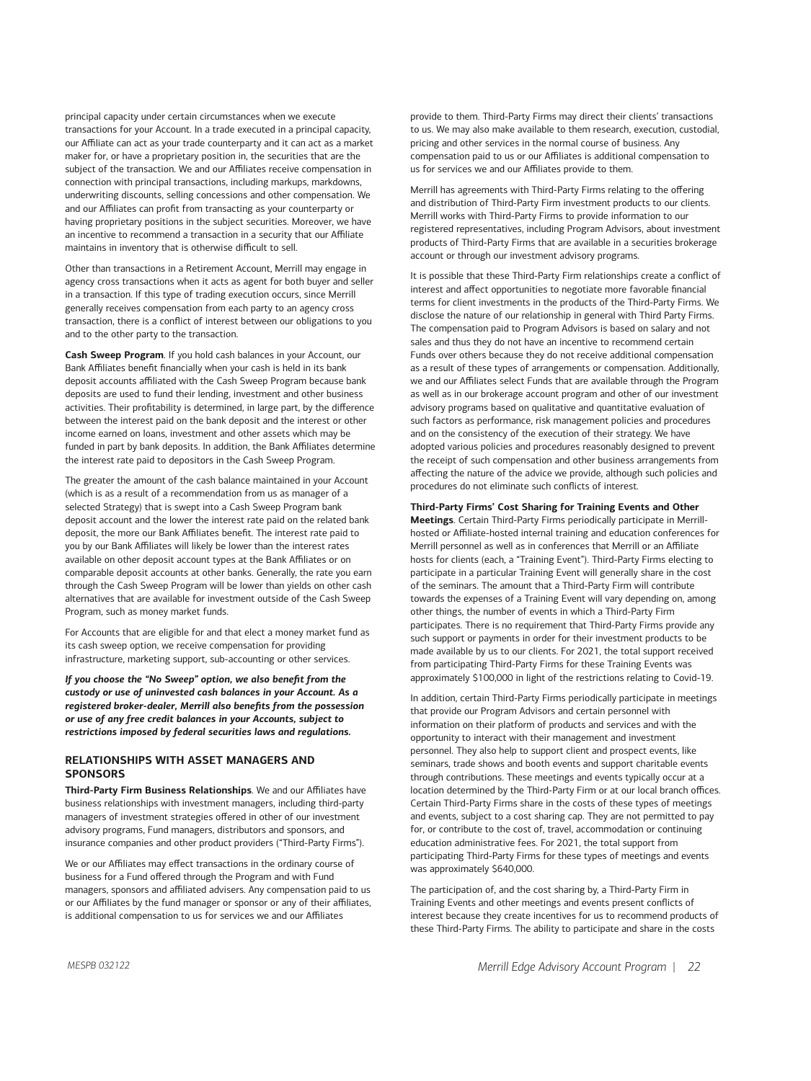principal capacity under certain circumstances when we execute transactions for your Account. In a trade executed in a principal capacity, our Affiliate can act as your trade counterparty and it can act as a market maker for, or have a proprietary position in, the securities that are the subject of the transaction. We and our Affiliates receive compensation in connection with principal transactions, including markups, markdowns, underwriting discounts, selling concessions and other compensation. We and our Affiliates can profit from transacting as your counterparty or having proprietary positions in the subject securities. Moreover, we have an incentive to recommend a transaction in a security that our Affiliate maintains in inventory that is otherwise difficult to sell.

Other than transactions in a Retirement Account, Merrill may engage in agency cross transactions when it acts as agent for both buyer and seller in a transaction. If this type of trading execution occurs, since Merrill generally receives compensation from each party to an agency cross transaction, there is a conflict of interest between our obligations to you and to the other party to the transaction.

**Cash Sweep Program**. If you hold cash balances in your Account, our Bank Affiliates benefit financially when your cash is held in its bank deposit accounts affiliated with the Cash Sweep Program because bank deposits are used to fund their lending, investment and other business activities. Their profitability is determined, in large part, by the difference between the interest paid on the bank deposit and the interest or other income earned on loans, investment and other assets which may be funded in part by bank deposits. In addition, the Bank Affiliates determine the interest rate paid to depositors in the Cash Sweep Program.

The greater the amount of the cash balance maintained in your Account (which is as a result of a recommendation from us as manager of a selected Strategy) that is swept into a Cash Sweep Program bank deposit account and the lower the interest rate paid on the related bank deposit, the more our Bank Affiliates benefit. The interest rate paid to you by our Bank Affiliates will likely be lower than the interest rates available on other deposit account types at the Bank Affiliates or on comparable deposit accounts at other banks. Generally, the rate you earn through the Cash Sweep Program will be lower than yields on other cash alternatives that are available for investment outside of the Cash Sweep Program, such as money market funds.

For Accounts that are eligible for and that elect a money market fund as its cash sweep option, we receive compensation for providing infrastructure, marketing support, sub-accounting or other services.

*If you choose the "No Sweep" option, we also benefit from the custody or use of uninvested cash balances in your Account. As a registered broker-dealer, Merrill also benefits from the possession or use of any free credit balances in your Accounts, subject to restrictions imposed by federal securities laws and regulations.* 

# **RELATIONSHIPS WITH ASSET MANAGERS AND SPONSORS**

**Third-Party Firm Business Relationships**. We and our Affiliates have business relationships with investment managers, including third-party managers of investment strategies offered in other of our investment advisory programs, Fund managers, distributors and sponsors, and insurance companies and other product providers ("Third-Party Firms").

We or our Affiliates may effect transactions in the ordinary course of business for a Fund offered through the Program and with Fund managers, sponsors and affiliated advisers. Any compensation paid to us or our Affiliates by the fund manager or sponsor or any of their affiliates, is additional compensation to us for services we and our Affiliates

provide to them. Third-Party Firms may direct their clients' transactions to us. We may also make available to them research, execution, custodial, pricing and other services in the normal course of business. Any compensation paid to us or our Affiliates is additional compensation to us for services we and our Affiliates provide to them.

Merrill has agreements with Third-Party Firms relating to the offering and distribution of Third-Party Firm investment products to our clients. Merrill works with Third-Party Firms to provide information to our registered representatives, including Program Advisors, about investment products of Third-Party Firms that are available in a securities brokerage account or through our investment advisory programs.

It is possible that these Third-Party Firm relationships create a conflict of interest and affect opportunities to negotiate more favorable financial terms for client investments in the products of the Third-Party Firms. We disclose the nature of our relationship in general with Third Party Firms. The compensation paid to Program Advisors is based on salary and not sales and thus they do not have an incentive to recommend certain Funds over others because they do not receive additional compensation as a result of these types of arrangements or compensation. Additionally, we and our Affiliates select Funds that are available through the Program as well as in our brokerage account program and other of our investment advisory programs based on qualitative and quantitative evaluation of such factors as performance, risk management policies and procedures and on the consistency of the execution of their strategy. We have adopted various policies and procedures reasonably designed to prevent the receipt of such compensation and other business arrangements from affecting the nature of the advice we provide, although such policies and procedures do not eliminate such conflicts of interest.

## **Third-Party Firms' Cost Sharing for Training Events and Other**

**Meetings**. Certain Third-Party Firms periodically participate in Merrillhosted or Affiliate-hosted internal training and education conferences for Merrill personnel as well as in conferences that Merrill or an Affiliate hosts for clients (each, a "Training Event"). Third-Party Firms electing to participate in a particular Training Event will generally share in the cost of the seminars. The amount that a Third-Party Firm will contribute towards the expenses of a Training Event will vary depending on, among other things, the number of events in which a Third-Party Firm participates. There is no requirement that Third-Party Firms provide any such support or payments in order for their investment products to be made available by us to our clients. For 2021, the total support received from participating Third-Party Firms for these Training Events was approximately \$100,000 in light of the restrictions relating to Covid-19.

In addition, certain Third-Party Firms periodically participate in meetings that provide our Program Advisors and certain personnel with information on their platform of products and services and with the opportunity to interact with their management and investment personnel. They also help to support client and prospect events, like seminars, trade shows and booth events and support charitable events through contributions. These meetings and events typically occur at a location determined by the Third-Party Firm or at our local branch offices. Certain Third-Party Firms share in the costs of these types of meetings and events, subject to a cost sharing cap. They are not permitted to pay for, or contribute to the cost of, travel, accommodation or continuing education administrative fees. For 2021, the total support from participating Third-Party Firms for these types of meetings and events was approximately \$640,000.

The participation of, and the cost sharing by, a Third-Party Firm in Training Events and other meetings and events present conflicts of interest because they create incentives for us to recommend products of these Third-Party Firms. The ability to participate and share in the costs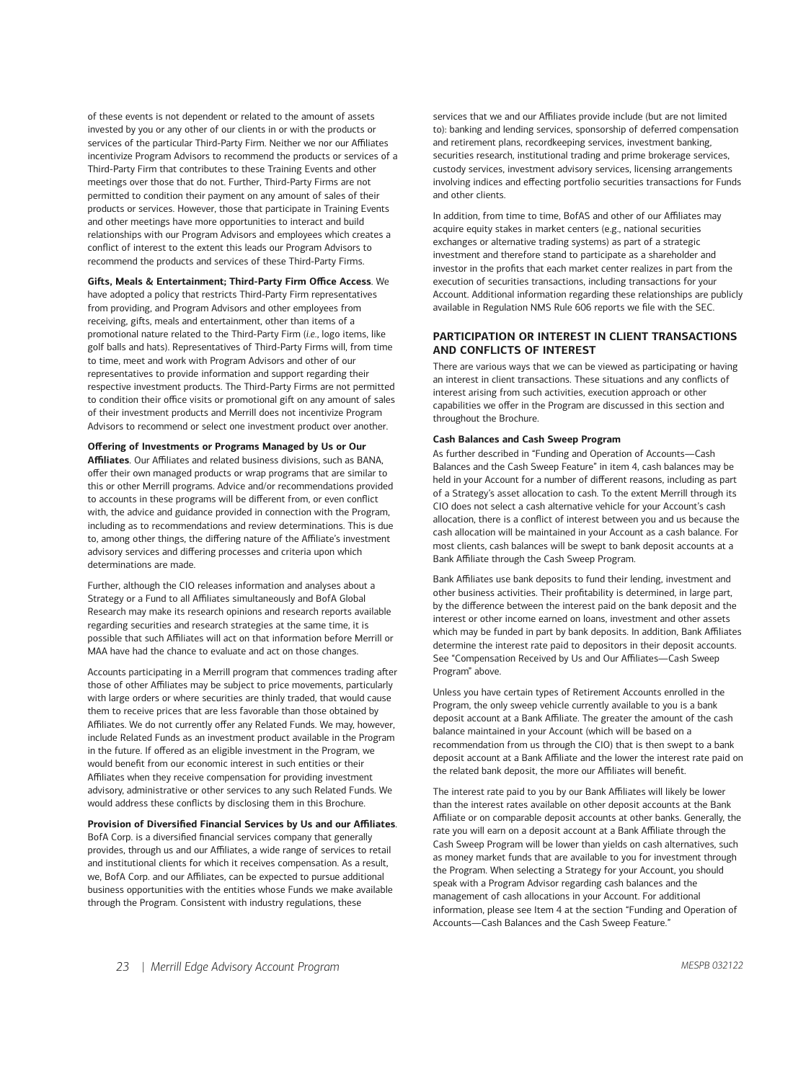of these events is not dependent or related to the amount of assets invested by you or any other of our clients in or with the products or services of the particular Third-Party Firm. Neither we nor our Affiliates incentivize Program Advisors to recommend the products or services of a Third-Party Firm that contributes to these Training Events and other meetings over those that do not. Further, Third-Party Firms are not permitted to condition their payment on any amount of sales of their products or services. However, those that participate in Training Events and other meetings have more opportunities to interact and build relationships with our Program Advisors and employees which creates a conflict of interest to the extent this leads our Program Advisors to recommend the products and services of these Third-Party Firms.

#### **Gifts, Meals & Entertainment; Third-Party Firm Office Access**. We

have adopted a policy that restricts Third-Party Firm representatives from providing, and Program Advisors and other employees from receiving, gifts, meals and entertainment, other than items of a promotional nature related to the Third-Party Firm (*i.e.*, logo items, like golf balls and hats). Representatives of Third-Party Firms will, from time to time, meet and work with Program Advisors and other of our representatives to provide information and support regarding their respective investment products. The Third-Party Firms are not permitted to condition their office visits or promotional gift on any amount of sales of their investment products and Merrill does not incentivize Program Advisors to recommend or select one investment product over another.

#### **Offering of Investments or Programs Managed by Us or Our**

**Affiliates**. Our Affiliates and related business divisions, such as BANA, offer their own managed products or wrap programs that are similar to this or other Merrill programs. Advice and/or recommendations provided to accounts in these programs will be different from, or even conflict with, the advice and guidance provided in connection with the Program, including as to recommendations and review determinations. This is due to, among other things, the differing nature of the Affiliate's investment advisory services and differing processes and criteria upon which determinations are made.

Further, although the CIO releases information and analyses about a Strategy or a Fund to all Affiliates simultaneously and BofA Global Research may make its research opinions and research reports available regarding securities and research strategies at the same time, it is possible that such Affiliates will act on that information before Merrill or MAA have had the chance to evaluate and act on those changes.

Accounts participating in a Merrill program that commences trading after those of other Affiliates may be subject to price movements, particularly with large orders or where securities are thinly traded, that would cause them to receive prices that are less favorable than those obtained by Affiliates. We do not currently offer any Related Funds. We may, however, include Related Funds as an investment product available in the Program in the future. If offered as an eligible investment in the Program, we would benefit from our economic interest in such entities or their Affiliates when they receive compensation for providing investment advisory, administrative or other services to any such Related Funds. We would address these conflicts by disclosing them in this Brochure.

#### **Provision of Diversified Financial Services by Us and our Affiliates**.

BofA Corp. is a diversified financial services company that generally provides, through us and our Affiliates, a wide range of services to retail and institutional clients for which it receives compensation. As a result, we, BofA Corp. and our Affiliates, can be expected to pursue additional business opportunities with the entities whose Funds we make available through the Program. Consistent with industry regulations, these

services that we and our Affiliates provide include (but are not limited to): banking and lending services, sponsorship of deferred compensation and retirement plans, recordkeeping services, investment banking, securities research, institutional trading and prime brokerage services, custody services, investment advisory services, licensing arrangements involving indices and effecting portfolio securities transactions for Funds and other clients.

In addition, from time to time, BofAS and other of our Affiliates may acquire equity stakes in market centers (e.g., national securities exchanges or alternative trading systems) as part of a strategic investment and therefore stand to participate as a shareholder and investor in the profits that each market center realizes in part from the execution of securities transactions, including transactions for your Account. Additional information regarding these relationships are publicly available in Regulation NMS Rule 606 reports we file with the SEC.

#### **PARTICIPATION OR INTEREST IN CLIENT TRANSACTIONS AND CONFLICTS OF INTEREST**

There are various ways that we can be viewed as participating or having an interest in client transactions. These situations and any conflicts of interest arising from such activities, execution approach or other capabilities we offer in the Program are discussed in this section and throughout the Brochure.

#### **Cash Balances and Cash Sweep Program**

As further described in "Funding and Operation of Accounts—Cash Balances and the Cash Sweep Feature" in item 4, cash balances may be held in your Account for a number of different reasons, including as part of a Strategy's asset allocation to cash. To the extent Merrill through its CIO does not select a cash alternative vehicle for your Account's cash allocation, there is a conflict of interest between you and us because the cash allocation will be maintained in your Account as a cash balance. For most clients, cash balances will be swept to bank deposit accounts at a Bank Affiliate through the Cash Sweep Program.

Bank Affiliates use bank deposits to fund their lending, investment and other business activities. Their profitability is determined, in large part, by the difference between the interest paid on the bank deposit and the interest or other income earned on loans, investment and other assets which may be funded in part by bank deposits. In addition, Bank Affiliates determine the interest rate paid to depositors in their deposit accounts. See "Compensation Received by Us and Our Affiliates—Cash Sweep Program" above.

Unless you have certain types of Retirement Accounts enrolled in the Program, the only sweep vehicle currently available to you is a bank deposit account at a Bank Affiliate. The greater the amount of the cash balance maintained in your Account (which will be based on a recommendation from us through the CIO) that is then swept to a bank deposit account at a Bank Affiliate and the lower the interest rate paid on the related bank deposit, the more our Affiliates will benefit.

The interest rate paid to you by our Bank Affiliates will likely be lower than the interest rates available on other deposit accounts at the Bank Affiliate or on comparable deposit accounts at other banks. Generally, the rate you will earn on a deposit account at a Bank Affiliate through the Cash Sweep Program will be lower than yields on cash alternatives, such as money market funds that are available to you for investment through the Program. When selecting a Strategy for your Account, you should speak with a Program Advisor regarding cash balances and the management of cash allocations in your Account. For additional information, please see Item 4 at the section "Funding and Operation of Accounts—Cash Balances and the Cash Sweep Feature."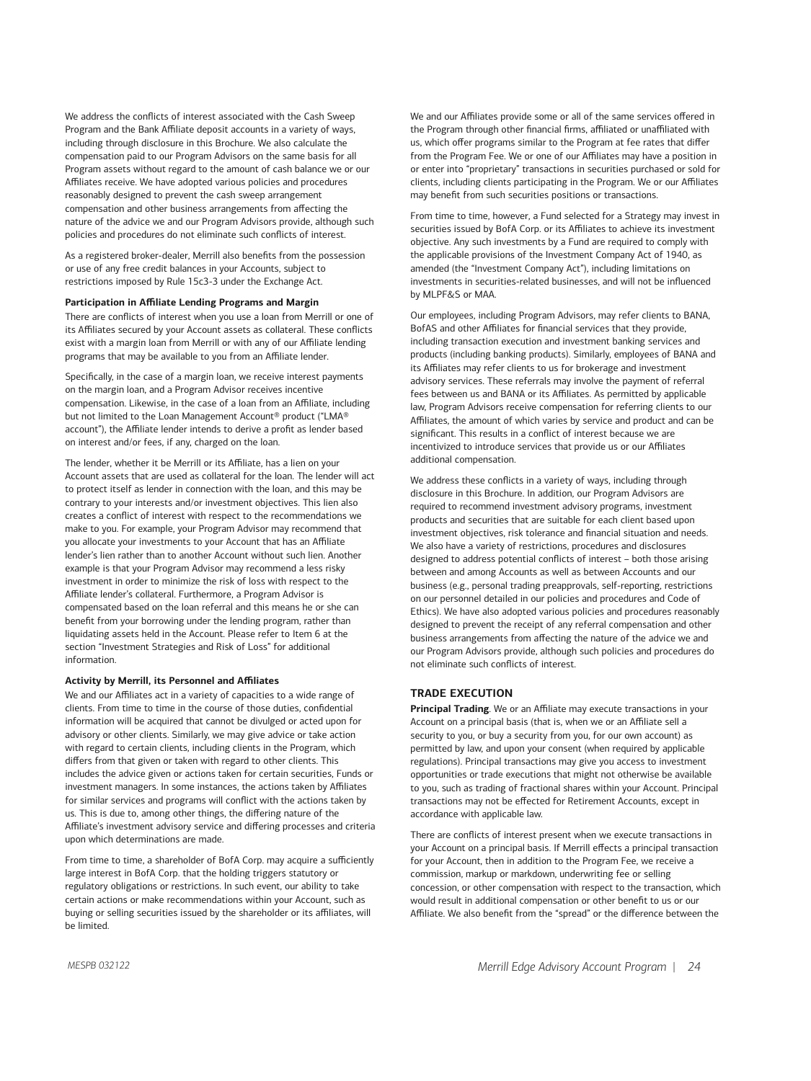We address the conflicts of interest associated with the Cash Sweep Program and the Bank Affiliate deposit accounts in a variety of ways, including through disclosure in this Brochure. We also calculate the compensation paid to our Program Advisors on the same basis for all Program assets without regard to the amount of cash balance we or our Affiliates receive. We have adopted various policies and procedures reasonably designed to prevent the cash sweep arrangement compensation and other business arrangements from affecting the nature of the advice we and our Program Advisors provide, although such policies and procedures do not eliminate such conflicts of interest.

As a registered broker-dealer, Merrill also benefits from the possession or use of any free credit balances in your Accounts, subject to restrictions imposed by Rule 15c3-3 under the Exchange Act.

#### **Participation in Affiliate Lending Programs and Margin**

There are conflicts of interest when you use a loan from Merrill or one of its Affiliates secured by your Account assets as collateral. These conflicts exist with a margin loan from Merrill or with any of our Affiliate lending programs that may be available to you from an Affiliate lender.

Specifically, in the case of a margin loan, we receive interest payments on the margin loan, and a Program Advisor receives incentive compensation. Likewise, in the case of a loan from an Affiliate, including but not limited to the Loan Management Account® product ("LMA® account"), the Affiliate lender intends to derive a profit as lender based on interest and/or fees, if any, charged on the loan.

The lender, whether it be Merrill or its Affiliate, has a lien on your Account assets that are used as collateral for the loan. The lender will act to protect itself as lender in connection with the loan, and this may be contrary to your interests and/or investment objectives. This lien also creates a conflict of interest with respect to the recommendations we make to you. For example, your Program Advisor may recommend that you allocate your investments to your Account that has an Affiliate lender's lien rather than to another Account without such lien. Another example is that your Program Advisor may recommend a less risky investment in order to minimize the risk of loss with respect to the Affiliate lender's collateral. Furthermore, a Program Advisor is compensated based on the loan referral and this means he or she can benefit from your borrowing under the lending program, rather than liquidating assets held in the Account. Please refer to Item 6 at the section "Investment Strategies and Risk of Loss" for additional information.

#### **Activity by Merrill, its Personnel and Affiliates**

We and our Affiliates act in a variety of capacities to a wide range of clients. From time to time in the course of those duties, confidential information will be acquired that cannot be divulged or acted upon for advisory or other clients. Similarly, we may give advice or take action with regard to certain clients, including clients in the Program, which differs from that given or taken with regard to other clients. This includes the advice given or actions taken for certain securities, Funds or investment managers. In some instances, the actions taken by Affiliates for similar services and programs will conflict with the actions taken by us. This is due to, among other things, the differing nature of the Affiliate's investment advisory service and differing processes and criteria upon which determinations are made.

From time to time, a shareholder of BofA Corp. may acquire a sufficiently large interest in BofA Corp. that the holding triggers statutory or regulatory obligations or restrictions. In such event, our ability to take certain actions or make recommendations within your Account, such as buying or selling securities issued by the shareholder or its affiliates, will be limited.

We and our Affiliates provide some or all of the same services offered in the Program through other financial firms, affiliated or unaffiliated with us, which offer programs similar to the Program at fee rates that differ from the Program Fee. We or one of our Affiliates may have a position in or enter into "proprietary" transactions in securities purchased or sold for clients, including clients participating in the Program. We or our Affiliates may benefit from such securities positions or transactions.

From time to time, however, a Fund selected for a Strategy may invest in securities issued by BofA Corp. or its Affiliates to achieve its investment objective. Any such investments by a Fund are required to comply with the applicable provisions of the Investment Company Act of 1940, as amended (the "Investment Company Act"), including limitations on investments in securities-related businesses, and will not be influenced by MLPF&S or MAA.

Our employees, including Program Advisors, may refer clients to BANA, BofAS and other Affiliates for financial services that they provide, including transaction execution and investment banking services and products (including banking products). Similarly, employees of BANA and its Affiliates may refer clients to us for brokerage and investment advisory services. These referrals may involve the payment of referral fees between us and BANA or its Affiliates. As permitted by applicable law, Program Advisors receive compensation for referring clients to our Affiliates, the amount of which varies by service and product and can be significant. This results in a conflict of interest because we are incentivized to introduce services that provide us or our Affiliates additional compensation.

We address these conflicts in a variety of ways, including through disclosure in this Brochure. In addition, our Program Advisors are required to recommend investment advisory programs, investment products and securities that are suitable for each client based upon investment objectives, risk tolerance and financial situation and needs. We also have a variety of restrictions, procedures and disclosures designed to address potential conflicts of interest – both those arising between and among Accounts as well as between Accounts and our business (e.g., personal trading preapprovals, self-reporting, restrictions on our personnel detailed in our policies and procedures and Code of Ethics). We have also adopted various policies and procedures reasonably designed to prevent the receipt of any referral compensation and other business arrangements from affecting the nature of the advice we and our Program Advisors provide, although such policies and procedures do not eliminate such conflicts of interest.

#### **TRADE EXECUTION**

**Principal Trading**. We or an Affiliate may execute transactions in your Account on a principal basis (that is, when we or an Affiliate sell a security to you, or buy a security from you, for our own account) as permitted by law, and upon your consent (when required by applicable regulations). Principal transactions may give you access to investment opportunities or trade executions that might not otherwise be available to you, such as trading of fractional shares within your Account. Principal transactions may not be effected for Retirement Accounts, except in accordance with applicable law.

There are conflicts of interest present when we execute transactions in your Account on a principal basis. If Merrill effects a principal transaction for your Account, then in addition to the Program Fee, we receive a commission, markup or markdown, underwriting fee or selling concession, or other compensation with respect to the transaction, which would result in additional compensation or other benefit to us or our Affiliate. We also benefit from the "spread" or the difference between the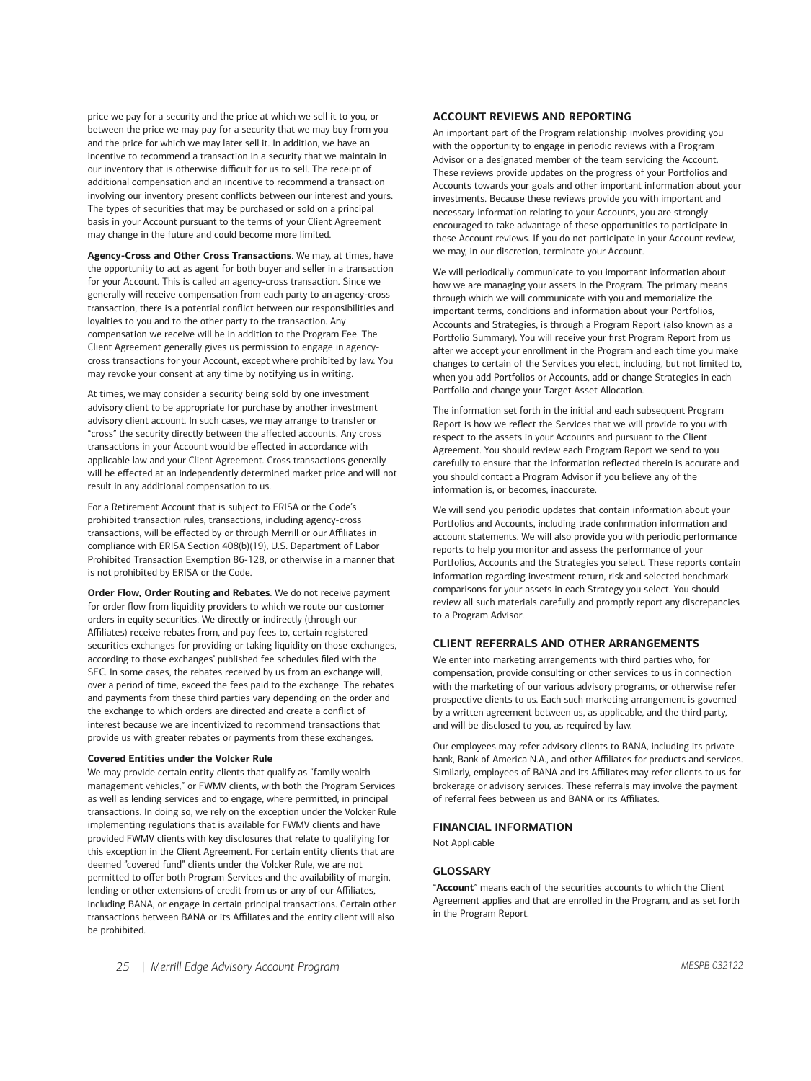price we pay for a security and the price at which we sell it to you, or between the price we may pay for a security that we may buy from you and the price for which we may later sell it. In addition, we have an incentive to recommend a transaction in a security that we maintain in our inventory that is otherwise difficult for us to sell. The receipt of additional compensation and an incentive to recommend a transaction involving our inventory present conflicts between our interest and yours. The types of securities that may be purchased or sold on a principal basis in your Account pursuant to the terms of your Client Agreement may change in the future and could become more limited.

**Agency-Cross and Other Cross Transactions**. We may, at times, have the opportunity to act as agent for both buyer and seller in a transaction for your Account. This is called an agency-cross transaction. Since we generally will receive compensation from each party to an agency-cross transaction, there is a potential conflict between our responsibilities and loyalties to you and to the other party to the transaction. Any compensation we receive will be in addition to the Program Fee. The Client Agreement generally gives us permission to engage in agencycross transactions for your Account, except where prohibited by law. You may revoke your consent at any time by notifying us in writing.

At times, we may consider a security being sold by one investment advisory client to be appropriate for purchase by another investment advisory client account. In such cases, we may arrange to transfer or "cross" the security directly between the affected accounts. Any cross transactions in your Account would be effected in accordance with applicable law and your Client Agreement. Cross transactions generally will be effected at an independently determined market price and will not result in any additional compensation to us.

For a Retirement Account that is subject to ERISA or the Code's prohibited transaction rules, transactions, including agency-cross transactions, will be effected by or through Merrill or our Affiliates in compliance with ERISA Section 408(b)(19), U.S. Department of Labor Prohibited Transaction Exemption 86-128, or otherwise in a manner that is not prohibited by ERISA or the Code.

**Order Flow, Order Routing and Rebates**. We do not receive payment for order flow from liquidity providers to which we route our customer orders in equity securities. We directly or indirectly (through our Affiliates) receive rebates from, and pay fees to, certain registered securities exchanges for providing or taking liquidity on those exchanges, according to those exchanges' published fee schedules filed with the SEC. In some cases, the rebates received by us from an exchange will, over a period of time, exceed the fees paid to the exchange. The rebates and payments from these third parties vary depending on the order and the exchange to which orders are directed and create a conflict of interest because we are incentivized to recommend transactions that provide us with greater rebates or payments from these exchanges.

#### **Covered Entities under the Volcker Rule**

We may provide certain entity clients that qualify as "family wealth management vehicles," or FWMV clients, with both the Program Services as well as lending services and to engage, where permitted, in principal transactions. In doing so, we rely on the exception under the Volcker Rule implementing regulations that is available for FWMV clients and have provided FWMV clients with key disclosures that relate to qualifying for this exception in the Client Agreement. For certain entity clients that are deemed "covered fund" clients under the Volcker Rule, we are not permitted to offer both Program Services and the availability of margin, lending or other extensions of credit from us or any of our Affiliates, including BANA, or engage in certain principal transactions. Certain other transactions between BANA or its Affiliates and the entity client will also be prohibited.

# **ACCOUNT REVIEWS AND REPORTING**

An important part of the Program relationship involves providing you with the opportunity to engage in periodic reviews with a Program Advisor or a designated member of the team servicing the Account. These reviews provide updates on the progress of your Portfolios and Accounts towards your goals and other important information about your investments. Because these reviews provide you with important and necessary information relating to your Accounts, you are strongly encouraged to take advantage of these opportunities to participate in these Account reviews. If you do not participate in your Account review, we may, in our discretion, terminate your Account.

We will periodically communicate to you important information about how we are managing your assets in the Program. The primary means through which we will communicate with you and memorialize the important terms, conditions and information about your Portfolios, Accounts and Strategies, is through a Program Report (also known as a Portfolio Summary). You will receive your first Program Report from us after we accept your enrollment in the Program and each time you make changes to certain of the Services you elect, including, but not limited to, when you add Portfolios or Accounts, add or change Strategies in each Portfolio and change your Target Asset Allocation.

The information set forth in the initial and each subsequent Program Report is how we reflect the Services that we will provide to you with respect to the assets in your Accounts and pursuant to the Client Agreement. You should review each Program Report we send to you carefully to ensure that the information reflected therein is accurate and you should contact a Program Advisor if you believe any of the information is, or becomes, inaccurate.

We will send you periodic updates that contain information about your Portfolios and Accounts, including trade confirmation information and account statements. We will also provide you with periodic performance reports to help you monitor and assess the performance of your Portfolios, Accounts and the Strategies you select. These reports contain information regarding investment return, risk and selected benchmark comparisons for your assets in each Strategy you select. You should review all such materials carefully and promptly report any discrepancies to a Program Advisor.

#### **CLIENT REFERRALS AND OTHER ARRANGEMENTS**

We enter into marketing arrangements with third parties who, for compensation, provide consulting or other services to us in connection with the marketing of our various advisory programs, or otherwise refer prospective clients to us. Each such marketing arrangement is governed by a written agreement between us, as applicable, and the third party, and will be disclosed to you, as required by law.

Our employees may refer advisory clients to BANA, including its private bank, Bank of America N.A., and other Affiliates for products and services. Similarly, employees of BANA and its Affiliates may refer clients to us for brokerage or advisory services. These referrals may involve the payment of referral fees between us and BANA or its Affiliates.

# **FINANCIAL INFORMATION**

Not Applicable

#### **GLOSSARY**

"**Account**" means each of the securities accounts to which the Client Agreement applies and that are enrolled in the Program, and as set forth in the Program Report.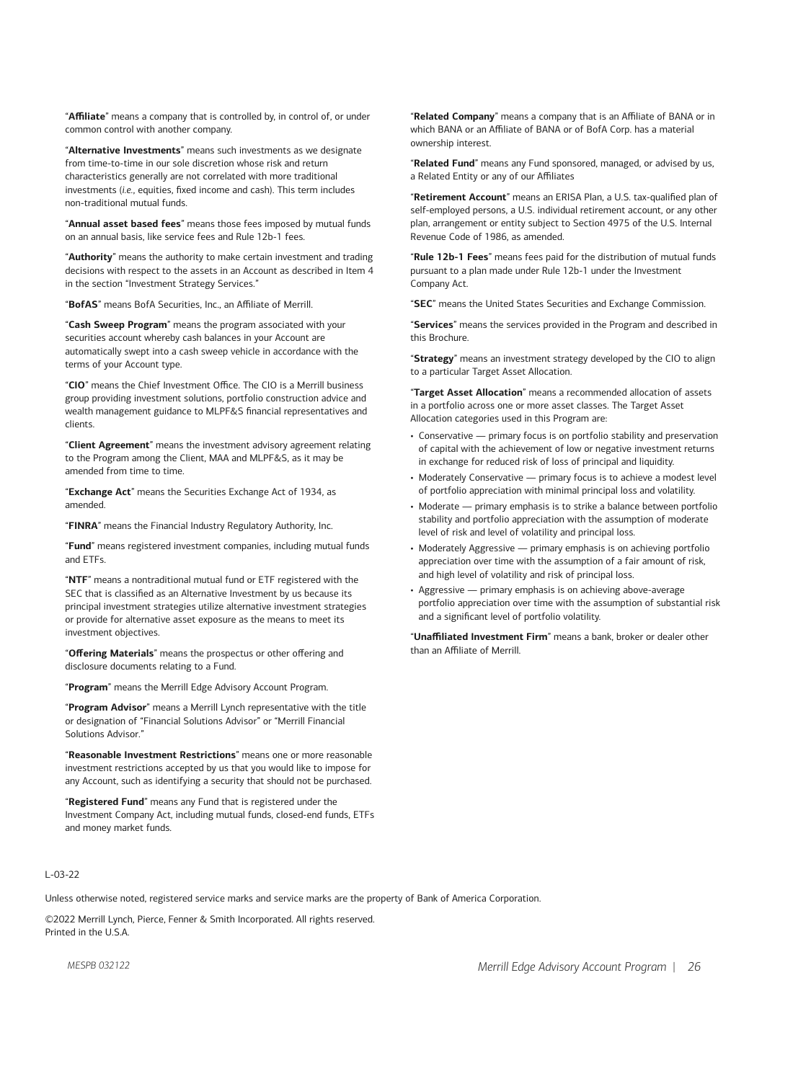"**Affiliate**" means a company that is controlled by, in control of, or under common control with another company.

"**Alternative Investments**" means such investments as we designate from time-to-time in our sole discretion whose risk and return characteristics generally are not correlated with more traditional investments (*i.e.*, equities, fixed income and cash). This term includes non-traditional mutual funds.

"**Annual asset based fees**" means those fees imposed by mutual funds on an annual basis, like service fees and Rule 12b-1 fees.

"**Authority**" means the authority to make certain investment and trading decisions with respect to the assets in an Account as described in Item 4 in the section "Investment Strategy Services."

"**BofAS**" means BofA Securities, Inc., an Affiliate of Merrill.

"**Cash Sweep Program**" means the program associated with your securities account whereby cash balances in your Account are automatically swept into a cash sweep vehicle in accordance with the terms of your Account type.

"**CIO**" means the Chief Investment Office. The CIO is a Merrill business group providing investment solutions, portfolio construction advice and wealth management guidance to MLPF&S financial representatives and clients.

"**Client Agreement**" means the investment advisory agreement relating to the Program among the Client, MAA and MLPF&S, as it may be amended from time to time.

"**Exchange Act**" means the Securities Exchange Act of 1934, as amended.

"**FINRA**" means the Financial Industry Regulatory Authority, Inc.

"**Fund**" means registered investment companies, including mutual funds and ETFs.

"**NTF**" means a nontraditional mutual fund or ETF registered with the SEC that is classified as an Alternative Investment by us because its principal investment strategies utilize alternative investment strategies or provide for alternative asset exposure as the means to meet its investment objectives.

"**Offering Materials**" means the prospectus or other offering and disclosure documents relating to a Fund.

"**Program**" means the Merrill Edge Advisory Account Program.

"**Program Advisor**" means a Merrill Lynch representative with the title or designation of "Financial Solutions Advisor" or "Merrill Financial Solutions Advisor."

"**Reasonable Investment Restrictions**" means one or more reasonable investment restrictions accepted by us that you would like to impose for any Account, such as identifying a security that should not be purchased.

"**Registered Fund**" means any Fund that is registered under the Investment Company Act, including mutual funds, closed-end funds, ETFs and money market funds.

"**Related Company**" means a company that is an Affiliate of BANA or in which BANA or an Affiliate of BANA or of BofA Corp. has a material ownership interest.

"**Related Fund**" means any Fund sponsored, managed, or advised by us, a Related Entity or any of our Affiliates

"**Retirement Account**" means an ERISA Plan, a U.S. tax-qualified plan of self-employed persons, a U.S. individual retirement account, or any other plan, arrangement or entity subject to Section 4975 of the U.S. Internal Revenue Code of 1986, as amended.

"**Rule 12b-1 Fees**" means fees paid for the distribution of mutual funds pursuant to a plan made under Rule 12b-1 under the Investment Company Act.

"**SEC**" means the United States Securities and Exchange Commission.

"**Services**" means the services provided in the Program and described in this Brochure.

"**Strategy**" means an investment strategy developed by the CIO to align to a particular Target Asset Allocation.

"**Target Asset Allocation**" means a recommended allocation of assets in a portfolio across one or more asset classes. The Target Asset Allocation categories used in this Program are:

- Conservative primary focus is on portfolio stability and preservation of capital with the achievement of low or negative investment returns in exchange for reduced risk of loss of principal and liquidity.
- Moderately Conservative primary focus is to achieve a modest level of portfolio appreciation with minimal principal loss and volatility.
- Moderate primary emphasis is to strike a balance between portfolio stability and portfolio appreciation with the assumption of moderate level of risk and level of volatility and principal loss.
- Moderately Aggressive primary emphasis is on achieving portfolio appreciation over time with the assumption of a fair amount of risk, and high level of volatility and risk of principal loss.
- Aggressive primary emphasis is on achieving above-average portfolio appreciation over time with the assumption of substantial risk and a significant level of portfolio volatility.

"**Unaffiliated Investment Firm**" means a bank, broker or dealer other than an Affiliate of Merrill.

# L-03-22

Unless otherwise noted, registered service marks and service marks are the property of Bank of America Corporation.

©2022 Merrill Lynch, Pierce, Fenner & Smith Incorporated. All rights reserved. Printed in the U.S.A.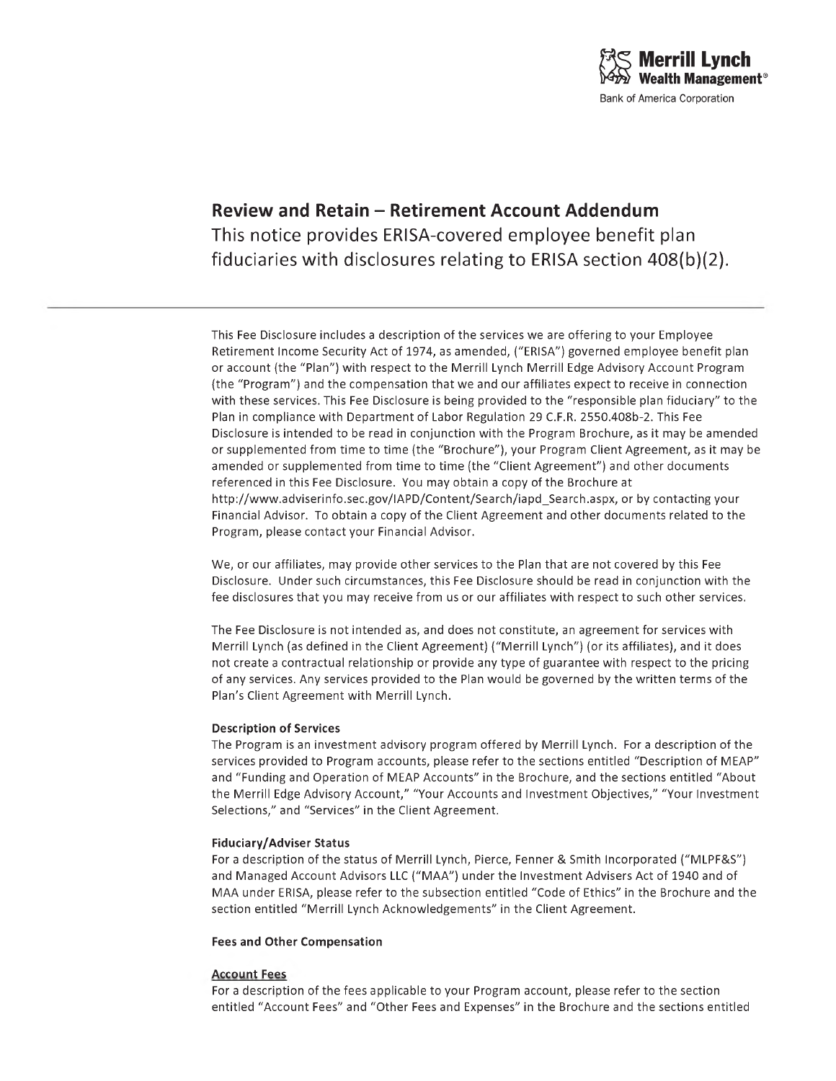# **Review and Retain - Retirement Account Addendum** This notice provides ERISA-covered employee benefit plan fiduciaries with disclosures relating to ERISA section 408(b)(2).

This Fee Disclosure includes a description of the services we are offering to your Employee Retirement Income Security Act of 1974, as amended, ("ERISA") governed employee benefit plan or account (the "Plan") with respect to the Merrill Lynch Merrill Edge Advisory Account Program (the "Program") and the compensation that we and our affiliates expect to receive in connection with these services. This Fee Disclosure is being provided to the "responsible plan fiduciary" to the Plan in compliance with Department of Labor Regulation 29 C.F.R. 2550.408b-2. This Fee Disclosure is intended to be read in conjunction with the Program Brochure, as it may be amended or supplemented from time to time (the "Brochure"), your Program Client Agreement, as it may be amended or supplemented from time to time (the "Client Agreement") and other documents referenced in this Fee Disclosure. You may obtain a copy of the Brochure at [http://www.adviserinfo.sec.gov/IAPD/Content/Search/iapd\\_Search.aspx](http://www.adviserinfo.sec.gov/IAPD/Content/Search/iapd_Search.aspx), or by contacting your Financial Advisor. To obtain a copy of the Client Agreement and other documents related to the Program, please contact your Financial Advisor.

We, or our affiliates, may provide other services to the Plan that are not covered by this Fee Disclosure. Under such circumstances, this Fee Disclosure should be read in conjunction with the fee disclosures that you may receive from us or our affiliates with respect to such other services.

The Fee Disclosure is not intended as, and does not constitute, an agreement for services with Merrill Lynch (as defined in the Client Agreement) ("Merrill Lynch") (or its affiliates), and it does not create a contractual relationship or provide any type of guarantee with respect to the pricing of any services. Any services provided to the Plan would be governed by the written terms of the Plan's Client Agreement with Merrill Lynch.

# **Description of Services**

The Program is an investment advisory program offered by Merrill Lynch. For a description of the services provided to Program accounts, please refer to the sections entitled "Description of MEAP" and "Funding and Operation of MEAP Accounts" in the Brochure, and the sections entitled "About the Merrill Edge Advisory Account," "Your Accounts and Investment Objectives," "Your Investment Selections," and "Services" in the Client Agreement.

# **Fiduciary/Adviser Status**

For a description of the status of Merrill Lynch, Pierce, Fenner & Smith Incorporated ("MLPF&S") and Managed Account Advisors LLC ("MAA") under the Investment Advisers Act of 1940 and of MAA under ERISA, please refer to the subsection entitled "Code of Ethics" in the Brochure and the section entitled "Merrill Lynch Acknowledgements" in the Client Agreement.

# **Fees and Other Compensation**

# **Account Fees**

For a description of the fees applicable to your Program account, please refer to the section entitled "Account Fees" and "Other Fees and Expenses" in the Brochure and the sections entitled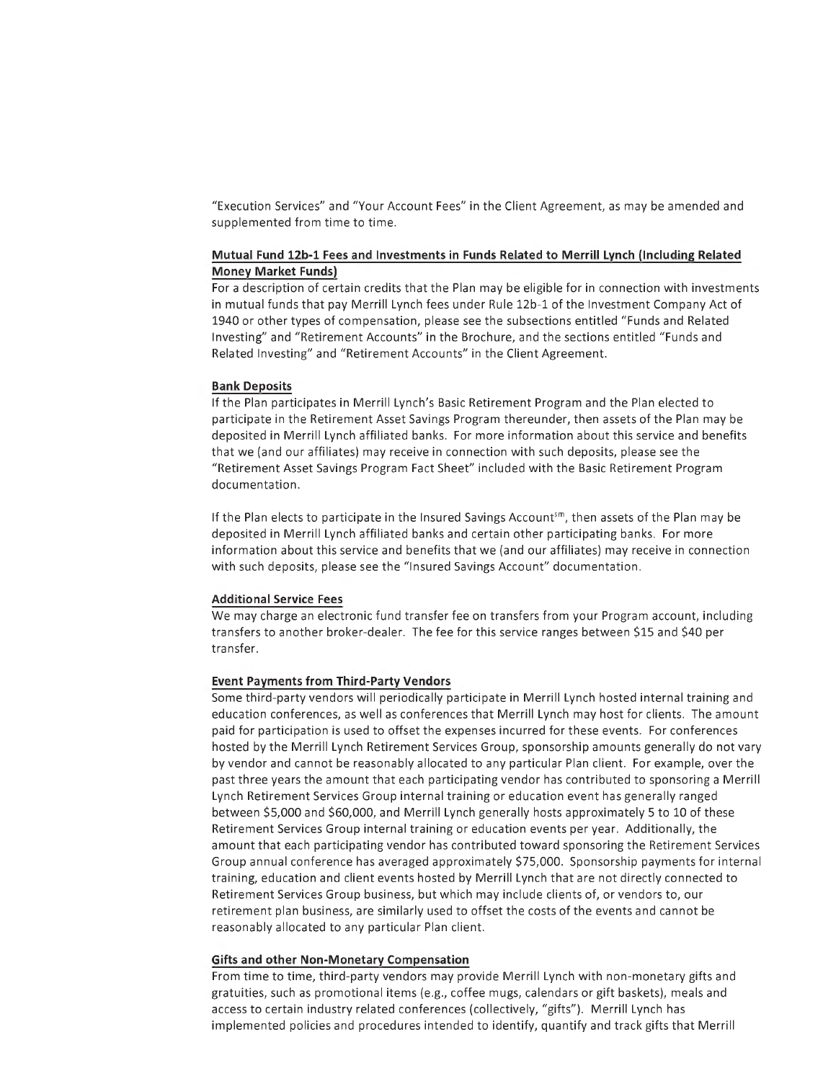"Execution Services" and "Your Account Fees" in the Client Agreement, as may be amended and supplemented from time to time.

# **Mutual Fund 12b-l Fees and Investments in Funds Related to Merrill Lynch (Including Related Money Market Funds)**

For a description of certain credits that the Plan may be eligible for in connection with investments in mutual funds that pay Merrill Lynch fees under Rule 12b-1 of the Investment Company Act of 1940 or other types of compensation, please see the subsections entitled "Funds and Related Investing" and "Retirement Accounts" in the Brochure, and the sections entitled "Funds and Related Investing" and "Retirement Accounts" in the Client Agreement.

#### **Bank Deposits**

If the Plan participates in Merrill Lynch's Basic Retirement Program and the Plan elected to participate in the Retirement Asset Savings Program thereunder, then assets of the Plan may be deposited in Merrill Lynch affiliated banks. For more information about this service and benefits that we (and our affiliates) may receive in connection with such deposits, please see the "Retirement Asset Savings Program Fact Sheet" included with the Basic Retirement Program documentation.

If the Plan elects to participate in the Insured Savings Account<sup>sm</sup>, then assets of the Plan may be deposited in Merrill Lynch affiliated banks and certain other participating banks. For more information about this service and benefits that we (and our affiliates) may receive in connection with such deposits, please see the "Insured Savings Account" documentation.

# **Additional Service Fees**

We may charge an electronic fund transfer fee on transfers from your Program account, including transfers to another broker-dealer. The fee for this service ranges between \$15 and \$40 per transfer.

#### **Event Payments from Third-Party Vendors**

Some third-party vendors will periodically participate in Merrill Lynch hosted internal training and education conferences, as well as conferences that Merrill Lynch may host for clients. The amount paid for participation is used to offset the expenses incurred for these events. For conferences hosted by the Merrill Lynch Retirement Services Group, sponsorship amounts generally do not vary by vendor and cannot be reasonably allocated to any particular Plan client. For example, over the past three years the amount that each participating vendor has contributed to sponsoring a Merrill Lynch Retirement Services Group internal training or education event has generally ranged between \$5,000 and \$60,000, and Merrill Lynch generally hosts approximately 5 to 10 of these Retirement Services Group internal training or education events per year. Additionally, the amount that each participating vendor has contributed toward sponsoring the Retirement Services Group annual conference has averaged approximately \$75,000. Sponsorship payments for internal training, education and client events hosted by Merrill Lynch that are not directly connected to Retirement Services Group business, but which may include clients of, or vendors to, our retirement plan business, are similarly used to offset the costs of the events and cannot be reasonably allocated to any particular Plan client.

#### **Gifts and other Non-Monetary Compensation**

From time to time, third-party vendors may provide Merrill Lynch with non-monetary gifts and gratuities, such as promotional items (e.g., coffee mugs, calendars or gift baskets), meals and access to certain industry related conferences (collectively, "gifts"). Merrill Lynch has implemented policies and procedures intended to identify, quantify and track gifts that Merrill